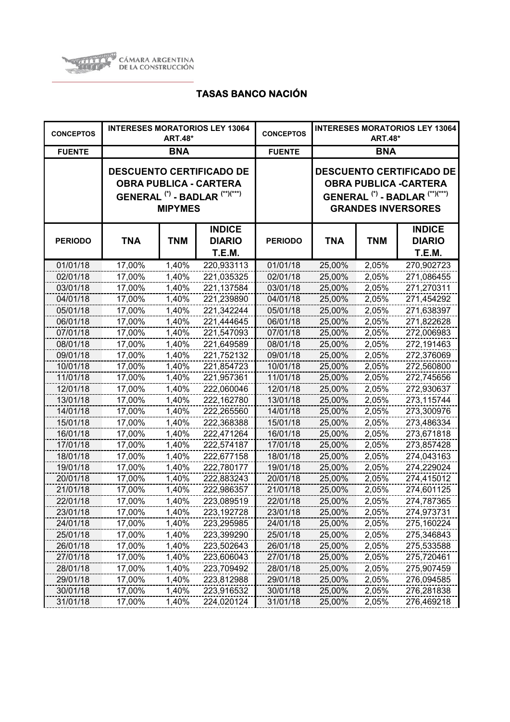

| <b>CONCEPTOS</b> |            | <b>ART.48*</b> | <b>INTERESES MORATORIOS LEY 13064</b>                                                                                    | <b>CONCEPTOS</b> | <b>INTERESES MORATORIOS LEY 13064</b><br><b>ART.48*</b> |            |                                                                                                                                                      |
|------------------|------------|----------------|--------------------------------------------------------------------------------------------------------------------------|------------------|---------------------------------------------------------|------------|------------------------------------------------------------------------------------------------------------------------------------------------------|
| <b>FUENTE</b>    |            | <b>BNA</b>     |                                                                                                                          | <b>FUENTE</b>    | <b>BNA</b>                                              |            |                                                                                                                                                      |
|                  |            | <b>MIPYMES</b> | <b>DESCUENTO CERTIFICADO DE</b><br><b>OBRA PUBLICA - CARTERA</b><br>GENERAL <sup>(*)</sup> - BADLAR <sup>(**)(***)</sup> |                  |                                                         |            | <b>DESCUENTO CERTIFICADO DE</b><br><b>OBRA PUBLICA -CARTERA</b><br>GENERAL <sup>(*)</sup> - BADLAR <sup>(**)(***)</sup><br><b>GRANDES INVERSORES</b> |
| <b>PERIODO</b>   | <b>TNA</b> | <b>TNM</b>     | <b>INDICE</b><br><b>DIARIO</b><br>T.E.M.                                                                                 | <b>PERIODO</b>   | <b>TNA</b>                                              | <b>TNM</b> | <b>INDICE</b><br><b>DIARIO</b><br><b>T.E.M.</b>                                                                                                      |
| 01/01/18         | 17,00%     | 1,40%          | 220,933113                                                                                                               | 01/01/18         | 25,00%                                                  | 2,05%      | 270,902723                                                                                                                                           |
| 02/01/18         | 17,00%     | 1,40%          | 221,035325                                                                                                               | 02/01/18         | 25,00%                                                  | 2,05%      | 271,086455                                                                                                                                           |
| 03/01/18         | 17,00%     | 1,40%          | 221,137584                                                                                                               | 03/01/18         | 25,00%                                                  | 2,05%      | 271,270311                                                                                                                                           |
| 04/01/18         | 17,00%     | 1,40%          | 221,239890                                                                                                               | 04/01/18         | 25,00%                                                  | 2,05%      | 271,454292                                                                                                                                           |
| 05/01/18         | 17,00%     | 1,40%          | 221,342244                                                                                                               | 05/01/18         | 25,00%                                                  | 2,05%      | 271,638397                                                                                                                                           |
| 06/01/18         | 17,00%     | 1,40%          | 221,444645                                                                                                               | 06/01/18         | 25,00%                                                  | 2,05%      | 271,822628                                                                                                                                           |
| 07/01/18         | 17,00%     | 1,40%          | 221,547093                                                                                                               | 07/01/18         | 25,00%                                                  | 2,05%      | 272,006983                                                                                                                                           |
| 08/01/18         | 17,00%     | 1,40%          | 221,649589                                                                                                               | 08/01/18         | 25,00%                                                  | 2,05%      | 272,191463                                                                                                                                           |
| 09/01/18         | 17,00%     | 1,40%          | 221,752132                                                                                                               | 09/01/18         | 25,00%                                                  | 2,05%      | 272,376069                                                                                                                                           |
| 10/01/18         | 17,00%     | 1,40%          | 221,854723                                                                                                               | 10/01/18         | 25,00%                                                  | 2,05%      | 272,560800                                                                                                                                           |
| 11/01/18         | 17,00%     | 1,40%          | 221,957361                                                                                                               | 11/01/18         | 25,00%                                                  | 2,05%      | 272,745656                                                                                                                                           |
| 12/01/18         | 17,00%     | 1,40%          | 222,060046                                                                                                               | 12/01/18         | 25,00%                                                  | 2,05%      | 272,930637                                                                                                                                           |
| 13/01/18         | 17,00%     | 1,40%          | 222,162780                                                                                                               | 13/01/18         | 25,00%                                                  | 2,05%      | 273,115744                                                                                                                                           |
| 14/01/18         | 17,00%     | 1,40%          | 222,265560                                                                                                               | 14/01/18         | 25,00%                                                  | 2,05%      | 273,300976                                                                                                                                           |
| 15/01/18         | 17,00%     | 1,40%          | 222,368388                                                                                                               | 15/01/18         | 25,00%                                                  | 2,05%      | 273,486334                                                                                                                                           |
| 16/01/18         | 17,00%     | 1,40%          | 222,471264                                                                                                               | 16/01/18         | 25,00%                                                  | 2,05%      | 273,671818                                                                                                                                           |
| 17/01/18         | 17,00%     | 1,40%          | 222,574187                                                                                                               | 17/01/18         | 25,00%                                                  | 2,05%      | 273,857428                                                                                                                                           |
| 18/01/18         | 17,00%     | 1,40%          | 222,677158                                                                                                               | 18/01/18         | 25,00%                                                  | 2,05%      | 274,043163                                                                                                                                           |
| 19/01/18         | 17,00%     | 1,40%          | 222,780177                                                                                                               | 19/01/18         | 25,00%                                                  | 2,05%      | 274,229024                                                                                                                                           |
| 20/01/18         | 17,00%     | 1,40%          | 222,883243                                                                                                               | 20/01/18         | 25,00%                                                  | 2,05%      | 274,415012                                                                                                                                           |
| 21/01/18         | 17,00%     | 1,40%          | 222,986357                                                                                                               | 21/01/18         | 25,00%                                                  | 2,05%      | 274,601125                                                                                                                                           |
| 22/01/18         | 17,00%     | 1,40%          | 223,089519                                                                                                               | 22/01/18         | 25,00%                                                  | 2,05%      | 274,787365                                                                                                                                           |
| 23/01/18         | 17,00%     | 1,40%          | 223,192728                                                                                                               | 23/01/18         | 25,00%                                                  | 2,05%      | 274,973731                                                                                                                                           |
| 24/01/18         | 17,00%     | 1,40%          | 223,295985                                                                                                               | 24/01/18         | 25,00%                                                  | 2,05%      | 275,160224                                                                                                                                           |
| 25/01/18         | 17,00%     | 1,40%          | 223,399290                                                                                                               | 25/01/18         | 25,00%                                                  | 2,05%      | 275,346843                                                                                                                                           |
| 26/01/18         | 17,00%     | 1,40%          | 223,502643                                                                                                               | 26/01/18         | 25,00%                                                  | 2,05%      | 275,533588                                                                                                                                           |
| 27/01/18         | 17,00%     | 1,40%          | 223,606043                                                                                                               | 27/01/18         | 25,00%                                                  | 2,05%      | 275,720461                                                                                                                                           |
| 28/01/18         | 17,00%     | 1,40%          | 223,709492                                                                                                               | 28/01/18         | 25,00%                                                  | 2,05%      | 275,907459                                                                                                                                           |
| 29/01/18         | 17,00%     | 1,40%          | 223,812988                                                                                                               | 29/01/18         | 25,00%                                                  | 2,05%      | 276,094585                                                                                                                                           |
| 30/01/18         | 17,00%     | 1,40%          | 223,916532                                                                                                               | 30/01/18         | 25,00%                                                  | 2,05%      | 276,281838                                                                                                                                           |
| 31/01/18         | 17,00%     | 1,40%          | 224,020124                                                                                                               | 31/01/18         | 25,00%                                                  | 2,05%      | 276,469218                                                                                                                                           |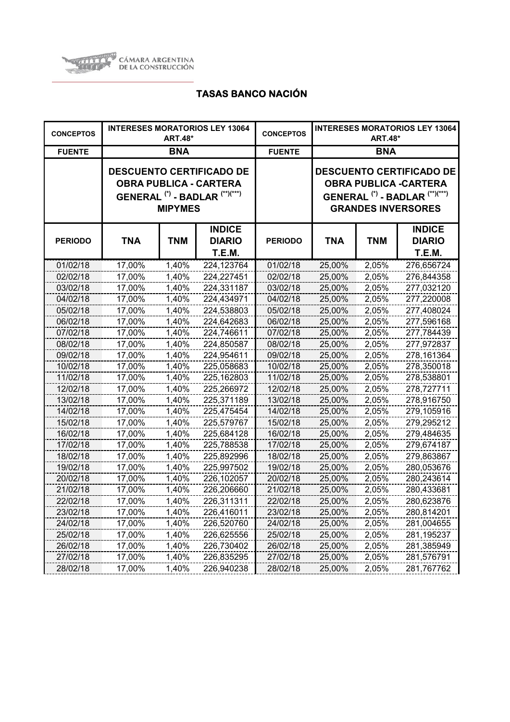

| <b>CONCEPTOS</b> |            | <b>ART.48*</b> | <b>INTERESES MORATORIOS LEY 13064</b>                                                                                    | <b>CONCEPTOS</b> | <b>INTERESES MORATORIOS LEY 13064</b><br><b>ART.48*</b> |            |                                                                                                                                                       |
|------------------|------------|----------------|--------------------------------------------------------------------------------------------------------------------------|------------------|---------------------------------------------------------|------------|-------------------------------------------------------------------------------------------------------------------------------------------------------|
| <b>FUENTE</b>    |            | <b>BNA</b>     |                                                                                                                          | <b>FUENTE</b>    | <b>BNA</b>                                              |            |                                                                                                                                                       |
|                  |            | <b>MIPYMES</b> | <b>DESCUENTO CERTIFICADO DE</b><br><b>OBRA PUBLICA - CARTERA</b><br>GENERAL <sup>(*)</sup> - BADLAR <sup>(**)(***)</sup> |                  |                                                         |            | <b>DESCUENTO CERTIFICADO DE</b><br><b>OBRA PUBLICA - CARTERA</b><br>GENERAL <sup>(*)</sup> - BADLAR <sup>(**)(***)</sup><br><b>GRANDES INVERSORES</b> |
| <b>PERIODO</b>   | <b>TNA</b> | <b>TNM</b>     | <b>INDICE</b><br><b>DIARIO</b><br>T.E.M.                                                                                 | <b>PERIODO</b>   | TNA                                                     | <b>TNM</b> | <b>INDICE</b><br><b>DIARIO</b><br>T.E.M.                                                                                                              |
| 01/02/18         | 17,00%     | 1,40%          | 224,123764                                                                                                               | 01/02/18         | 25,00%                                                  | 2,05%      | 276,656724                                                                                                                                            |
| 02/02/18         | 17,00%     | 1,40%          | 224,227451                                                                                                               | 02/02/18         | 25,00%                                                  | 2,05%      | 276,844358                                                                                                                                            |
| 03/02/18         | 17,00%     | 1,40%          | 224,331187                                                                                                               | 03/02/18         | 25,00%                                                  | 2,05%      | 277,032120                                                                                                                                            |
| 04/02/18         | 17,00%     | 1,40%          | 224,434971                                                                                                               | 04/02/18         | 25,00%                                                  | 2,05%      | 277,220008                                                                                                                                            |
| 05/02/18         | 17,00%     | 1,40%          | 224,538803                                                                                                               | 05/02/18         | 25,00%                                                  | 2,05%      | 277,408024                                                                                                                                            |
| 06/02/18         | 17,00%     | 1,40%          | 224,642683                                                                                                               | 06/02/18         | 25,00%                                                  | 2,05%      | 277,596168                                                                                                                                            |
| 07/02/18         | 17,00%     | 1,40%          | 224,746611                                                                                                               | 07/02/18         | 25,00%                                                  | 2,05%      | 277,784439                                                                                                                                            |
| 08/02/18         | 17,00%     | 1,40%          | 224,850587                                                                                                               | 08/02/18         | 25,00%                                                  | 2,05%      | 277,972837                                                                                                                                            |
| 09/02/18         | 17,00%     | 1,40%          | 224,954611                                                                                                               | 09/02/18         | 25,00%                                                  | 2,05%      | 278,161364                                                                                                                                            |
| 10/02/18         | 17,00%     | 1,40%          | 225,058683                                                                                                               | 10/02/18         | 25,00%                                                  | 2,05%      | 278,350018                                                                                                                                            |
| 11/02/18         | 17,00%     | 1,40%          | 225,162803                                                                                                               | 11/02/18         | 25,00%                                                  | 2,05%      | 278,538801                                                                                                                                            |
| 12/02/18         | 17,00%     | 1,40%          | 225,266972                                                                                                               | 12/02/18         | 25,00%                                                  | 2,05%      | 278,727711                                                                                                                                            |
| 13/02/18         | 17,00%     | 1,40%          | 225,371189                                                                                                               | 13/02/18         | 25,00%                                                  | 2,05%      | 278,916750                                                                                                                                            |
| 14/02/18         | 17,00%     | 1,40%          | 225,475454                                                                                                               | 14/02/18         | 25,00%                                                  | 2,05%      | 279,105916                                                                                                                                            |
| 15/02/18         | 17,00%     | 1,40%          | 225,579767                                                                                                               | 15/02/18         | 25,00%                                                  | 2,05%      | 279,295212                                                                                                                                            |
| 16/02/18         | 17,00%     | 1,40%          | 225,684128                                                                                                               | 16/02/18         | 25,00%                                                  | 2,05%      | 279,484635                                                                                                                                            |
| 17/02/18         | 17,00%     | 1,40%          | 225,788538                                                                                                               | 17/02/18         | 25,00%                                                  | 2,05%      | 279,674187                                                                                                                                            |
| 18/02/18         | 17,00%     | 1,40%          | 225,892996                                                                                                               | 18/02/18         | 25,00%                                                  | 2,05%      | 279,863867                                                                                                                                            |
| 19/02/18         | 17,00%     | 1,40%          | 225,997502                                                                                                               | 19/02/18         | 25,00%                                                  | 2,05%      | 280,053676                                                                                                                                            |
| 20/02/18         | 17,00%     | 1,40%          | 226,102057                                                                                                               | 20/02/18         | 25,00%                                                  | 2,05%      | 280,243614                                                                                                                                            |
| 21/02/18         | 17,00%     | 1,40%          | 226,206660                                                                                                               | 21/02/18         | 25,00%                                                  | 2,05%      | 280,433681                                                                                                                                            |
| 22/02/18         | 17,00%     | 1,40%          | 226,311311                                                                                                               | 22/02/18         | 25,00%                                                  | 2,05%      | 280,623876                                                                                                                                            |
| 23/02/18         | 17,00%     | 1,40%          | 226,416011                                                                                                               | 23/02/18         | 25,00%                                                  | 2,05%      | 280,814201                                                                                                                                            |
| 24/02/18         | 17,00%     | 1,40%          | 226,520760                                                                                                               | 24/02/18         | 25,00%                                                  | 2,05%      | 281,004655                                                                                                                                            |
| 25/02/18         | 17,00%     | 1,40%          | 226,625556                                                                                                               | 25/02/18         | 25,00%                                                  | 2,05%      | 281,195237                                                                                                                                            |
| 26/02/18         | 17,00%     | 1,40%          | 226,730402                                                                                                               | 26/02/18         | 25,00%                                                  | 2,05%      | 281,385949                                                                                                                                            |
| 27/02/18         | 17,00%     | 1,40%          | 226,835295                                                                                                               | 27/02/18         | 25,00%                                                  | 2,05%      | 281,576791                                                                                                                                            |
| 28/02/18         | 17,00%     | 1,40%          | 226,940238                                                                                                               | 28/02/18         | 25,00%                                                  | 2,05%      | 281,767762                                                                                                                                            |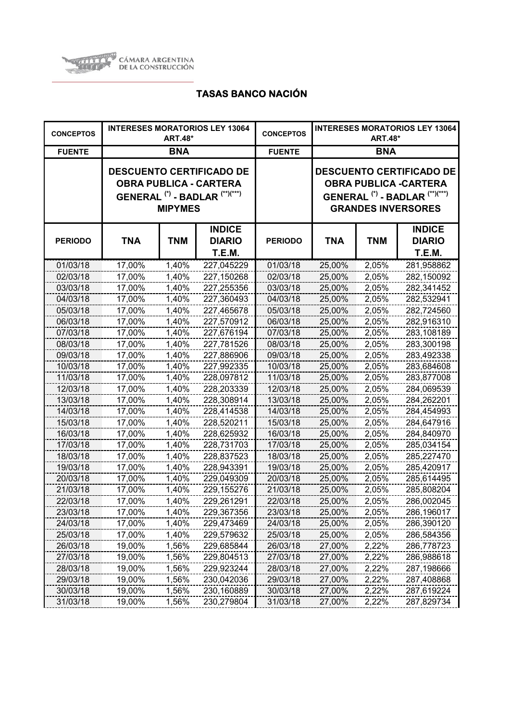

| <b>CONCEPTOS</b> | <b>INTERESES MORATORIOS LEY 13064</b><br><b>ART.48*</b> |                |                                                                                                                          | <b>CONCEPTOS</b> | <b>INTERESES MORATORIOS LEY 13064</b><br><b>ART.48*</b>                                                                                              |            |                                          |
|------------------|---------------------------------------------------------|----------------|--------------------------------------------------------------------------------------------------------------------------|------------------|------------------------------------------------------------------------------------------------------------------------------------------------------|------------|------------------------------------------|
| <b>FUENTE</b>    | <b>BNA</b>                                              |                |                                                                                                                          | <b>FUENTE</b>    | <b>BNA</b>                                                                                                                                           |            |                                          |
|                  |                                                         | <b>MIPYMES</b> | <b>DESCUENTO CERTIFICADO DE</b><br><b>OBRA PUBLICA - CARTERA</b><br>GENERAL <sup>(*)</sup> - BADLAR <sup>(**)(***)</sup> |                  | <b>DESCUENTO CERTIFICADO DE</b><br><b>OBRA PUBLICA -CARTERA</b><br>GENERAL <sup>(*)</sup> - BADLAR <sup>(**)(***)</sup><br><b>GRANDES INVERSORES</b> |            |                                          |
| <b>PERIODO</b>   | <b>TNA</b>                                              | <b>TNM</b>     | <b>INDICE</b><br><b>DIARIO</b><br>T.E.M.                                                                                 | <b>PERIODO</b>   | TNA                                                                                                                                                  | <b>TNM</b> | <b>INDICE</b><br><b>DIARIO</b><br>T.E.M. |
| 01/03/18         | 17,00%                                                  | 1,40%          | 227,045229                                                                                                               | 01/03/18         | 25,00%                                                                                                                                               | 2,05%      | 281,958862                               |
| 02/03/18         | 17,00%                                                  | 1,40%          | 227,150268                                                                                                               | 02/03/18         | 25,00%                                                                                                                                               | 2,05%      | 282,150092                               |
| 03/03/18         | 17,00%                                                  | 1,40%          | 227,255356                                                                                                               | 03/03/18         | 25,00%                                                                                                                                               | 2,05%      | 282,341452                               |
| 04/03/18         | 17,00%                                                  | 1,40%          | 227,360493                                                                                                               | 04/03/18         | 25,00%                                                                                                                                               | 2,05%      | 282,532941                               |
| 05/03/18         | 17,00%                                                  | 1,40%          | 227,465678                                                                                                               | 05/03/18         | 25,00%                                                                                                                                               | 2,05%      | 282,724560                               |
| 06/03/18         | 17,00%                                                  | 1,40%          | 227,570912                                                                                                               | 06/03/18         | 25,00%                                                                                                                                               | 2,05%      | 282,916310                               |
| 07/03/18         | 17,00%                                                  | 1,40%          | 227,676194                                                                                                               | 07/03/18         | 25,00%                                                                                                                                               | 2,05%      | 283,108189                               |
| 08/03/18         | 17,00%                                                  | 1,40%          | 227,781526                                                                                                               | 08/03/18         | 25,00%                                                                                                                                               | 2,05%      | 283,300198                               |
| 09/03/18         | 17,00%                                                  | 1,40%          | 227,886906                                                                                                               | 09/03/18         | 25,00%                                                                                                                                               | 2,05%      | 283,492338                               |
| 10/03/18         | 17,00%                                                  | 1,40%          | 227,992335                                                                                                               | 10/03/18         | 25,00%                                                                                                                                               | 2,05%      | 283,684608                               |
| 11/03/18         | 17,00%                                                  | 1,40%          | 228,097812                                                                                                               | 11/03/18         | 25,00%                                                                                                                                               | 2,05%      | 283,877008                               |
| 12/03/18         | 17,00%                                                  | 1,40%          | 228,203339                                                                                                               | 12/03/18         | 25,00%                                                                                                                                               | 2,05%      | 284,069539                               |
| 13/03/18         | 17,00%                                                  | 1,40%          | 228,308914                                                                                                               | 13/03/18         | 25,00%                                                                                                                                               | 2,05%      | 284,262201                               |
| 14/03/18         | 17,00%                                                  | 1,40%          | 228,414538                                                                                                               | 14/03/18         | 25,00%                                                                                                                                               | 2,05%      | 284,454993                               |
| 15/03/18         | 17,00%                                                  | 1,40%          | 228,520211                                                                                                               | 15/03/18         | 25,00%                                                                                                                                               | 2,05%      | 284,647916                               |
| 16/03/18         | 17,00%                                                  | 1,40%          | 228,625932                                                                                                               | 16/03/18         | 25,00%                                                                                                                                               | 2,05%      | 284,840970                               |
| 17/03/18         | 17,00%                                                  | 1,40%          | 228,731703                                                                                                               | 17/03/18         | 25,00%                                                                                                                                               | 2,05%      | 285,034154                               |
| 18/03/18         | 17,00%                                                  | 1,40%          | 228,837523                                                                                                               | 18/03/18         | 25,00%                                                                                                                                               | 2,05%      | 285,227470                               |
| 19/03/18         | 17,00%                                                  | 1,40%          | 228,943391                                                                                                               | 19/03/18         | 25,00%                                                                                                                                               | 2,05%      | 285,420917                               |
| 20/03/18         | 17,00%                                                  | 1,40%          | 229,049309                                                                                                               | 20/03/18         | 25,00%                                                                                                                                               | 2,05%      | 285,614495                               |
| 21/03/18         | 17,00%                                                  | 1,40%          | 229,155276                                                                                                               | 21/03/18         | 25,00%                                                                                                                                               | 2,05%      | 285,808204                               |
| 22/03/18         | 17,00%                                                  | 1,40%          | 229,261291                                                                                                               | 22/03/18         | 25,00%                                                                                                                                               | 2,05%      | 286,002045                               |
| 23/03/18         | 17,00%                                                  | 1,40%          | 229,367356                                                                                                               | 23/03/18         | 25,00%                                                                                                                                               | 2,05%      | 286,196017                               |
| 24/03/18         | 17,00%                                                  | 1,40%          | 229,473469                                                                                                               | 24/03/18         | 25,00%                                                                                                                                               | 2,05%      | 286,390120                               |
| 25/03/18         | 17,00%                                                  | 1,40%          | 229,579632                                                                                                               | 25/03/18         | 25,00%                                                                                                                                               | 2,05%      | 286,584356                               |
| 26/03/18         | 19,00%                                                  | 1,56%          | 229,685844                                                                                                               | 26/03/18         | 27,00%                                                                                                                                               | 2,22%      | 286,778723                               |
| 27/03/18         | 19,00%                                                  | 1,56%          | 229,804513                                                                                                               | 27/03/18         | 27,00%                                                                                                                                               | 2,22%      | 286,988618                               |
| 28/03/18         | 19,00%                                                  | 1,56%          | 229,923244                                                                                                               | 28/03/18         | 27,00%                                                                                                                                               | 2,22%      | 287,198666                               |
| 29/03/18         | 19,00%                                                  | 1,56%          | 230,042036                                                                                                               | 29/03/18         | 27,00%                                                                                                                                               | 2,22%      | 287,408868                               |
| 30/03/18         | 19,00%                                                  | 1,56%          | 230,160889                                                                                                               | 30/03/18         | 27,00%                                                                                                                                               | 2,22%      | 287,619224                               |
| 31/03/18         | 19,00%                                                  | 1,56%          | 230,279804                                                                                                               | 31/03/18         | 27,00%                                                                                                                                               | 2,22%      | 287,829734                               |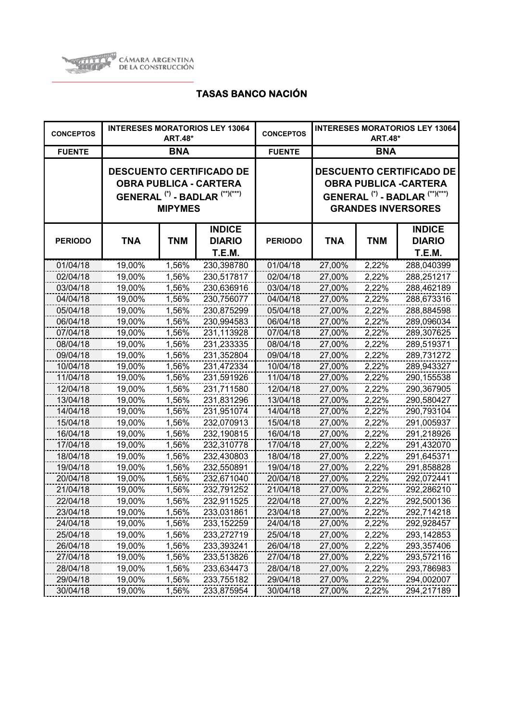

| <b>CONCEPTOS</b> | <b>INTERESES MORATORIOS LEY 13064</b><br><b>ART.48*</b> |                |                                                                                                                          | <b>CONCEPTOS</b> | <b>INTERESES MORATORIOS LEY 13064</b><br><b>ART.48*</b> |            |                                                                                                                                                       |
|------------------|---------------------------------------------------------|----------------|--------------------------------------------------------------------------------------------------------------------------|------------------|---------------------------------------------------------|------------|-------------------------------------------------------------------------------------------------------------------------------------------------------|
| <b>FUENTE</b>    |                                                         | <b>BNA</b>     |                                                                                                                          | <b>FUENTE</b>    | <b>BNA</b>                                              |            |                                                                                                                                                       |
|                  |                                                         | <b>MIPYMES</b> | <b>DESCUENTO CERTIFICADO DE</b><br><b>OBRA PUBLICA - CARTERA</b><br>GENERAL <sup>(*)</sup> - BADLAR <sup>(**)(***)</sup> |                  |                                                         |            | <b>DESCUENTO CERTIFICADO DE</b><br><b>OBRA PUBLICA - CARTERA</b><br>GENERAL <sup>(*)</sup> - BADLAR <sup>(**)(***)</sup><br><b>GRANDES INVERSORES</b> |
| <b>PERIODO</b>   | <b>TNA</b>                                              | <b>TNM</b>     | <b>INDICE</b><br><b>DIARIO</b><br>T.E.M.                                                                                 | <b>PERIODO</b>   | TNA                                                     | <b>TNM</b> | <b>INDICE</b><br><b>DIARIO</b><br>T.E.M.                                                                                                              |
| 01/04/18         | 19,00%                                                  | 1,56%          | 230,398780                                                                                                               | 01/04/18         | 27,00%                                                  | 2,22%      | 288,040399                                                                                                                                            |
| 02/04/18         | 19,00%                                                  | 1,56%          | 230,517817                                                                                                               | 02/04/18         | 27,00%                                                  | 2,22%      | 288,251217                                                                                                                                            |
| 03/04/18         | 19,00%                                                  | 1,56%          | 230,636916                                                                                                               | 03/04/18         | 27,00%                                                  | 2,22%      | 288,462189                                                                                                                                            |
| 04/04/18         | 19,00%                                                  | 1,56%          | 230,756077                                                                                                               | 04/04/18         | 27,00%                                                  | 2,22%      | 288,673316                                                                                                                                            |
| 05/04/18         | 19,00%                                                  | 1,56%          | 230,875299                                                                                                               | 05/04/18         | 27,00%                                                  | 2,22%      | 288,884598                                                                                                                                            |
| 06/04/18         | 19,00%                                                  | 1,56%          | 230,994583                                                                                                               | 06/04/18         | 27,00%                                                  | 2,22%      | 289,096034                                                                                                                                            |
| 07/04/18         | 19,00%                                                  | 1,56%          | 231,113928                                                                                                               | 07/04/18         | 27,00%                                                  | 2,22%      | 289,307625                                                                                                                                            |
| 08/04/18         | 19,00%                                                  | 1,56%          | 231,233335                                                                                                               | 08/04/18         | 27,00%                                                  | 2,22%      | 289,519371                                                                                                                                            |
| 09/04/18         | 19,00%                                                  | 1,56%          | 231,352804                                                                                                               | 09/04/18         | 27,00%                                                  | 2,22%      | 289,731272                                                                                                                                            |
| 10/04/18         | 19,00%                                                  | 1,56%          | 231,472334                                                                                                               | 10/04/18         | 27,00%                                                  | 2,22%      | 289,943327                                                                                                                                            |
| 11/04/18         | 19,00%                                                  | 1,56%          | 231,591926                                                                                                               | 11/04/18         | 27,00%                                                  | 2,22%      | 290,155538                                                                                                                                            |
| 12/04/18         | 19,00%                                                  | 1,56%          | 231,711580                                                                                                               | 12/04/18         | 27,00%                                                  | 2,22%      | 290,367905                                                                                                                                            |
| 13/04/18         | 19,00%                                                  | 1,56%          | 231,831296                                                                                                               | 13/04/18         | 27,00%                                                  | 2,22%      | 290,580427                                                                                                                                            |
| 14/04/18         | 19,00%                                                  | 1,56%          | 231,951074                                                                                                               | 14/04/18         | 27,00%                                                  | 2,22%      | 290,793104                                                                                                                                            |
| 15/04/18         | 19,00%                                                  | 1,56%          | 232,070913                                                                                                               | 15/04/18         | 27,00%                                                  | 2,22%      | 291,005937                                                                                                                                            |
| 16/04/18         | 19,00%                                                  | 1,56%          | 232,190815                                                                                                               | 16/04/18         | 27,00%                                                  | 2,22%      | 291,218926                                                                                                                                            |
| 17/04/18         | 19,00%                                                  | 1,56%          | 232,310778                                                                                                               | 17/04/18         | 27,00%                                                  | 2,22%      | 291,432070                                                                                                                                            |
| 18/04/18         | 19,00%                                                  | 1,56%          | 232,430803                                                                                                               | 18/04/18         | 27,00%                                                  | 2,22%      | 291,645371                                                                                                                                            |
| 19/04/18         | 19,00%                                                  | 1,56%          | 232,550891                                                                                                               | 19/04/18         | 27,00%                                                  | 2,22%      | 291,858828                                                                                                                                            |
| 20/04/18         | 19,00%                                                  | 1,56%          | 232,671040                                                                                                               | 20/04/18         | 27,00%                                                  | 2,22%      | 292,072441                                                                                                                                            |
| 21/04/18         | 19,00%                                                  | 1,56%          | 232,791252                                                                                                               | 21/04/18         | 27,00%                                                  | 2,22%      | 292,286210                                                                                                                                            |
| 22/04/18         | 19,00%                                                  | 1,56%          | 232,911525                                                                                                               | 22/04/18         | 27,00%                                                  | 2,22%      | 292,500136                                                                                                                                            |
| 23/04/18         | 19,00%                                                  | 1,56%          | 233,031861                                                                                                               | 23/04/18         | 27,00%                                                  | 2,22%      | 292,714218                                                                                                                                            |
| 24/04/18         | 19,00%                                                  | 1,56%          | 233, 152259                                                                                                              | 24/04/18         | 27,00%                                                  | 2,22%      | 292,928457                                                                                                                                            |
| 25/04/18         | 19,00%                                                  | 1,56%          | 233,272719                                                                                                               | 25/04/18         | 27,00%                                                  | 2,22%      | 293,142853                                                                                                                                            |
| 26/04/18         | 19,00%                                                  | 1,56%          | 233,393241                                                                                                               | 26/04/18         | 27,00%                                                  | 2,22%      | 293,357406                                                                                                                                            |
| 27/04/18         | 19,00%                                                  | 1,56%          | 233,513826                                                                                                               | 27/04/18         | 27,00%                                                  | 2,22%      | 293,572116                                                                                                                                            |
| 28/04/18         | 19,00%                                                  | 1,56%          | 233,634473                                                                                                               | 28/04/18         | 27,00%                                                  | 2,22%      | 293,786983                                                                                                                                            |
| 29/04/18         | 19,00%                                                  | 1,56%          | 233,755182                                                                                                               | 29/04/18         | 27,00%                                                  | 2,22%      | 294,002007                                                                                                                                            |
| 30/04/18         | 19,00%                                                  | 1,56%          | 233,875954                                                                                                               | 30/04/18         | 27,00%                                                  | 2,22%      | 294,217189                                                                                                                                            |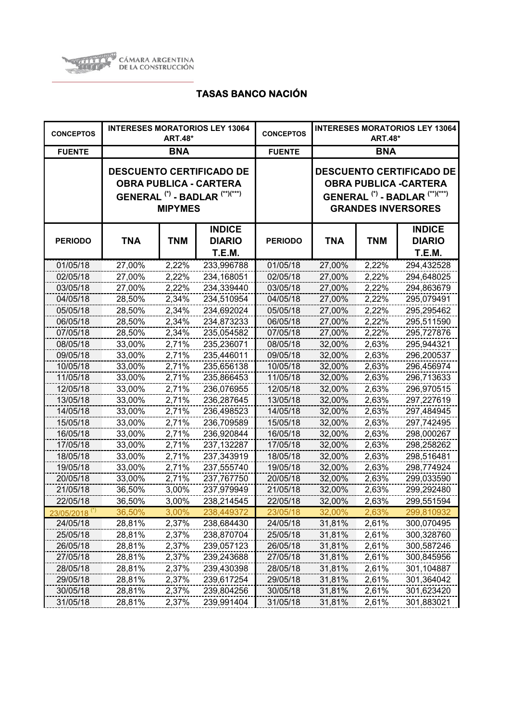

| <b>CONCEPTOS</b>          | <b>INTERESES MORATORIOS LEY 13064</b><br><b>ART.48*</b> |                |                                                                                                                          | <b>CONCEPTOS</b> | <b>INTERESES MORATORIOS LEY 13064</b><br><b>ART.48*</b>                                                                                              |            |                                          |
|---------------------------|---------------------------------------------------------|----------------|--------------------------------------------------------------------------------------------------------------------------|------------------|------------------------------------------------------------------------------------------------------------------------------------------------------|------------|------------------------------------------|
| <b>FUENTE</b>             |                                                         | <b>BNA</b>     |                                                                                                                          | <b>FUENTE</b>    | <b>BNA</b>                                                                                                                                           |            |                                          |
|                           |                                                         | <b>MIPYMES</b> | <b>DESCUENTO CERTIFICADO DE</b><br><b>OBRA PUBLICA - CARTERA</b><br>GENERAL <sup>(*)</sup> - BADLAR <sup>(**)(***)</sup> |                  | <b>DESCUENTO CERTIFICADO DE</b><br><b>OBRA PUBLICA -CARTERA</b><br>GENERAL <sup>(*)</sup> - BADLAR <sup>(**)(***)</sup><br><b>GRANDES INVERSORES</b> |            |                                          |
| <b>PERIODO</b>            | <b>TNA</b>                                              | <b>TNM</b>     | <b>INDICE</b><br><b>DIARIO</b><br>T.E.M.                                                                                 | <b>PERIODO</b>   | <b>TNA</b>                                                                                                                                           | <b>TNM</b> | <b>INDICE</b><br><b>DIARIO</b><br>T.E.M. |
| 01/05/18                  | 27,00%                                                  | 2,22%          | 233,996788                                                                                                               | 01/05/18         | 27,00%                                                                                                                                               | 2,22%      | 294,432528                               |
| 02/05/18                  | 27,00%                                                  | 2,22%          | 234,168051                                                                                                               | 02/05/18         | 27,00%                                                                                                                                               | 2,22%      | 294,648025                               |
| 03/05/18                  | 27,00%                                                  | 2,22%          | 234,339440                                                                                                               | 03/05/18         | 27,00%                                                                                                                                               | 2,22%      | 294,863679                               |
| 04/05/18                  | 28,50%                                                  | 2,34%          | 234,510954                                                                                                               | 04/05/18         | 27,00%                                                                                                                                               | 2,22%      | 295,079491                               |
| 05/05/18                  | 28,50%                                                  | 2,34%          | 234,692024                                                                                                               | 05/05/18         | 27,00%                                                                                                                                               | 2,22%      | 295,295462                               |
| 06/05/18                  | 28,50%                                                  | 2,34%          | 234,873233                                                                                                               | 06/05/18         | 27,00%                                                                                                                                               | 2,22%      | 295,511590                               |
| 07/05/18                  | 28,50%                                                  | 2,34%          | 235,054582                                                                                                               | 07/05/18         | 27,00%                                                                                                                                               | 2,22%      | 295,727876                               |
| 08/05/18                  | 33,00%                                                  | 2,71%          | 235,236071                                                                                                               | 08/05/18         | 32,00%                                                                                                                                               | 2,63%      | 295,944321                               |
| 09/05/18                  | 33,00%                                                  | 2,71%          | 235,446011                                                                                                               | 09/05/18         | 32,00%                                                                                                                                               | 2,63%      | 296,200537                               |
| 10/05/18                  | 33,00%                                                  | 2,71%          | 235,656138                                                                                                               | 10/05/18         | 32,00%                                                                                                                                               | 2,63%      | 296,456974                               |
| 11/05/18                  | 33,00%                                                  | 2,71%          | 235,866453                                                                                                               | 11/05/18         | 32,00%                                                                                                                                               | 2,63%      | 296,713633                               |
| 12/05/18                  | 33,00%                                                  | 2,71%          | 236,076955                                                                                                               | 12/05/18         | 32,00%                                                                                                                                               | 2,63%      | 296,970515                               |
| 13/05/18                  | 33,00%                                                  | 2,71%          | 236,287645                                                                                                               | 13/05/18         | 32,00%                                                                                                                                               | 2,63%      | 297,227619                               |
| 14/05/18                  | 33,00%                                                  | 2,71%          | 236,498523                                                                                                               | 14/05/18         | 32,00%                                                                                                                                               | 2,63%      | 297,484945                               |
| 15/05/18                  | 33,00%                                                  | 2,71%          | 236,709589                                                                                                               | 15/05/18         | 32,00%                                                                                                                                               | 2,63%      | 297,742495                               |
| 16/05/18                  | 33,00%                                                  | 2,71%          | 236,920844                                                                                                               | 16/05/18         | 32,00%                                                                                                                                               | 2,63%      | 298,000267                               |
| 17/05/18                  | 33,00%                                                  | 2,71%          | 237,132287                                                                                                               | 17/05/18         | 32,00%                                                                                                                                               | 2,63%      | 298,258262                               |
| 18/05/18                  | 33,00%                                                  | 2,71%          | 237,343919                                                                                                               | 18/05/18         | 32,00%                                                                                                                                               | 2,63%      | 298,516481                               |
| 19/05/18                  | 33,00%                                                  | 2,71%          | 237,555740                                                                                                               | 19/05/18         | 32,00%                                                                                                                                               | 2,63%      | 298,774924                               |
| 20/05/18                  | 33,00%                                                  | 2,71%          | 237,767750                                                                                                               | 20/05/18         | 32,00%                                                                                                                                               | 2,63%      | 299,033590                               |
| 21/05/18                  | 36,50%                                                  | 3,00%          | 237,979949                                                                                                               | 21/05/18         | 32,00%                                                                                                                                               | 2,63%      | 299,292480                               |
| 22/05/18                  | 36,50%                                                  | 3,00%          | 238,214545                                                                                                               | 22/05/18         | 32,00%                                                                                                                                               | 2,63%      | 299,551594                               |
| 23/05/2018 <sup>(*)</sup> | 36,50%                                                  | 3,00%          | 238,449372                                                                                                               | 23/05/18         | 32,00%                                                                                                                                               | 2,63%      | 299,810932                               |
| 24/05/18                  | 28,81%                                                  | 2,37%          | 238,684430                                                                                                               | 24/05/18         | 31,81%                                                                                                                                               | 2,61%      | 300,070495                               |
| 25/05/18                  | 28,81%                                                  | 2,37%          | 238,870704                                                                                                               | 25/05/18         | 31,81%                                                                                                                                               | 2,61%      | 300,328760                               |
| 26/05/18                  | 28,81%                                                  | 2,37%          | 239,057123                                                                                                               | 26/05/18         | 31,81%                                                                                                                                               | 2,61%      | 300,587246                               |
| 27/05/18                  | 28,81%                                                  | 2,37%          | 239,243688                                                                                                               | 27/05/18         | 31,81%                                                                                                                                               | 2,61%      | 300,845956                               |
| 28/05/18                  | 28,81%                                                  | 2,37%          | 239,430398                                                                                                               | 28/05/18         | 31,81%                                                                                                                                               | 2,61%      | 301,104887                               |
| 29/05/18                  | 28,81%                                                  | 2,37%          | 239,617254                                                                                                               | 29/05/18         | 31,81%                                                                                                                                               | 2,61%      | 301,364042                               |
| 30/05/18                  | 28,81%                                                  | 2,37%          | 239,804256                                                                                                               | 30/05/18         | 31,81%                                                                                                                                               | 2,61%      | 301,623420                               |
| 31/05/18                  | 28,81%                                                  | 2,37%          | 239,991404                                                                                                               | 31/05/18         | 31,81%                                                                                                                                               | 2,61%      | 301,883021                               |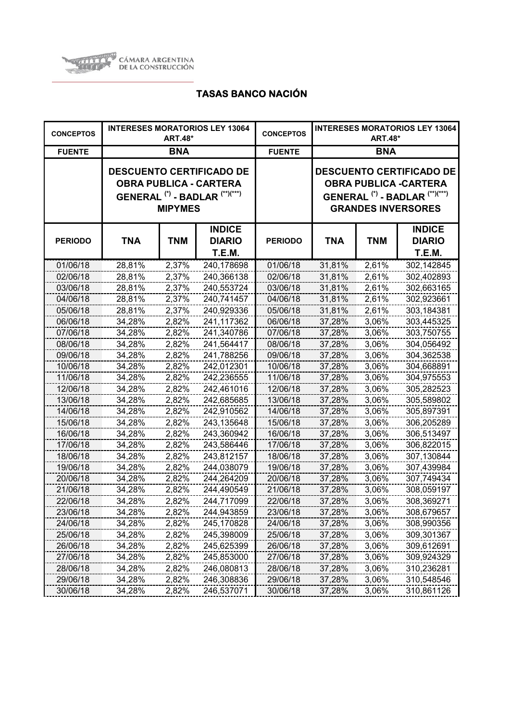

| <b>CONCEPTOS</b> |            | <b>ART.48*</b> | <b>INTERESES MORATORIOS LEY 13064</b>                                                                  | <b>CONCEPTOS</b> | <b>INTERESES MORATORIOS LEY 13064</b><br><b>ART.48*</b> |            |                                                                                                                                                      |
|------------------|------------|----------------|--------------------------------------------------------------------------------------------------------|------------------|---------------------------------------------------------|------------|------------------------------------------------------------------------------------------------------------------------------------------------------|
| <b>FUENTE</b>    |            | <b>BNA</b>     |                                                                                                        | <b>FUENTE</b>    | <b>BNA</b>                                              |            |                                                                                                                                                      |
|                  |            | <b>MIPYMES</b> | <b>DESCUENTO CERTIFICADO DE</b><br><b>OBRA PUBLICA - CARTERA</b><br>GENERAL $(*)$ - BADLAR $(**)(***)$ |                  |                                                         |            | <b>DESCUENTO CERTIFICADO DE</b><br><b>OBRA PUBLICA -CARTERA</b><br>GENERAL <sup>(*)</sup> - BADLAR <sup>(**)(***)</sup><br><b>GRANDES INVERSORES</b> |
| <b>PERIODO</b>   | <b>TNA</b> | <b>TNM</b>     | <b>INDICE</b><br><b>DIARIO</b><br>T.E.M.                                                               | <b>PERIODO</b>   | TNA                                                     | <b>TNM</b> | <b>INDICE</b><br><b>DIARIO</b><br>T.E.M.                                                                                                             |
| 01/06/18         | 28,81%     | 2,37%          | 240,178698                                                                                             | 01/06/18         | 31,81%                                                  | 2,61%      | 302,142845                                                                                                                                           |
| 02/06/18         | 28,81%     | 2,37%          | 240,366138                                                                                             | 02/06/18         | 31,81%                                                  | 2,61%      | 302,402893                                                                                                                                           |
| 03/06/18         | 28,81%     | 2,37%          | 240,553724                                                                                             | 03/06/18         | 31,81%                                                  | 2,61%      | 302,663165                                                                                                                                           |
| 04/06/18         | 28,81%     | 2,37%          | 240,741457                                                                                             | 04/06/18         | 31,81%                                                  | 2,61%      | 302,923661                                                                                                                                           |
| 05/06/18         | 28,81%     | 2,37%          | 240,929336                                                                                             | 05/06/18         | 31,81%                                                  | 2,61%      | 303,184381                                                                                                                                           |
| 06/06/18         | 34,28%     | 2,82%          | 241,117362                                                                                             | 06/06/18         | 37,28%                                                  | 3,06%      | 303,445325                                                                                                                                           |
| 07/06/18         | 34,28%     | 2,82%          | 241,340786                                                                                             | 07/06/18         | 37,28%                                                  | 3,06%      | 303,750755                                                                                                                                           |
| 08/06/18         | 34,28%     | 2,82%          | 241,564417                                                                                             | 08/06/18         | 37,28%                                                  | 3,06%      | 304,056492                                                                                                                                           |
| 09/06/18         | 34,28%     | 2,82%          | 241,788256                                                                                             | 09/06/18         | 37,28%                                                  | 3,06%      | 304,362538                                                                                                                                           |
| 10/06/18         | 34,28%     | 2,82%          | 242,012301                                                                                             | 10/06/18         | 37,28%                                                  | 3,06%      | 304,668891                                                                                                                                           |
| 11/06/18         | 34,28%     | 2,82%          | 242,236555                                                                                             | 11/06/18         | 37,28%                                                  | 3,06%      | 304,975553                                                                                                                                           |
| 12/06/18         | 34,28%     | 2,82%          | 242,461016                                                                                             | 12/06/18         | 37,28%                                                  | 3,06%      | 305,282523                                                                                                                                           |
| 13/06/18         | 34,28%     | 2,82%          | 242,685685                                                                                             | 13/06/18         | 37,28%                                                  | 3,06%      | 305,589802                                                                                                                                           |
| 14/06/18         | 34,28%     | 2,82%          | 242,910562                                                                                             | 14/06/18         | 37,28%                                                  | 3,06%      | 305,897391                                                                                                                                           |
| 15/06/18         | 34,28%     | 2,82%          | 243,135648                                                                                             | 15/06/18         | 37,28%                                                  | 3,06%      | 306,205289                                                                                                                                           |
| 16/06/18         | 34,28%     | 2,82%          | 243,360942                                                                                             | 16/06/18         | 37,28%                                                  | 3,06%      | 306,513497                                                                                                                                           |
| 17/06/18         | 34,28%     | 2,82%          | 243,586446                                                                                             | 17/06/18         | 37,28%                                                  | 3,06%      | 306,822015                                                                                                                                           |
| 18/06/18         | 34,28%     | 2,82%          | 243,812157                                                                                             | 18/06/18         | 37,28%                                                  | 3,06%      | 307,130844                                                                                                                                           |
| 19/06/18         | 34,28%     | 2,82%          | 244,038079                                                                                             | 19/06/18         | 37,28%                                                  | 3,06%      | 307,439984                                                                                                                                           |
| 20/06/18         | 34,28%     | 2,82%          | 244,264209                                                                                             | 20/06/18         | 37,28%                                                  | 3,06%      | 307,749434                                                                                                                                           |
| 21/06/18         | 34,28%     | 2,82%          | 244,490549                                                                                             | 21/06/18         | 37,28%                                                  | 3,06%      | 308,059197                                                                                                                                           |
| 22/06/18         | 34,28%     | 2,82%          | 244,717099                                                                                             | 22/06/18         | 37,28%                                                  | 3,06%      | 308,369271                                                                                                                                           |
| 23/06/18         | 34,28%     | 2,82%          | 244,943859                                                                                             | 23/06/18         | 37,28%                                                  | 3,06%      | 308,679657                                                                                                                                           |
| 24/06/18         | 34,28%     | 2,82%          | 245,170828                                                                                             | 24/06/18         | 37,28%                                                  | 3,06%      | 308,990356                                                                                                                                           |
| 25/06/18         | 34,28%     | 2,82%          | 245,398009                                                                                             | 25/06/18         | 37,28%                                                  | 3,06%      | 309,301367                                                                                                                                           |
| 26/06/18         | 34,28%     | 2,82%          | 245,625399                                                                                             | 26/06/18         | 37,28%                                                  | 3,06%      | 309,612691                                                                                                                                           |
| 27/06/18         | 34,28%     | 2,82%          | 245,853000                                                                                             | 27/06/18         | 37,28%                                                  | 3,06%      | 309,924329                                                                                                                                           |
| 28/06/18         | 34,28%     | 2,82%          | 246,080813                                                                                             | 28/06/18         | 37,28%                                                  | 3,06%      | 310,236281                                                                                                                                           |
| 29/06/18         | 34,28%     | 2,82%          | 246,308836                                                                                             | 29/06/18         | 37,28%                                                  | 3,06%      | 310,548546                                                                                                                                           |
| 30/06/18         | 34,28%     | 2,82%          | 246,537071                                                                                             | 30/06/18         | 37,28%                                                  | 3,06%      | 310,861126                                                                                                                                           |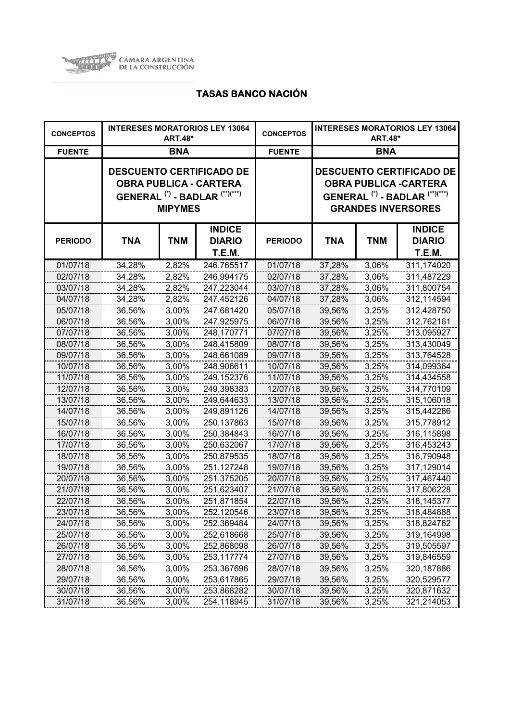

| <b>CONCEPTOS</b> | <b>INTERESES MORATORIOS LEY 13064</b><br><b>ART.48*</b> |                |                                                                                                                          | <b>CONCEPTOS</b> | <b>INTERESES MORATORIOS LEY 13064</b><br><b>ART.48*</b>                                                                                              |            |                                                 |  |
|------------------|---------------------------------------------------------|----------------|--------------------------------------------------------------------------------------------------------------------------|------------------|------------------------------------------------------------------------------------------------------------------------------------------------------|------------|-------------------------------------------------|--|
| <b>FUENTE</b>    |                                                         | <b>BNA</b>     |                                                                                                                          | <b>FUENTE</b>    | <b>BNA</b>                                                                                                                                           |            |                                                 |  |
|                  |                                                         | <b>MIPYMES</b> | <b>DESCUENTO CERTIFICADO DE</b><br><b>OBRA PUBLICA - CARTERA</b><br>GENERAL <sup>(*)</sup> - BADLAR <sup>(**)(***)</sup> |                  | <b>DESCUENTO CERTIFICADO DE</b><br><b>OBRA PUBLICA -CARTERA</b><br>GENERAL <sup>(*)</sup> - BADLAR <sup>(**)(***)</sup><br><b>GRANDES INVERSORES</b> |            |                                                 |  |
| <b>PERIODO</b>   | <b>TNA</b>                                              | <b>TNM</b>     | <b>INDICE</b><br><b>DIARIO</b><br><b>T.E.M.</b>                                                                          | <b>PERIODO</b>   | <b>TNA</b>                                                                                                                                           | <b>TNM</b> | <b>INDICE</b><br><b>DIARIO</b><br><b>T.E.M.</b> |  |
| 01/07/18         | 34,28%                                                  | 2,82%          | 246,765517                                                                                                               | 01/07/18         | 37,28%                                                                                                                                               | 3,06%      | 311,174020                                      |  |
| 02/07/18         | 34,28%                                                  | 2,82%          | 246,994175                                                                                                               | 02/07/18         | 37,28%                                                                                                                                               | 3,06%      | 311,487229                                      |  |
| 03/07/18         | 34,28%                                                  | 2,82%          | 247,223044                                                                                                               | 03/07/18         | 37,28%                                                                                                                                               | 3,06%      | 311,800754                                      |  |
| 04/07/18         | 34,28%                                                  | 2,82%          | 247,452126                                                                                                               | 04/07/18         | 37,28%                                                                                                                                               | 3,06%      | 312,114594                                      |  |
| 05/07/18         | 36,56%                                                  | 3,00%          | 247,681420                                                                                                               | 05/07/18         | 39,56%                                                                                                                                               | 3,25%      | 312,428750                                      |  |
| 06/07/18         | 36,56%                                                  | 3,00%          | 247,925975                                                                                                               | 06/07/18         | 39,56%                                                                                                                                               | 3,25%      | 312,762161                                      |  |
| 07/07/18         | 36,56%                                                  | 3,00%          | 248,170771                                                                                                               | 07/07/18         | 39,56%                                                                                                                                               | 3,25%      | 313,095927                                      |  |
| 08/07/18         | 36,56%                                                  | 3,00%          | 248,415809                                                                                                               | 08/07/18         | 39,56%                                                                                                                                               | 3,25%      | 313,430049                                      |  |
| 09/07/18         | 36,56%                                                  | 3,00%          | 248,661089                                                                                                               | 09/07/18         | 39,56%                                                                                                                                               | 3,25%      | 313,764528                                      |  |
| 10/07/18         | 36,56%                                                  | 3,00%          | 248,906611                                                                                                               | 10/07/18         | 39,56%                                                                                                                                               | 3,25%      | 314,099364                                      |  |
| 11/07/18         | 36,56%                                                  | 3,00%          | 249,152376                                                                                                               | 11/07/18         | 39,56%                                                                                                                                               | 3,25%      | 314,434558                                      |  |
| 12/07/18         | 36,56%                                                  | 3,00%          | 249,398383                                                                                                               | 12/07/18         | 39,56%                                                                                                                                               | 3,25%      | 314,770109                                      |  |
| 13/07/18         | 36,56%                                                  | 3,00%          | 249,644633                                                                                                               | 13/07/18         | 39,56%                                                                                                                                               | 3,25%      | 315,106018                                      |  |
| 14/07/18         | 36,56%                                                  | 3,00%          | 249,891126                                                                                                               | 14/07/18         | 39,56%                                                                                                                                               | 3,25%      | 315,442286                                      |  |
| 15/07/18         | 36,56%                                                  | 3,00%          | 250,137863                                                                                                               | 15/07/18         | 39,56%                                                                                                                                               | 3,25%      | 315,778912                                      |  |
| 16/07/18         | 36,56%                                                  | 3,00%          | 250,384843                                                                                                               | 16/07/18         | 39,56%                                                                                                                                               | 3,25%      | 316,115898                                      |  |
| 17/07/18         | 36,56%                                                  | 3,00%          | 250,632067                                                                                                               | 17/07/18         | 39,56%                                                                                                                                               | 3,25%      | 316,453243                                      |  |
| 18/07/18         | 36,56%                                                  | 3,00%          | 250,879535                                                                                                               | 18/07/18         | 39,56%                                                                                                                                               | 3,25%      | 316,790948                                      |  |
| 19/07/18         | 36,56%                                                  | 3,00%          | 251,127248                                                                                                               | 19/07/18         | 39,56%                                                                                                                                               | 3,25%      | 317,129014                                      |  |
| 20/07/18         | 36,56%                                                  | 3,00%          | 251,375205                                                                                                               | 20/07/18         | 39,56%                                                                                                                                               | 3,25%      | 317,467440                                      |  |
| 21/07/18         | 36,56%                                                  | 3,00%          | 251,623407                                                                                                               | 21/07/18         | 39,56%                                                                                                                                               | 3,25%      | 317,806228                                      |  |
| 22/07/18         | 36,56%                                                  | 3,00%          | 251,871854                                                                                                               | 22/07/18         | 39,56%                                                                                                                                               | 3,25%      | 318,145377                                      |  |
| 23/07/18         | 36,56%                                                  | 3,00%          | 252,120546                                                                                                               | 23/07/18         | 39,56%                                                                                                                                               | 3,25%      | 318,484888                                      |  |
| 24/07/18         | 36,56%                                                  | 3,00%          | 252,369484                                                                                                               | 24/07/18         | 39,56%                                                                                                                                               | 3,25%      | 318,824762                                      |  |
| 25/07/18         | 36,56%                                                  | 3,00%          | 252,618668                                                                                                               | 25/07/18         | 39,56%                                                                                                                                               | 3,25%      | 319,164998                                      |  |
| 26/07/18         | 36,56%                                                  | 3,00%          | 252,868098                                                                                                               | 26/07/18         | 39,56%                                                                                                                                               | 3,25%      | 319,505597                                      |  |
| 27/07/18         | 36,56%                                                  | 3,00%          | 253,117774                                                                                                               | 27/07/18         | 39,56%                                                                                                                                               | 3,25%      | 319,846559                                      |  |
| 28/07/18         | 36,56%                                                  | 3,00%          | 253,367696                                                                                                               | 28/07/18         | 39,56%                                                                                                                                               | 3,25%      | 320,187886                                      |  |
| 29/07/18         | 36,56%                                                  | 3,00%          | 253,617865                                                                                                               | 29/07/18         | 39,56%                                                                                                                                               | 3,25%      | 320,529577                                      |  |
| 30/07/18         | 36,56%                                                  | 3,00%          | 253,868282                                                                                                               | 30/07/18         | 39,56%                                                                                                                                               | 3,25%      | 320,871632                                      |  |
| 31/07/18         | 36,56%                                                  | 3,00%          | 254,118945                                                                                                               | 31/07/18         | 39,56%                                                                                                                                               | 3,25%      | 321,214053                                      |  |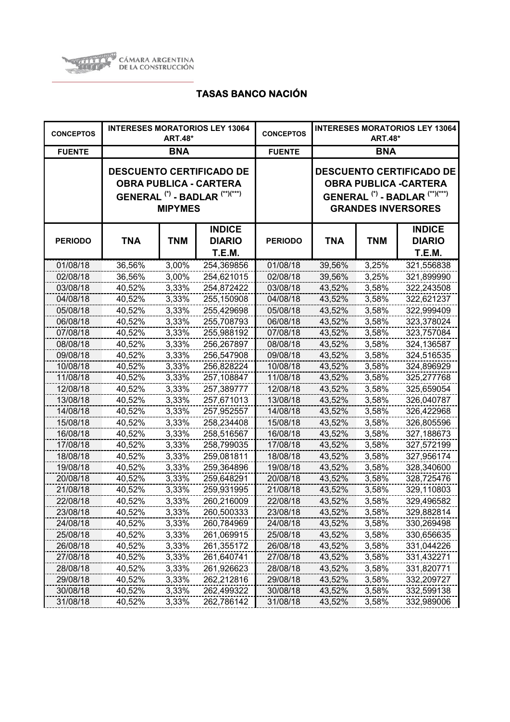

| <b>CONCEPTOS</b> |            | <b>ART.48*</b> | <b>INTERESES MORATORIOS LEY 13064</b>                                                                  | <b>CONCEPTOS</b> | <b>INTERESES MORATORIOS LEY 13064</b><br><b>ART.48*</b>                                                                                              |            |                                          |
|------------------|------------|----------------|--------------------------------------------------------------------------------------------------------|------------------|------------------------------------------------------------------------------------------------------------------------------------------------------|------------|------------------------------------------|
| <b>FUENTE</b>    |            | <b>BNA</b>     |                                                                                                        | <b>FUENTE</b>    | <b>BNA</b>                                                                                                                                           |            |                                          |
|                  |            | <b>MIPYMES</b> | <b>DESCUENTO CERTIFICADO DE</b><br><b>OBRA PUBLICA - CARTERA</b><br>GENERAL $(*)$ - BADLAR $(**)(***)$ |                  | <b>DESCUENTO CERTIFICADO DE</b><br><b>OBRA PUBLICA -CARTERA</b><br>GENERAL <sup>(*)</sup> - BADLAR <sup>(**)(***)</sup><br><b>GRANDES INVERSORES</b> |            |                                          |
| <b>PERIODO</b>   | <b>TNA</b> | <b>TNM</b>     | <b>INDICE</b><br><b>DIARIO</b><br>T.E.M.                                                               | <b>PERIODO</b>   | TNA                                                                                                                                                  | <b>TNM</b> | <b>INDICE</b><br><b>DIARIO</b><br>T.E.M. |
| 01/08/18         | 36,56%     | 3,00%          | 254,369856                                                                                             | 01/08/18         | 39,56%                                                                                                                                               | 3,25%      | 321,556838                               |
| 02/08/18         | 36,56%     | 3,00%          | 254,621015                                                                                             | 02/08/18         | 39,56%                                                                                                                                               | 3,25%      | 321,899990                               |
| 03/08/18         | 40,52%     | 3,33%          | 254,872422                                                                                             | 03/08/18         | 43,52%                                                                                                                                               | 3,58%      | 322,243508                               |
| 04/08/18         | 40,52%     | 3,33%          | 255,150908                                                                                             | 04/08/18         | 43,52%                                                                                                                                               | 3,58%      | 322,621237                               |
| 05/08/18         | 40,52%     | 3,33%          | 255,429698                                                                                             | 05/08/18         | 43,52%                                                                                                                                               | 3,58%      | 322,999409                               |
| 06/08/18         | 40,52%     | 3,33%          | 255,708793                                                                                             | 06/08/18         | 43,52%                                                                                                                                               | 3,58%      | 323,378024                               |
| 07/08/18         | 40,52%     | 3,33%          | 255,988192                                                                                             | 07/08/18         | 43,52%                                                                                                                                               | 3,58%      | 323,757084                               |
| 08/08/18         | 40,52%     | 3,33%          | 256,267897                                                                                             | 08/08/18         | 43,52%                                                                                                                                               | 3,58%      | 324,136587                               |
| 09/08/18         | 40,52%     | 3,33%          | 256,547908                                                                                             | 09/08/18         | 43,52%                                                                                                                                               | 3,58%      | 324,516535                               |
| 10/08/18         | 40,52%     | 3,33%          | 256,828224                                                                                             | 10/08/18         | 43,52%                                                                                                                                               | 3,58%      | 324,896929                               |
| 11/08/18         | 40,52%     | 3,33%          | 257,108847                                                                                             | 11/08/18         | 43,52%                                                                                                                                               | 3,58%      | 325,277768                               |
| 12/08/18         | 40,52%     | 3,33%          | 257,389777                                                                                             | 12/08/18         | 43,52%                                                                                                                                               | 3,58%      | 325,659054                               |
| 13/08/18         | 40,52%     | 3,33%          | 257,671013                                                                                             | 13/08/18         | 43,52%                                                                                                                                               | 3,58%      | 326,040787                               |
| 14/08/18         | 40,52%     | 3,33%          | 257,952557                                                                                             | 14/08/18         | 43,52%                                                                                                                                               | 3,58%      | 326,422968                               |
| 15/08/18         | 40,52%     | 3,33%          | 258,234408                                                                                             | 15/08/18         | 43,52%                                                                                                                                               | 3,58%      | 326,805596                               |
| 16/08/18         | 40,52%     | 3,33%          | 258,516567                                                                                             | 16/08/18         | 43,52%                                                                                                                                               | 3,58%      | 327,188673                               |
| 17/08/18         | 40,52%     | 3,33%          | 258,799035                                                                                             | 17/08/18         | 43,52%                                                                                                                                               | 3,58%      | 327,572199                               |
| 18/08/18         | 40,52%     | 3,33%          | 259,081811                                                                                             | 18/08/18         | 43,52%                                                                                                                                               | 3,58%      | 327,956174                               |
| 19/08/18         | 40,52%     | 3,33%          | 259,364896                                                                                             | 19/08/18         | 43,52%                                                                                                                                               | 3,58%      | 328,340600                               |
| 20/08/18         | 40,52%     | 3,33%          | 259,648291                                                                                             | 20/08/18         | 43,52%                                                                                                                                               | 3,58%      | 328,725476                               |
| 21/08/18         | 40,52%     | 3,33%          | 259,931995                                                                                             | 21/08/18         | 43,52%                                                                                                                                               | 3,58%      | 329,110803                               |
| 22/08/18         | 40,52%     | 3,33%          | 260,216009                                                                                             | 22/08/18         | 43,52%                                                                                                                                               | 3,58%      | 329,496582                               |
| 23/08/18         | 40,52%     | 3,33%          | 260,500333                                                                                             | 23/08/18         | 43,52%                                                                                                                                               | 3,58%      | 329,882814                               |
| 24/08/18         | 40,52%     | 3,33%          | 260,784969                                                                                             | 24/08/18         | 43,52%                                                                                                                                               | 3,58%      | 330,269498                               |
| 25/08/18         | 40,52%     | 3,33%          | 261,069915                                                                                             | 25/08/18         | 43,52%                                                                                                                                               | 3,58%      | 330,656635                               |
| 26/08/18         | 40,52%     | 3,33%          | 261,355172                                                                                             | 26/08/18         | 43,52%                                                                                                                                               | 3,58%      | 331,044226                               |
| 27/08/18         | 40,52%     | 3,33%          | 261,640741                                                                                             | 27/08/18         | 43,52%                                                                                                                                               | 3,58%      | 331,432271                               |
| 28/08/18         | 40,52%     | 3,33%          | 261,926623                                                                                             | 28/08/18         | 43,52%                                                                                                                                               | 3,58%      | 331,820771                               |
| 29/08/18         | 40,52%     | 3,33%          | 262,212816                                                                                             | 29/08/18         | 43,52%                                                                                                                                               | 3,58%      | 332,209727                               |
| 30/08/18         | 40,52%     | 3,33%          | 262,499322                                                                                             | 30/08/18         | 43,52%                                                                                                                                               | 3,58%      | 332,599138                               |
| 31/08/18         | 40,52%     | 3,33%          | 262,786142                                                                                             | 31/08/18         | 43,52%                                                                                                                                               | 3,58%      | 332,989006                               |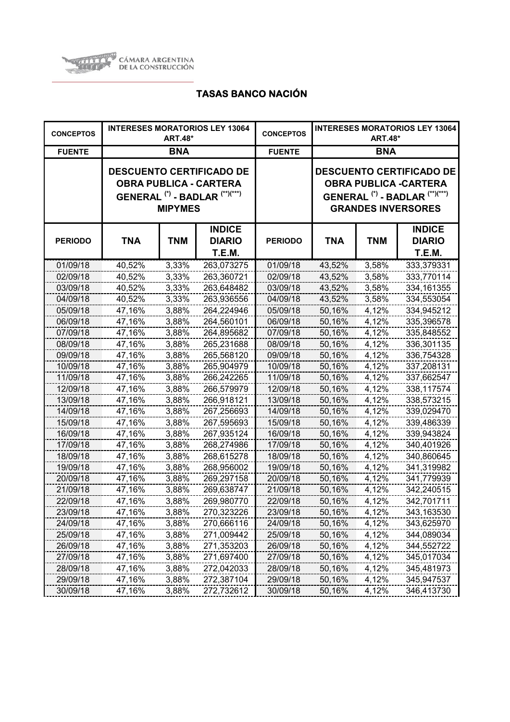

| <b>CONCEPTOS</b> |            | <b>ART.48*</b> | <b>INTERESES MORATORIOS LEY 13064</b>                                                                  | <b>CONCEPTOS</b> | <b>INTERESES MORATORIOS LEY 13064</b><br><b>ART.48*</b> |            |                                                                                                                                                      |
|------------------|------------|----------------|--------------------------------------------------------------------------------------------------------|------------------|---------------------------------------------------------|------------|------------------------------------------------------------------------------------------------------------------------------------------------------|
| <b>FUENTE</b>    |            | <b>BNA</b>     |                                                                                                        | <b>FUENTE</b>    | <b>BNA</b>                                              |            |                                                                                                                                                      |
|                  |            | <b>MIPYMES</b> | <b>DESCUENTO CERTIFICADO DE</b><br><b>OBRA PUBLICA - CARTERA</b><br>GENERAL $(*)$ - BADLAR $(**)(***)$ |                  |                                                         |            | <b>DESCUENTO CERTIFICADO DE</b><br><b>OBRA PUBLICA -CARTERA</b><br>GENERAL <sup>(*)</sup> - BADLAR <sup>(**)(***)</sup><br><b>GRANDES INVERSORES</b> |
| <b>PERIODO</b>   | <b>TNA</b> | <b>TNM</b>     | <b>INDICE</b><br><b>DIARIO</b><br>T.E.M.                                                               | <b>PERIODO</b>   | TNA                                                     | <b>TNM</b> | <b>INDICE</b><br><b>DIARIO</b><br><b>T.E.M.</b>                                                                                                      |
| 01/09/18         | 40,52%     | 3,33%          | 263,073275                                                                                             | 01/09/18         | 43,52%                                                  | 3,58%      | 333,379331                                                                                                                                           |
| 02/09/18         | 40,52%     | 3,33%          | 263,360721                                                                                             | 02/09/18         | 43,52%                                                  | 3,58%      | 333,770114                                                                                                                                           |
| 03/09/18         | 40,52%     | 3,33%          | 263,648482                                                                                             | 03/09/18         | 43,52%                                                  | 3,58%      | 334, 161355                                                                                                                                          |
| 04/09/18         | 40,52%     | 3,33%          | 263,936556                                                                                             | 04/09/18         | 43,52%                                                  | 3,58%      | 334,553054                                                                                                                                           |
| 05/09/18         | 47,16%     | 3,88%          | 264,224946                                                                                             | 05/09/18         | 50,16%                                                  | 4,12%      | 334,945212                                                                                                                                           |
| 06/09/18         | 47,16%     | 3,88%          | 264,560101                                                                                             | 06/09/18         | 50,16%                                                  | 4,12%      | 335,396578                                                                                                                                           |
| 07/09/18         | 47,16%     | 3,88%          | 264,895682                                                                                             | 07/09/18         | 50,16%                                                  | 4,12%      | 335,848552                                                                                                                                           |
| 08/09/18         | 47,16%     | 3,88%          | 265,231688                                                                                             | 08/09/18         | 50,16%                                                  | 4,12%      | 336,301135                                                                                                                                           |
| 09/09/18         | 47,16%     | 3,88%          | 265,568120                                                                                             | 09/09/18         | 50,16%                                                  | 4,12%      | 336,754328                                                                                                                                           |
| 10/09/18         | 47,16%     | 3,88%          | 265,904979                                                                                             | 10/09/18         | 50,16%                                                  | 4,12%      | 337,208131                                                                                                                                           |
| 11/09/18         | 47,16%     | 3,88%          | 266,242265                                                                                             | 11/09/18         | 50,16%                                                  | 4,12%      | 337,662547                                                                                                                                           |
| 12/09/18         | 47,16%     | 3,88%          | 266,579979                                                                                             | 12/09/18         | 50,16%                                                  | 4,12%      | 338,117574                                                                                                                                           |
| 13/09/18         | 47,16%     | 3,88%          | 266,918121                                                                                             | 13/09/18         | 50,16%                                                  | 4,12%      | 338,573215                                                                                                                                           |
| 14/09/18         | 47,16%     | 3,88%          | 267,256693                                                                                             | 14/09/18         | 50,16%                                                  | 4,12%      | 339,029470                                                                                                                                           |
| 15/09/18         | 47,16%     | 3,88%          | 267,595693                                                                                             | 15/09/18         | 50,16%                                                  | 4,12%      | 339,486339                                                                                                                                           |
| 16/09/18         | 47,16%     | 3,88%          | 267,935124                                                                                             | 16/09/18         | 50,16%                                                  | 4,12%      | 339,943824                                                                                                                                           |
| 17/09/18         | 47,16%     | 3,88%          | 268,274986                                                                                             | 17/09/18         | 50,16%                                                  | 4,12%      | 340,401926                                                                                                                                           |
| 18/09/18         | 47,16%     | 3,88%          | 268,615278                                                                                             | 18/09/18         | 50,16%                                                  | 4,12%      | 340,860645                                                                                                                                           |
| 19/09/18         | 47,16%     | 3,88%          | 268,956002                                                                                             | 19/09/18         | 50,16%                                                  | 4,12%      | 341,319982                                                                                                                                           |
| 20/09/18         | 47,16%     | 3,88%          | 269,297158                                                                                             | 20/09/18         | 50,16%                                                  | 4,12%      | 341,779939                                                                                                                                           |
| 21/09/18         | 47,16%     | 3,88%          | 269,638747                                                                                             | 21/09/18         | 50,16%                                                  | 4,12%      | 342,240515                                                                                                                                           |
| 22/09/18         | 47,16%     | 3,88%          | 269,980770                                                                                             | 22/09/18         | 50,16%                                                  | 4,12%      | 342,701711                                                                                                                                           |
| 23/09/18         | 47,16%     | 3,88%          | 270,323226                                                                                             | 23/09/18         | 50,16%                                                  | 4,12%      | 343,163530                                                                                                                                           |
| 24/09/18         | 47,16%     | 3,88%          | 270,666116                                                                                             | 24/09/18         | 50,16%                                                  | 4,12%      | 343,625970                                                                                                                                           |
| 25/09/18         | 47,16%     | 3,88%          | 271,009442                                                                                             | 25/09/18         | 50,16%                                                  | 4,12%      | 344,089034                                                                                                                                           |
| 26/09/18         | 47,16%     | 3,88%          | 271,353203                                                                                             | 26/09/18         | 50,16%                                                  | 4,12%      | 344,552722                                                                                                                                           |
| 27/09/18         | 47,16%     | 3,88%          | 271,697400                                                                                             | 27/09/18         | 50,16%                                                  | 4,12%      | 345,017034                                                                                                                                           |
| 28/09/18         | 47,16%     | 3,88%          | 272,042033                                                                                             | 28/09/18         | 50,16%                                                  | 4,12%      | 345,481973                                                                                                                                           |
| 29/09/18         | 47,16%     | 3,88%          | 272,387104                                                                                             | 29/09/18         | 50,16%                                                  | 4,12%      | 345,947537                                                                                                                                           |
| 30/09/18         | 47,16%     | 3,88%          | 272,732612                                                                                             | 30/09/18         | 50,16%                                                  | 4,12%      | 346,413730                                                                                                                                           |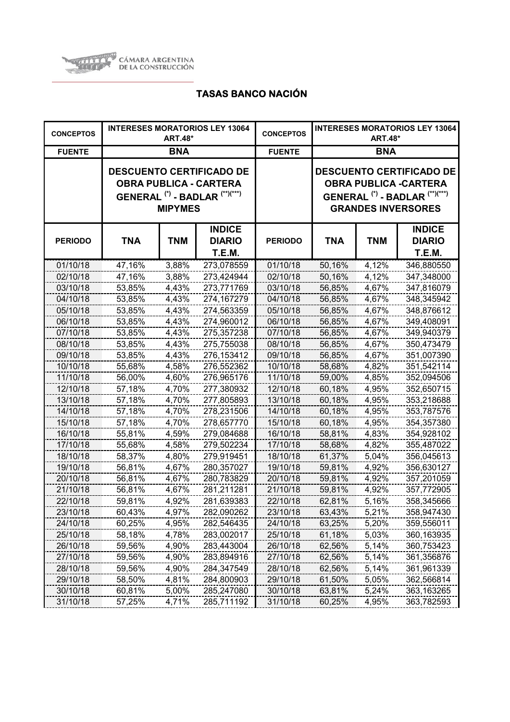

| <b>CONCEPTOS</b> | <b>INTERESES MORATORIOS LEY 13064</b><br><b>ART.48*</b> |                |                                                                                                                          | <b>CONCEPTOS</b> | <b>INTERESES MORATORIOS LEY 13064</b><br><b>ART.48*</b>                                                                                              |            |                                          |
|------------------|---------------------------------------------------------|----------------|--------------------------------------------------------------------------------------------------------------------------|------------------|------------------------------------------------------------------------------------------------------------------------------------------------------|------------|------------------------------------------|
| <b>FUENTE</b>    |                                                         | <b>BNA</b>     |                                                                                                                          | <b>FUENTE</b>    | <b>BNA</b>                                                                                                                                           |            |                                          |
|                  |                                                         | <b>MIPYMES</b> | <b>DESCUENTO CERTIFICADO DE</b><br><b>OBRA PUBLICA - CARTERA</b><br>GENERAL <sup>(*)</sup> - BADLAR <sup>(**)(***)</sup> |                  | <b>DESCUENTO CERTIFICADO DE</b><br><b>OBRA PUBLICA -CARTERA</b><br>GENERAL <sup>(*)</sup> - BADLAR <sup>(**)(***)</sup><br><b>GRANDES INVERSORES</b> |            |                                          |
| <b>PERIODO</b>   | <b>TNA</b>                                              | <b>TNM</b>     | <b>INDICE</b><br><b>DIARIO</b><br>T.E.M.                                                                                 | <b>PERIODO</b>   | <b>TNA</b>                                                                                                                                           | <b>TNM</b> | <b>INDICE</b><br><b>DIARIO</b><br>T.E.M. |
| 01/10/18         | 47,16%                                                  | 3,88%          | 273,078559                                                                                                               | 01/10/18         | 50,16%                                                                                                                                               | 4,12%      | 346,880550                               |
| 02/10/18         | 47,16%                                                  | 3,88%          | 273,424944                                                                                                               | 02/10/18         | 50,16%                                                                                                                                               | 4,12%      | 347,348000                               |
| 03/10/18         | 53,85%                                                  | 4,43%          | 273,771769                                                                                                               | 03/10/18         | 56,85%                                                                                                                                               | 4,67%      | 347,816079                               |
| 04/10/18         | 53,85%                                                  | 4,43%          | 274,167279                                                                                                               | 04/10/18         | 56,85%                                                                                                                                               | 4,67%      | 348,345942                               |
| 05/10/18         | 53,85%                                                  | 4,43%          | 274,563359                                                                                                               | 05/10/18         | 56,85%                                                                                                                                               | 4,67%      | 348,876612                               |
| 06/10/18         | 53,85%                                                  | 4,43%          | 274,960012                                                                                                               | 06/10/18         | 56,85%                                                                                                                                               | 4,67%      | 349,408091                               |
| 07/10/18         | 53,85%                                                  | 4,43%          | 275,357238                                                                                                               | 07/10/18         | 56,85%                                                                                                                                               | 4,67%      | 349,940379                               |
| 08/10/18         | 53,85%                                                  | 4,43%          | 275,755038                                                                                                               | 08/10/18         | 56,85%                                                                                                                                               | 4,67%      | 350,473479                               |
| 09/10/18         | 53,85%                                                  | 4,43%          | 276,153412                                                                                                               | 09/10/18         | 56,85%                                                                                                                                               | 4,67%      | 351,007390                               |
| 10/10/18         | 55,68%                                                  | 4,58%          | 276,552362                                                                                                               | 10/10/18         | 58,68%                                                                                                                                               | 4,82%      | 351,542114                               |
| 11/10/18         | 56,00%                                                  | 4,60%          | 276,965176                                                                                                               | 11/10/18         | 59,00%                                                                                                                                               | 4,85%      | 352,094506                               |
| 12/10/18         | 57,18%                                                  | 4,70%          | 277,380932                                                                                                               | 12/10/18         | 60,18%                                                                                                                                               | 4,95%      | 352,650715                               |
| 13/10/18         | 57,18%                                                  | 4,70%          | 277,805893                                                                                                               | 13/10/18         | 60,18%                                                                                                                                               | 4,95%      | 353,218688                               |
| 14/10/18         | 57,18%                                                  | 4,70%          | 278,231506                                                                                                               | 14/10/18         | 60,18%                                                                                                                                               | 4,95%      | 353,787576                               |
| 15/10/18         | 57,18%                                                  | 4,70%          | 278,657770                                                                                                               | 15/10/18         | 60,18%                                                                                                                                               | 4,95%      | 354,357380                               |
| 16/10/18         | 55,81%                                                  | 4,59%          | 279,084688                                                                                                               | 16/10/18         | 58,81%                                                                                                                                               | 4,83%      | 354,928102                               |
| 17/10/18         | 55,68%                                                  | 4,58%          | 279,502234                                                                                                               | 17/10/18         | 58,68%                                                                                                                                               | 4,82%      | 355,487022                               |
| 18/10/18         | 58,37%                                                  | 4,80%          | 279,919451                                                                                                               | 18/10/18         | 61,37%                                                                                                                                               | 5,04%      | 356,045613                               |
| 19/10/18         | 56,81%                                                  | 4,67%          | 280,357027                                                                                                               | 19/10/18         | 59,81%                                                                                                                                               | 4,92%      | 356,630127                               |
| 20/10/18         | 56,81%                                                  | 4,67%          | 280,783829                                                                                                               | 20/10/18         | 59,81%                                                                                                                                               | 4,92%      | 357,201059                               |
| 21/10/18         | 56,81%                                                  | 4,67%          | 281,211281                                                                                                               | 21/10/18         | 59,81%                                                                                                                                               | 4,92%      | 357,772905                               |
| 22/10/18         | 59,81%                                                  | 4,92%          | 281,639383                                                                                                               | 22/10/18         | 62,81%                                                                                                                                               | 5,16%      | 358,345666                               |
| 23/10/18         | 60,43%                                                  | 4,97%          | 282,090262                                                                                                               | 23/10/18         | 63,43%                                                                                                                                               | 5,21%      | 358,947430                               |
| 24/10/18         | 60,25%                                                  | 4,95%          | 282,546435                                                                                                               | 24/10/18         | 63,25%                                                                                                                                               | 5,20%      | 359,556011                               |
| 25/10/18         | 58,18%                                                  | 4,78%          | 283,002017                                                                                                               | 25/10/18         | 61,18%                                                                                                                                               | 5,03%      | 360,163935                               |
| 26/10/18         | 59,56%                                                  | 4,90%          | 283,443004                                                                                                               | 26/10/18         | 62,56%                                                                                                                                               | 5,14%      | 360,753423                               |
| 27/10/18         | 59,56%                                                  | 4,90%          | 283,894916                                                                                                               | 27/10/18         | 62,56%                                                                                                                                               | 5,14%      | 361,356876                               |
| 28/10/18         | 59,56%                                                  | 4,90%          | 284,347549                                                                                                               | 28/10/18         | 62,56%                                                                                                                                               | 5,14%      | 361,961339                               |
| 29/10/18         | 58,50%                                                  | 4,81%          | 284,800903                                                                                                               | 29/10/18         | 61,50%                                                                                                                                               | 5,05%      | 362,566814                               |
| 30/10/18         | 60,81%                                                  | 5,00%          | 285,247080                                                                                                               | 30/10/18         | 63,81%                                                                                                                                               | 5,24%      | 363,163265                               |
| 31/10/18         | 57,25%                                                  | 4,71%          | 285,711192                                                                                                               | 31/10/18         | 60,25%                                                                                                                                               | 4,95%      | 363,782593                               |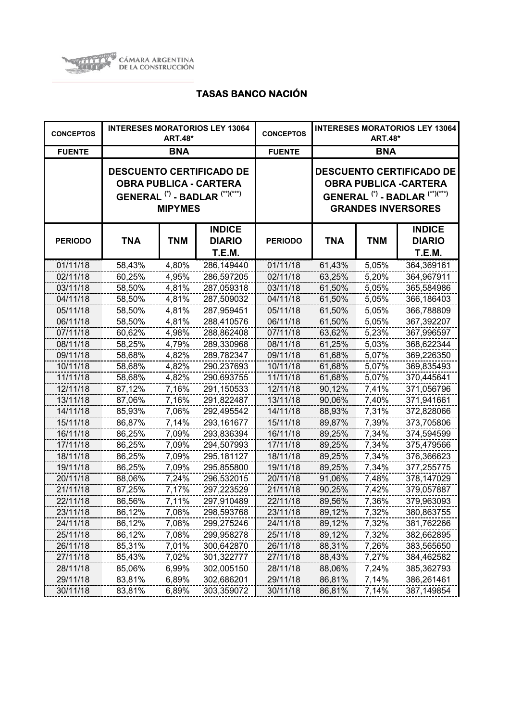

| <b>CONCEPTOS</b> | <b>INTERESES MORATORIOS LEY 13064</b><br><b>ART.48*</b> |                |                                                                                                                          | <b>CONCEPTOS</b> | <b>INTERESES MORATORIOS LEY 13064</b><br><b>ART.48*</b> |            |                                                                                                                                                      |
|------------------|---------------------------------------------------------|----------------|--------------------------------------------------------------------------------------------------------------------------|------------------|---------------------------------------------------------|------------|------------------------------------------------------------------------------------------------------------------------------------------------------|
| <b>FUENTE</b>    |                                                         | <b>BNA</b>     |                                                                                                                          | <b>FUENTE</b>    | <b>BNA</b>                                              |            |                                                                                                                                                      |
|                  |                                                         | <b>MIPYMES</b> | <b>DESCUENTO CERTIFICADO DE</b><br><b>OBRA PUBLICA - CARTERA</b><br>GENERAL <sup>(*)</sup> - BADLAR <sup>(**)(***)</sup> |                  |                                                         |            | <b>DESCUENTO CERTIFICADO DE</b><br><b>OBRA PUBLICA -CARTERA</b><br>GENERAL <sup>(*)</sup> - BADLAR <sup>(**)(***)</sup><br><b>GRANDES INVERSORES</b> |
| <b>PERIODO</b>   | <b>TNA</b>                                              | <b>TNM</b>     | <b>INDICE</b><br><b>DIARIO</b><br>T.E.M.                                                                                 | <b>PERIODO</b>   | TNA                                                     | <b>TNM</b> | <b>INDICE</b><br><b>DIARIO</b><br>T.E.M.                                                                                                             |
| 01/11/18         | 58,43%                                                  | 4,80%          | 286,149440                                                                                                               | 01/11/18         | 61,43%                                                  | 5,05%      | 364,369161                                                                                                                                           |
| 02/11/18         | 60,25%                                                  | 4,95%          | 286,597205                                                                                                               | 02/11/18         | 63,25%                                                  | 5,20%      | 364,967911                                                                                                                                           |
| 03/11/18         | 58,50%                                                  | 4,81%          | 287,059318                                                                                                               | 03/11/18         | 61,50%                                                  | 5,05%      | 365,584986                                                                                                                                           |
| 04/11/18         | 58,50%                                                  | 4,81%          | 287,509032                                                                                                               | 04/11/18         | 61,50%                                                  | 5,05%      | 366,186403                                                                                                                                           |
| 05/11/18         | 58,50%                                                  | 4,81%          | 287,959451                                                                                                               | 05/11/18         | 61,50%                                                  | 5,05%      | 366,788809                                                                                                                                           |
| 06/11/18         | 58,50%                                                  | 4,81%          | 288,410576                                                                                                               | 06/11/18         | 61,50%                                                  | 5,05%      | 367,392207                                                                                                                                           |
| 07/11/18         | 60,62%                                                  | 4,98%          | 288,862408                                                                                                               | 07/11/18         | 63,62%                                                  | 5,23%      | 367,996597                                                                                                                                           |
| 08/11/18         | 58,25%                                                  | 4,79%          | 289,330968                                                                                                               | 08/11/18         | 61,25%                                                  | 5,03%      | 368,622344                                                                                                                                           |
| 09/11/18         | 58,68%                                                  | 4,82%          | 289,782347                                                                                                               | 09/11/18         | 61,68%                                                  | 5,07%      | 369,226350                                                                                                                                           |
| 10/11/18         | 58,68%                                                  | 4,82%          | 290,237693                                                                                                               | 10/11/18         | 61,68%                                                  | 5,07%      | 369,835493                                                                                                                                           |
| 11/11/18         | 58,68%                                                  | 4,82%          | 290,693755                                                                                                               | 11/11/18         | 61,68%                                                  | 5,07%      | 370,445641                                                                                                                                           |
| 12/11/18         | 87,12%                                                  | 7,16%          | 291,150533                                                                                                               | 12/11/18         | 90,12%                                                  | 7,41%      | 371,056796                                                                                                                                           |
| 13/11/18         | 87,06%                                                  | 7,16%          | 291,822487                                                                                                               | 13/11/18         | 90,06%                                                  | 7,40%      | 371,941661                                                                                                                                           |
| 14/11/18         | 85,93%                                                  | 7,06%          | 292,495542                                                                                                               | 14/11/18         | 88,93%                                                  | 7,31%      | 372,828066                                                                                                                                           |
| 15/11/18         | 86,87%                                                  | 7,14%          | 293,161677                                                                                                               | 15/11/18         | 89,87%                                                  | 7,39%      | 373,705806                                                                                                                                           |
| 16/11/18         | 86,25%                                                  | 7,09%          | 293,836394                                                                                                               | 16/11/18         | 89,25%                                                  | 7,34%      | 374,594599                                                                                                                                           |
| 17/11/18         | 86,25%                                                  | 7,09%          | 294,507993                                                                                                               | 17/11/18         | 89,25%                                                  | 7,34%      | 375,479566                                                                                                                                           |
| 18/11/18         | 86,25%                                                  | 7,09%          | 295,181127                                                                                                               | 18/11/18         | 89,25%                                                  | 7,34%      | 376,366623                                                                                                                                           |
| 19/11/18         | 86,25%                                                  | 7,09%          | 295,855800                                                                                                               | 19/11/18         | 89,25%                                                  | 7,34%      | 377,255775                                                                                                                                           |
| 20/11/18         | 88,06%                                                  | 7,24%          | 296,532015                                                                                                               | 20/11/18         | 91,06%                                                  | 7,48%      | 378,147029                                                                                                                                           |
| 21/11/18         | 87,25%                                                  | 7,17%          | 297,223529                                                                                                               | 21/11/18         | 90,25%                                                  | 7,42%      | 379,057887                                                                                                                                           |
| 22/11/18         | 86,56%                                                  | 7,11%          | 297,910489                                                                                                               | 22/11/18         | 89,56%                                                  | 7,36%      | 379,963093                                                                                                                                           |
| 23/11/18         | 86,12%                                                  | 7,08%          | 298,593768                                                                                                               | 23/11/18         | 89,12%                                                  | 7,32%      | 380,863755                                                                                                                                           |
| 24/11/18         | 86,12%                                                  | 7,08%          | 299,275246                                                                                                               | 24/11/18         | 89,12%                                                  | 7,32%      | 381,762266                                                                                                                                           |
| 25/11/18         | 86,12%                                                  | 7,08%          | 299,958278                                                                                                               | 25/11/18         | 89,12%                                                  | 7,32%      | 382,662895                                                                                                                                           |
| 26/11/18         | 85,31%                                                  | 7,01%          | 300,642870                                                                                                               | 26/11/18         | 88,31%                                                  | 7,26%      | 383,565650                                                                                                                                           |
| 27/11/18         | 85,43%                                                  | 7,02%          | 301,322777                                                                                                               | 27/11/18         | 88,43%                                                  | 7,27%      | 384,462582                                                                                                                                           |
| 28/11/18         | 85,06%                                                  | 6,99%          | 302,005150                                                                                                               | 28/11/18         | 88,06%                                                  | 7,24%      | 385,362793                                                                                                                                           |
| 29/11/18         | 83,81%                                                  | 6,89%          | 302,686201                                                                                                               | 29/11/18         | 86,81%                                                  | 7,14%      | 386,261461                                                                                                                                           |
| 30/11/18         | 83,81%                                                  | 6,89%          | 303,359072                                                                                                               | 30/11/18         | 86,81%                                                  | 7,14%      | 387,149854                                                                                                                                           |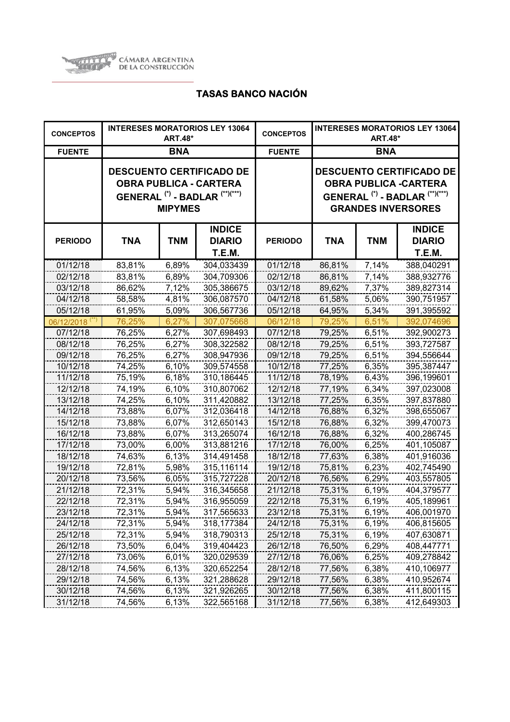

| <b>CONCEPTOS</b>           | <b>INTERESES MORATORIOS LEY 13064</b><br><b>ART.48*</b> |                |                                                                                                        | <b>CONCEPTOS</b> | <b>INTERESES MORATORIOS LEY 13064</b><br><b>ART.48*</b> |            |                                                                                                                                                      |
|----------------------------|---------------------------------------------------------|----------------|--------------------------------------------------------------------------------------------------------|------------------|---------------------------------------------------------|------------|------------------------------------------------------------------------------------------------------------------------------------------------------|
| <b>FUENTE</b>              |                                                         | <b>BNA</b>     |                                                                                                        | <b>FUENTE</b>    | <b>BNA</b>                                              |            |                                                                                                                                                      |
|                            |                                                         | <b>MIPYMES</b> | <b>DESCUENTO CERTIFICADO DE</b><br><b>OBRA PUBLICA - CARTERA</b><br>GENERAL $(*)$ - BADLAR $(**)(***)$ |                  |                                                         |            | <b>DESCUENTO CERTIFICADO DE</b><br><b>OBRA PUBLICA -CARTERA</b><br>GENERAL <sup>(*)</sup> - BADLAR <sup>(**)(***)</sup><br><b>GRANDES INVERSORES</b> |
| <b>PERIODO</b>             | <b>TNA</b>                                              | <b>TNM</b>     | <b>INDICE</b><br><b>DIARIO</b><br>T.E.M.                                                               | <b>PERIODO</b>   | TNA                                                     | <b>TNM</b> | <b>INDICE</b><br><b>DIARIO</b><br>T.E.M.                                                                                                             |
| 01/12/18                   | 83,81%                                                  | 6,89%          | 304,033439                                                                                             | 01/12/18         | 86,81%                                                  | 7,14%      | 388,040291                                                                                                                                           |
| 02/12/18                   | 83,81%                                                  | 6,89%          | 304,709306                                                                                             | 02/12/18         | 86,81%                                                  | 7,14%      | 388,932776                                                                                                                                           |
| 03/12/18                   | 86,62%                                                  | 7,12%          | 305,386675                                                                                             | 03/12/18         | 89,62%                                                  | 7,37%      | 389,827314                                                                                                                                           |
| 04/12/18                   | 58,58%                                                  | 4,81%          | 306,087570                                                                                             | 04/12/18         | 61,58%                                                  | 5,06%      | 390,751957                                                                                                                                           |
| 05/12/18                   | 61,95%                                                  | 5,09%          | 306,567736                                                                                             | 05/12/18         | 64,95%                                                  | 5,34%      | 391,395592                                                                                                                                           |
| 06/12/2018 <sup>(**)</sup> | 76,25%                                                  | 6,27%          | 307,075668                                                                                             | 06/12/18         | 79,25%                                                  | 6,51%      | 392,074696                                                                                                                                           |
| 07/12/18                   | 76,25%                                                  | 6,27%          | 307,698493                                                                                             | 07/12/18         | 79,25%                                                  | 6,51%      | 392,900273                                                                                                                                           |
| 08/12/18                   | 76,25%                                                  | 6,27%          | 308,322582                                                                                             | 08/12/18         | 79,25%                                                  | 6,51%      | 393,727587                                                                                                                                           |
| 09/12/18                   | 76,25%                                                  | 6,27%          | 308,947936                                                                                             | 09/12/18         | 79,25%                                                  | 6,51%      | 394,556644                                                                                                                                           |
| 10/12/18                   | 74,25%                                                  | 6,10%          | 309,574558                                                                                             | 10/12/18         | 77,25%                                                  | 6,35%      | 395,387447                                                                                                                                           |
| 11/12/18                   | 75,19%                                                  | 6,18%          | 310,186445                                                                                             | 11/12/18         | 78,19%                                                  | 6,43%      | 396,199601                                                                                                                                           |
| 12/12/18                   | 74,19%                                                  | 6,10%          | 310,807062                                                                                             | 12/12/18         | 77,19%                                                  | 6,34%      | 397,023008                                                                                                                                           |
| 13/12/18                   | 74,25%                                                  | 6,10%          | 311,420882                                                                                             | 13/12/18         | 77,25%                                                  | 6,35%      | 397,837880                                                                                                                                           |
| 14/12/18                   | 73,88%                                                  | 6,07%          | 312,036418                                                                                             | 14/12/18         | 76,88%                                                  | 6,32%      | 398,655067                                                                                                                                           |
| 15/12/18                   | 73,88%                                                  | 6,07%          | 312,650143                                                                                             | 15/12/18         | 76,88%                                                  | 6,32%      | 399,470073                                                                                                                                           |
| 16/12/18                   | 73,88%                                                  | 6,07%          | 313,265074                                                                                             | 16/12/18         | 76,88%                                                  | 6,32%      | 400,286745                                                                                                                                           |
| 17/12/18                   | 73,00%                                                  | 6,00%          | 313,881216                                                                                             | 17/12/18         | 76,00%                                                  | 6,25%      | 401,105087                                                                                                                                           |
| 18/12/18                   | 74,63%                                                  | 6,13%          | 314,491458                                                                                             | 18/12/18         | 77,63%                                                  | 6,38%      | 401,916036                                                                                                                                           |
| 19/12/18                   | 72,81%                                                  | 5,98%          | 315,116114                                                                                             | 19/12/18         | 75,81%                                                  | 6,23%      | 402,745490                                                                                                                                           |
| 20/12/18                   | 73,56%                                                  | 6,05%          | 315,727228                                                                                             | 20/12/18         | 76,56%                                                  | 6,29%      | 403,557805                                                                                                                                           |
| 21/12/18                   | 72,31%                                                  | 5,94%          | 316,345658                                                                                             | 21/12/18         | 75,31%                                                  | 6,19%      | 404,379577                                                                                                                                           |
| 22/12/18                   | 72,31%                                                  | 5,94%          | 316,955059                                                                                             | 22/12/18         | 75,31%                                                  | 6,19%      | 405,189961                                                                                                                                           |
| 23/12/18                   | 72,31%                                                  | 5,94%          | 317,565633                                                                                             | 23/12/18         | 75,31%                                                  | 6,19%      | 406,001970                                                                                                                                           |
| 24/12/18                   | 72,31%                                                  | 5,94%          | 318,177384                                                                                             | 24/12/18         | 75,31%                                                  | 6,19%      | 406,815605                                                                                                                                           |
| 25/12/18                   | 72,31%                                                  | 5,94%          | 318,790313                                                                                             | 25/12/18         | 75,31%                                                  | 6,19%      | 407,630871                                                                                                                                           |
| 26/12/18                   | 73,50%                                                  | 6,04%          | 319,404423                                                                                             | 26/12/18         | 76,50%                                                  | 6,29%      | 408,447771                                                                                                                                           |
| 27/12/18                   | 73,06%                                                  | 6,01%          | 320,029539                                                                                             | 27/12/18         | 76,06%                                                  | 6,25%      | 409,278842                                                                                                                                           |
| 28/12/18                   | 74,56%                                                  | 6,13%          | 320,652254                                                                                             | 28/12/18         | 77,56%                                                  | 6,38%      | 410,106977                                                                                                                                           |
| 29/12/18                   | 74,56%                                                  | 6,13%          | 321,288628                                                                                             | 29/12/18         | 77,56%                                                  | 6,38%      | 410,952674                                                                                                                                           |
| 30/12/18                   | 74,56%                                                  | 6,13%          | 321,926265                                                                                             | 30/12/18         | 77,56%                                                  | 6,38%      | 411,800115                                                                                                                                           |
| 31/12/18                   | 74,56%                                                  | 6,13%          | 322,565168                                                                                             | 31/12/18         | 77,56%                                                  | 6,38%      | 412,649303                                                                                                                                           |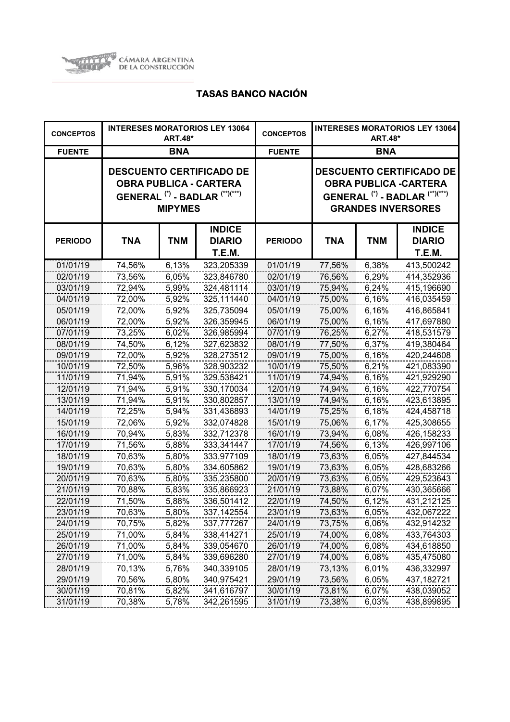

| <b>CONCEPTOS</b> | <b>INTERESES MORATORIOS LEY 13064</b><br><b>ART.48*</b> |                |                                                                                                                          | <b>CONCEPTOS</b> | <b>INTERESES MORATORIOS LEY 13064</b><br><b>ART.48*</b>                                                                                              |            |                                                 |
|------------------|---------------------------------------------------------|----------------|--------------------------------------------------------------------------------------------------------------------------|------------------|------------------------------------------------------------------------------------------------------------------------------------------------------|------------|-------------------------------------------------|
| <b>FUENTE</b>    |                                                         | <b>BNA</b>     |                                                                                                                          | <b>FUENTE</b>    | <b>BNA</b>                                                                                                                                           |            |                                                 |
|                  |                                                         | <b>MIPYMES</b> | <b>DESCUENTO CERTIFICADO DE</b><br><b>OBRA PUBLICA - CARTERA</b><br>GENERAL <sup>(*)</sup> - BADLAR <sup>(**)(***)</sup> |                  | <b>DESCUENTO CERTIFICADO DE</b><br><b>OBRA PUBLICA -CARTERA</b><br>GENERAL <sup>(*)</sup> - BADLAR <sup>(**)(***)</sup><br><b>GRANDES INVERSORES</b> |            |                                                 |
| <b>PERIODO</b>   | <b>TNA</b>                                              | <b>TNM</b>     | <b>INDICE</b><br><b>DIARIO</b><br><b>T.E.M.</b>                                                                          | <b>PERIODO</b>   | <b>TNA</b>                                                                                                                                           | <b>TNM</b> | <b>INDICE</b><br><b>DIARIO</b><br><b>T.E.M.</b> |
| 01/01/19         | 74,56%                                                  | 6,13%          | 323,205339                                                                                                               | 01/01/19         | 77,56%                                                                                                                                               | 6,38%      | 413,500242                                      |
| 02/01/19         | 73,56%                                                  | 6,05%          | 323,846780                                                                                                               | 02/01/19         | 76,56%                                                                                                                                               | 6,29%      | 414,352936                                      |
| 03/01/19         | 72,94%                                                  | 5,99%          | 324,481114                                                                                                               | 03/01/19         | 75,94%                                                                                                                                               | 6,24%      | 415,196690                                      |
| 04/01/19         | 72,00%                                                  | 5,92%          | 325,111440                                                                                                               | 04/01/19         | 75,00%                                                                                                                                               | 6,16%      | 416,035459                                      |
| 05/01/19         | 72,00%                                                  | 5,92%          | 325,735094                                                                                                               | 05/01/19         | 75,00%                                                                                                                                               | 6,16%      | 416,865841                                      |
| 06/01/19         | 72,00%                                                  | 5,92%          | 326,359945                                                                                                               | 06/01/19         | 75,00%                                                                                                                                               | 6,16%      | 417,697880                                      |
| 07/01/19         | 73,25%                                                  | 6,02%          | 326,985994                                                                                                               | 07/01/19         | 76,25%                                                                                                                                               | 6,27%      | 418,531579                                      |
| 08/01/19         | 74,50%                                                  | 6,12%          | 327,623832                                                                                                               | 08/01/19         | 77,50%                                                                                                                                               | 6,37%      | 419,380464                                      |
| 09/01/19         | 72,00%                                                  | 5,92%          | 328,273512                                                                                                               | 09/01/19         | 75,00%                                                                                                                                               | 6,16%      | 420,244608                                      |
| 10/01/19         | 72,50%                                                  | 5,96%          | 328,903232                                                                                                               | 10/01/19         | 75,50%                                                                                                                                               | 6,21%      | 421,083390                                      |
| 11/01/19         | 71,94%                                                  | 5,91%          | 329,538421                                                                                                               | 11/01/19         | 74,94%                                                                                                                                               | 6,16%      | 421,929290                                      |
| 12/01/19         | 71,94%                                                  | 5,91%          | 330,170034                                                                                                               | 12/01/19         | 74,94%                                                                                                                                               | 6,16%      | 422,770754                                      |
| 13/01/19         | 71,94%                                                  | 5,91%          | 330,802857                                                                                                               | 13/01/19         | 74,94%                                                                                                                                               | 6,16%      | 423,613895                                      |
| 14/01/19         | 72,25%                                                  | 5,94%          | 331,436893                                                                                                               | 14/01/19         | 75,25%                                                                                                                                               | 6,18%      | 424,458718                                      |
| 15/01/19         | 72,06%                                                  | 5,92%          | 332,074828                                                                                                               | 15/01/19         | 75,06%                                                                                                                                               | 6,17%      | 425,308655                                      |
| 16/01/19         | 70,94%                                                  | 5,83%          | 332,712378                                                                                                               | 16/01/19         | 73,94%                                                                                                                                               | 6,08%      | 426,158233                                      |
| 17/01/19         | 71,56%                                                  | 5,88%          | 333,341447                                                                                                               | 17/01/19         | 74,56%                                                                                                                                               | 6,13%      | 426,997106                                      |
| 18/01/19         | 70,63%                                                  | 5,80%          | 333,977109                                                                                                               | 18/01/19         | 73,63%                                                                                                                                               | 6,05%      | 427,844534                                      |
| 19/01/19         | 70,63%                                                  | 5,80%          | 334,605862                                                                                                               | 19/01/19         | 73,63%                                                                                                                                               | 6,05%      | 428,683266                                      |
| 20/01/19         | 70,63%                                                  | 5,80%          | 335,235800                                                                                                               | 20/01/19         | 73,63%                                                                                                                                               | 6,05%      | 429,523643                                      |
| 21/01/19         | 70,88%                                                  | 5,83%          | 335,866923                                                                                                               | 21/01/19         | 73,88%                                                                                                                                               | 6,07%      | 430,365666                                      |
| 22/01/19         | 71,50%                                                  | 5,88%          | 336,501412                                                                                                               | 22/01/19         | 74,50%                                                                                                                                               | 6,12%      | 431,212125                                      |
| 23/01/19         | 70,63%                                                  | 5,80%          | 337, 142554                                                                                                              | 23/01/19         | 73,63%                                                                                                                                               | 6,05%      | 432,067222                                      |
| 24/01/19         | 70,75%                                                  | 5,82%          | 337,777267                                                                                                               | 24/01/19         | 73,75%                                                                                                                                               | 6,06%      | 432,914232                                      |
| 25/01/19         | 71,00%                                                  | 5,84%          | 338,414271                                                                                                               | 25/01/19         | 74,00%                                                                                                                                               | 6,08%      | 433,764303                                      |
| 26/01/19         | 71,00%                                                  | 5,84%          | 339,054670                                                                                                               | 26/01/19         | 74,00%                                                                                                                                               | 6,08%      | 434,618850                                      |
| 27/01/19         | 71,00%                                                  | 5,84%          | 339,696280                                                                                                               | 27/01/19         | 74,00%                                                                                                                                               | 6,08%      | 435,475080                                      |
| 28/01/19         | 70,13%                                                  | 5,76%          | 340,339105                                                                                                               | 28/01/19         | 73,13%                                                                                                                                               | 6,01%      | 436,332997                                      |
| 29/01/19         | 70,56%                                                  | 5,80%          | 340,975421                                                                                                               | 29/01/19         | 73,56%                                                                                                                                               | 6,05%      | 437,182721                                      |
| 30/01/19         | 70,81%                                                  | 5,82%          | 341,616797                                                                                                               | 30/01/19         | 73,81%                                                                                                                                               | 6,07%      | 438,039052                                      |
| 31/01/19         | 70,38%                                                  | 5,78%          | 342,261595                                                                                                               | 31/01/19         | 73,38%                                                                                                                                               | 6,03%      | 438,899895                                      |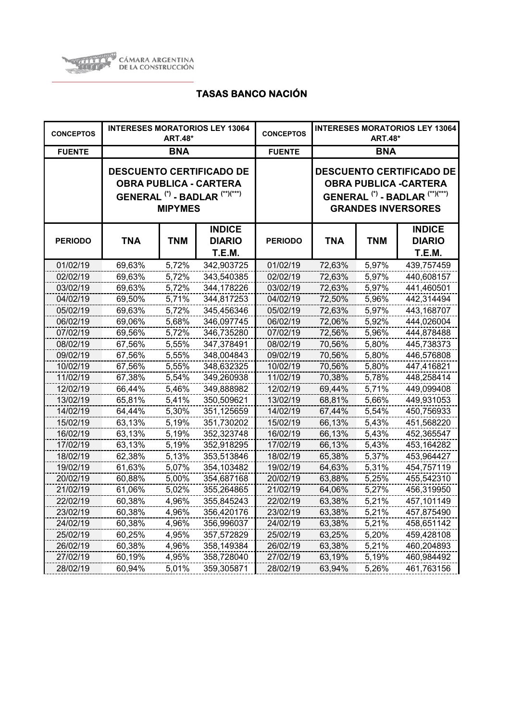

| <b>CONCEPTOS</b> |            | <b>ART.48*</b> | <b>INTERESES MORATORIOS LEY 13064</b>                                                                                    | <b>CONCEPTOS</b> | <b>INTERESES MORATORIOS LEY 13064</b><br><b>ART.48*</b> |            |                                                                                                                                                      |
|------------------|------------|----------------|--------------------------------------------------------------------------------------------------------------------------|------------------|---------------------------------------------------------|------------|------------------------------------------------------------------------------------------------------------------------------------------------------|
| <b>FUENTE</b>    |            | <b>BNA</b>     |                                                                                                                          | <b>FUENTE</b>    | <b>BNA</b>                                              |            |                                                                                                                                                      |
|                  |            | <b>MIPYMES</b> | <b>DESCUENTO CERTIFICADO DE</b><br><b>OBRA PUBLICA - CARTERA</b><br>GENERAL <sup>(*)</sup> - BADLAR <sup>(**)(***)</sup> |                  |                                                         |            | <b>DESCUENTO CERTIFICADO DE</b><br><b>OBRA PUBLICA -CARTERA</b><br>GENERAL <sup>(*)</sup> - BADLAR <sup>(**)(***)</sup><br><b>GRANDES INVERSORES</b> |
| <b>PERIODO</b>   | <b>TNA</b> | <b>TNM</b>     | <b>INDICE</b><br><b>DIARIO</b><br><b>T.E.M.</b>                                                                          | <b>PERIODO</b>   | TNA                                                     | <b>TNM</b> | <b>INDICE</b><br><b>DIARIO</b><br><b>T.E.M.</b>                                                                                                      |
| 01/02/19         | 69,63%     | 5,72%          | 342,903725                                                                                                               | 01/02/19         | 72,63%                                                  | 5,97%      | 439,757459                                                                                                                                           |
| 02/02/19         | 69,63%     | 5,72%          | 343,540385                                                                                                               | 02/02/19         | 72,63%                                                  | 5,97%      | 440,608157                                                                                                                                           |
| 03/02/19         | 69,63%     | 5,72%          | 344,178226                                                                                                               | 03/02/19         | 72,63%                                                  | 5,97%      | 441,460501                                                                                                                                           |
| 04/02/19         | 69,50%     | 5,71%          | 344,817253                                                                                                               | 04/02/19         | 72,50%                                                  | 5,96%      | 442,314494                                                                                                                                           |
| 05/02/19         | 69,63%     | 5,72%          | 345,456346                                                                                                               | 05/02/19         | 72,63%                                                  | 5,97%      | 443,168707                                                                                                                                           |
| 06/02/19         | 69,06%     | 5,68%          | 346,097745                                                                                                               | 06/02/19         | 72,06%                                                  | 5,92%      | 444,026004                                                                                                                                           |
| 07/02/19         | 69,56%     | 5,72%          | 346,735280                                                                                                               | 07/02/19         | 72,56%                                                  | 5,96%      | 444,878488                                                                                                                                           |
| 08/02/19         | 67,56%     | 5,55%          | 347,378491                                                                                                               | 08/02/19         | 70,56%                                                  | 5,80%      | 445,738373                                                                                                                                           |
| 09/02/19         | 67,56%     | 5,55%          | 348,004843                                                                                                               | 09/02/19         | 70,56%                                                  | 5,80%      | 446,576808                                                                                                                                           |
| 10/02/19         | 67,56%     | 5,55%          | 348,632325                                                                                                               | 10/02/19         | 70,56%                                                  | 5,80%      | 447,416821                                                                                                                                           |
| 11/02/19         | 67,38%     | 5,54%          | 349,260938                                                                                                               | 11/02/19         | 70,38%                                                  | 5,78%      | 448,258414                                                                                                                                           |
| 12/02/19         | 66,44%     | 5,46%          | 349,888982                                                                                                               | 12/02/19         | 69,44%                                                  | 5,71%      | 449,099408                                                                                                                                           |
| 13/02/19         | 65,81%     | 5,41%          | 350,509621                                                                                                               | 13/02/19         | 68,81%                                                  | 5,66%      | 449,931053                                                                                                                                           |
| 14/02/19         | 64,44%     | 5,30%          | 351,125659                                                                                                               | 14/02/19         | 67,44%                                                  | 5,54%      | 450,756933                                                                                                                                           |
| 15/02/19         | 63,13%     | 5,19%          | 351,730202                                                                                                               | 15/02/19         | 66,13%                                                  | 5,43%      | 451,568220                                                                                                                                           |
| 16/02/19         | 63,13%     | 5,19%          | 352,323748                                                                                                               | 16/02/19         | 66,13%                                                  | 5,43%      | 452,365547                                                                                                                                           |
| 17/02/19         | 63,13%     | 5,19%          | 352,918295                                                                                                               | 17/02/19         | 66,13%                                                  | 5,43%      | 453,164282                                                                                                                                           |
| 18/02/19         | 62,38%     | 5,13%          | 353,513846                                                                                                               | 18/02/19         | 65,38%                                                  | 5,37%      | 453,964427                                                                                                                                           |
| 19/02/19         | 61,63%     | 5,07%          | 354,103482                                                                                                               | 19/02/19         | 64,63%                                                  | 5,31%      | 454,757119                                                                                                                                           |
| 20/02/19         | 60,88%     | 5,00%          | 354,687168                                                                                                               | 20/02/19         | 63,88%                                                  | 5,25%      | 455,542310                                                                                                                                           |
| 21/02/19         | 61,06%     | 5,02%          | 355,264865                                                                                                               | 21/02/19         | 64,06%                                                  | 5,27%      | 456,319950                                                                                                                                           |
| 22/02/19         | 60,38%     | 4,96%          | 355,845243                                                                                                               | 22/02/19         | 63,38%                                                  | 5,21%      | 457,101149                                                                                                                                           |
| 23/02/19         | 60,38%     | 4,96%          | 356,420176                                                                                                               | 23/02/19         | 63,38%                                                  | 5,21%      | 457,875490                                                                                                                                           |
| 24/02/19         | 60,38%     | 4,96%          | 356,996037                                                                                                               | 24/02/19         | 63,38%                                                  | 5,21%      | 458,651142                                                                                                                                           |
| 25/02/19         | 60,25%     | 4,95%          | 357,572829                                                                                                               | 25/02/19         | 63,25%                                                  | 5,20%      | 459,428108                                                                                                                                           |
| 26/02/19         | 60,38%     | 4,96%          | 358,149384                                                                                                               | 26/02/19         | 63,38%                                                  | 5,21%      | 460,204893                                                                                                                                           |
| 27/02/19         | 60,19%     | 4,95%          | 358,728040                                                                                                               | 27/02/19         | 63,19%                                                  | 5,19%      | 460,984492                                                                                                                                           |
| 28/02/19         | 60,94%     | 5,01%          | 359,305871                                                                                                               | 28/02/19         | 63,94%                                                  | 5,26%      | 461,763156                                                                                                                                           |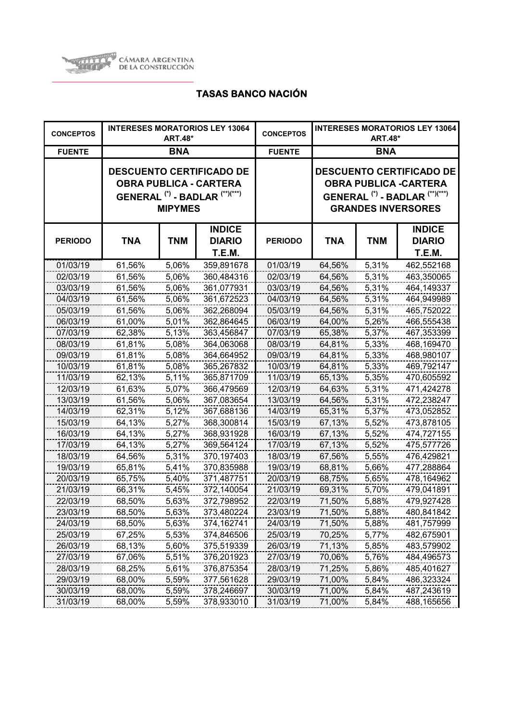

| <b>CONCEPTOS</b> |            | <b>ART.48*</b> | <b>INTERESES MORATORIOS LEY 13064</b>                                                                                    | <b>CONCEPTOS</b> | <b>INTERESES MORATORIOS LEY 13064</b><br><b>ART.48*</b> |            |                                                                                                                                                      |
|------------------|------------|----------------|--------------------------------------------------------------------------------------------------------------------------|------------------|---------------------------------------------------------|------------|------------------------------------------------------------------------------------------------------------------------------------------------------|
| <b>FUENTE</b>    |            | <b>BNA</b>     |                                                                                                                          | <b>FUENTE</b>    | <b>BNA</b>                                              |            |                                                                                                                                                      |
|                  |            | <b>MIPYMES</b> | <b>DESCUENTO CERTIFICADO DE</b><br><b>OBRA PUBLICA - CARTERA</b><br>GENERAL <sup>(*)</sup> - BADLAR <sup>(**)(***)</sup> |                  |                                                         |            | <b>DESCUENTO CERTIFICADO DE</b><br><b>OBRA PUBLICA -CARTERA</b><br>GENERAL <sup>(*)</sup> - BADLAR <sup>(**)(***)</sup><br><b>GRANDES INVERSORES</b> |
| <b>PERIODO</b>   | <b>TNA</b> | <b>TNM</b>     | <b>INDICE</b><br><b>DIARIO</b><br>T.E.M.                                                                                 | <b>PERIODO</b>   | <b>TNA</b>                                              | <b>TNM</b> | <b>INDICE</b><br><b>DIARIO</b><br><b>T.E.M.</b>                                                                                                      |
| 01/03/19         | 61,56%     | 5,06%          | 359,891678                                                                                                               | 01/03/19         | 64,56%                                                  | 5,31%      | 462,552168                                                                                                                                           |
| 02/03/19         | 61,56%     | 5,06%          | 360,484316                                                                                                               | 02/03/19         | 64,56%                                                  | 5,31%      | 463,350065                                                                                                                                           |
| 03/03/19         | 61,56%     | 5,06%          | 361,077931                                                                                                               | 03/03/19         | 64,56%                                                  | 5,31%      | 464,149337                                                                                                                                           |
| 04/03/19         | 61,56%     | 5,06%          | 361,672523                                                                                                               | 04/03/19         | 64,56%                                                  | 5,31%      | 464,949989                                                                                                                                           |
| 05/03/19         | 61,56%     | 5,06%          | 362,268094                                                                                                               | 05/03/19         | 64,56%                                                  | 5,31%      | 465,752022                                                                                                                                           |
| 06/03/19         | 61,00%     | 5,01%          | 362,864645                                                                                                               | 06/03/19         | 64,00%                                                  | 5,26%      | 466,555438                                                                                                                                           |
| 07/03/19         | 62,38%     | 5,13%          | 363,456847                                                                                                               | 07/03/19         | 65,38%                                                  | 5,37%      | 467,353399                                                                                                                                           |
| 08/03/19         | 61,81%     | 5,08%          | 364,063068                                                                                                               | 08/03/19         | 64,81%                                                  | 5,33%      | 468,169470                                                                                                                                           |
| 09/03/19         | 61,81%     | 5,08%          | 364,664952                                                                                                               | 09/03/19         | 64,81%                                                  | 5,33%      | 468,980107                                                                                                                                           |
| 10/03/19         | 61,81%     | 5,08%          | 365,267832                                                                                                               | 10/03/19         | 64,81%                                                  | 5,33%      | 469,792147                                                                                                                                           |
| 11/03/19         | 62,13%     | 5,11%          | 365,871709                                                                                                               | 11/03/19         | 65,13%                                                  | 5,35%      | 470,605592                                                                                                                                           |
| 12/03/19         | 61,63%     | 5,07%          | 366,479569                                                                                                               | 12/03/19         | 64,63%                                                  | 5,31%      | 471,424278                                                                                                                                           |
| 13/03/19         | 61,56%     | 5,06%          | 367,083654                                                                                                               | 13/03/19         | 64,56%                                                  | 5,31%      | 472,238247                                                                                                                                           |
| 14/03/19         | 62,31%     | 5,12%          | 367,688136                                                                                                               | 14/03/19         | 65,31%                                                  | 5,37%      | 473,052852                                                                                                                                           |
| 15/03/19         | 64,13%     | 5,27%          | 368,300814                                                                                                               | 15/03/19         | 67,13%                                                  | 5,52%      | 473,878105                                                                                                                                           |
| 16/03/19         | 64,13%     | 5,27%          | 368,931928                                                                                                               | 16/03/19         | 67,13%                                                  | 5,52%      | 474,727155                                                                                                                                           |
| 17/03/19         | 64,13%     | 5,27%          | 369,564124                                                                                                               | 17/03/19         | 67,13%                                                  | 5,52%      | 475,577726                                                                                                                                           |
| 18/03/19         | 64,56%     | 5,31%          | 370,197403                                                                                                               | 18/03/19         | 67,56%                                                  | 5,55%      | 476,429821                                                                                                                                           |
| 19/03/19         | 65,81%     | 5,41%          | 370,835988                                                                                                               | 19/03/19         | 68,81%                                                  | 5,66%      | 477,288864                                                                                                                                           |
| 20/03/19         | 65,75%     | 5,40%          | 371,487751                                                                                                               | 20/03/19         | 68,75%                                                  | 5,65%      | 478,164962                                                                                                                                           |
| 21/03/19         | 66,31%     | 5,45%          | 372,140054                                                                                                               | 21/03/19         | 69,31%                                                  | 5,70%      | 479,041891                                                                                                                                           |
| 22/03/19         | 68,50%     | 5,63%          | 372,798952                                                                                                               | 22/03/19         | 71,50%                                                  | 5,88%      | 479,927428                                                                                                                                           |
| 23/03/19         | 68,50%     | 5,63%          | 373,480224                                                                                                               | 23/03/19         | 71,50%                                                  | 5,88%      | 480,841842                                                                                                                                           |
| 24/03/19         | 68,50%     | 5,63%          | 374,162741                                                                                                               | 24/03/19         | 71,50%                                                  | 5,88%      | 481,757999                                                                                                                                           |
| 25/03/19         | 67,25%     | 5,53%          | 374,846506                                                                                                               | 25/03/19         | 70,25%                                                  | 5,77%      | 482,675901                                                                                                                                           |
| 26/03/19         | 68,13%     | 5,60%          | 375,519339                                                                                                               | 26/03/19         | 71,13%                                                  | 5,85%      | 483,579902                                                                                                                                           |
| 27/03/19         | 67,06%     | 5,51%          | 376,201923                                                                                                               | 27/03/19         | 70,06%                                                  | 5,76%      | 484,496573                                                                                                                                           |
| 28/03/19         | 68,25%     | 5,61%          | 376,875354                                                                                                               | 28/03/19         | 71,25%                                                  | 5,86%      | 485,401627                                                                                                                                           |
| 29/03/19         | 68,00%     | 5,59%          | 377,561628                                                                                                               | 29/03/19         | 71,00%                                                  | 5,84%      | 486,323324                                                                                                                                           |
| 30/03/19         | 68,00%     | 5,59%          | 378,246697                                                                                                               | 30/03/19         | 71,00%                                                  | 5,84%      | 487,243619                                                                                                                                           |
| 31/03/19         | 68,00%     | 5,59%          | 378,933010                                                                                                               | 31/03/19         | 71,00%                                                  | 5,84%      | 488,165656                                                                                                                                           |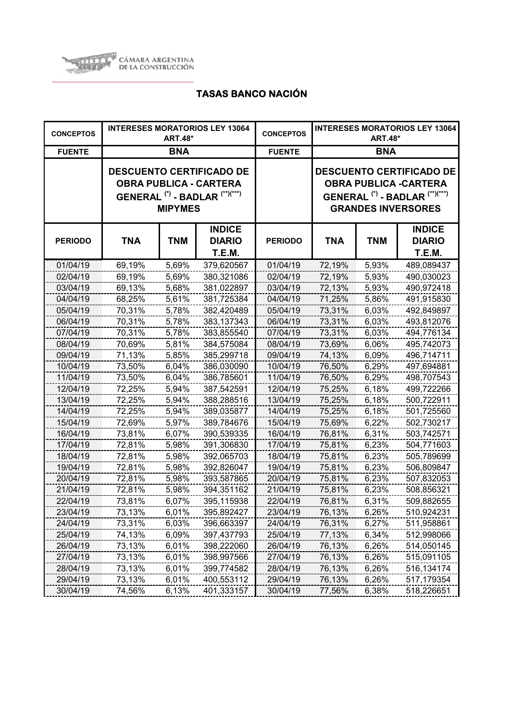

| <b>CONCEPTOS</b> |            | <b>ART.48*</b> | <b>INTERESES MORATORIOS LEY 13064</b>                                                                  | <b>CONCEPTOS</b> | <b>INTERESES MORATORIOS LEY 13064</b><br><b>ART.48*</b> |            |                                                                                                                                                      |
|------------------|------------|----------------|--------------------------------------------------------------------------------------------------------|------------------|---------------------------------------------------------|------------|------------------------------------------------------------------------------------------------------------------------------------------------------|
| <b>FUENTE</b>    |            | <b>BNA</b>     |                                                                                                        | <b>FUENTE</b>    | <b>BNA</b>                                              |            |                                                                                                                                                      |
|                  |            | <b>MIPYMES</b> | <b>DESCUENTO CERTIFICADO DE</b><br><b>OBRA PUBLICA - CARTERA</b><br>GENERAL $(*)$ - BADLAR $(**)(***)$ |                  |                                                         |            | <b>DESCUENTO CERTIFICADO DE</b><br><b>OBRA PUBLICA -CARTERA</b><br>GENERAL <sup>(*)</sup> - BADLAR <sup>(**)(***)</sup><br><b>GRANDES INVERSORES</b> |
| <b>PERIODO</b>   | <b>TNA</b> | <b>TNM</b>     | <b>INDICE</b><br><b>DIARIO</b><br><b>T.E.M.</b>                                                        | <b>PERIODO</b>   | TNA                                                     | <b>TNM</b> | <b>INDICE</b><br><b>DIARIO</b><br><b>T.E.M.</b>                                                                                                      |
| 01/04/19         | 69,19%     | 5,69%          | 379,620567                                                                                             | 01/04/19         | 72,19%                                                  | 5,93%      | 489,089437                                                                                                                                           |
| 02/04/19         | 69,19%     | 5,69%          | 380,321086                                                                                             | 02/04/19         | 72,19%                                                  | 5,93%      | 490,030023                                                                                                                                           |
| 03/04/19         | 69,13%     | 5,68%          | 381,022897                                                                                             | 03/04/19         | 72,13%                                                  | 5,93%      | 490,972418                                                                                                                                           |
| 04/04/19         | 68,25%     | 5,61%          | 381,725384                                                                                             | 04/04/19         | 71,25%                                                  | 5,86%      | 491,915830                                                                                                                                           |
| 05/04/19         | 70,31%     | 5,78%          | 382,420489                                                                                             | 05/04/19         | 73,31%                                                  | 6,03%      | 492,849897                                                                                                                                           |
| 06/04/19         | 70,31%     | 5,78%          | 383,137343                                                                                             | 06/04/19         | 73,31%                                                  | 6,03%      | 493,812076                                                                                                                                           |
| 07/04/19         | 70,31%     | 5,78%          | 383,855540                                                                                             | 07/04/19         | 73,31%                                                  | 6,03%      | 494,776134                                                                                                                                           |
| 08/04/19         | 70,69%     | 5,81%          | 384,575084                                                                                             | 08/04/19         | 73,69%                                                  | 6,06%      | 495,742073                                                                                                                                           |
| 09/04/19         | 71,13%     | 5,85%          | 385,299718                                                                                             | 09/04/19         | 74,13%                                                  | 6,09%      | 496,714711                                                                                                                                           |
| 10/04/19         | 73,50%     | 6,04%          | 386,030090                                                                                             | 10/04/19         | 76,50%                                                  | 6,29%      | 497,694881                                                                                                                                           |
| 11/04/19         | 73,50%     | 6,04%          | 386,785601                                                                                             | 11/04/19         | 76,50%                                                  | 6,29%      | 498,707543                                                                                                                                           |
| 12/04/19         | 72,25%     | 5,94%          | 387,542591                                                                                             | 12/04/19         | 75,25%                                                  | 6,18%      | 499,722266                                                                                                                                           |
| 13/04/19         | 72,25%     | 5,94%          | 388,288516                                                                                             | 13/04/19         | 75,25%                                                  | 6,18%      | 500,722911                                                                                                                                           |
| 14/04/19         | 72,25%     | 5,94%          | 389,035877                                                                                             | 14/04/19         | 75,25%                                                  | 6,18%      | 501,725560                                                                                                                                           |
| 15/04/19         | 72,69%     | 5,97%          | 389,784676                                                                                             | 15/04/19         | 75,69%                                                  | 6,22%      | 502,730217                                                                                                                                           |
| 16/04/19         | 73,81%     | 6,07%          | 390,539335                                                                                             | 16/04/19         | 76,81%                                                  | 6,31%      | 503,742571                                                                                                                                           |
| 17/04/19         | 72,81%     | 5,98%          | 391,306830                                                                                             | 17/04/19         | 75,81%                                                  | 6,23%      | 504,771603                                                                                                                                           |
| 18/04/19         | 72,81%     | 5,98%          | 392,065703                                                                                             | 18/04/19         | 75,81%                                                  | 6,23%      | 505,789699                                                                                                                                           |
| 19/04/19         | 72,81%     | 5,98%          | 392,826047                                                                                             | 19/04/19         | 75,81%                                                  | 6,23%      | 506,809847                                                                                                                                           |
| 20/04/19         | 72,81%     | 5,98%          | 393,587865                                                                                             | 20/04/19         | 75,81%                                                  | 6,23%      | 507,832053                                                                                                                                           |
| 21/04/19         | 72,81%     | 5,98%          | 394,351162                                                                                             | 21/04/19         | 75,81%                                                  | 6,23%      | 508,856321                                                                                                                                           |
| 22/04/19         | 73,81%     | 6,07%          | 395,115938                                                                                             | 22/04/19         | 76,81%                                                  | 6,31%      | 509,882655                                                                                                                                           |
| 23/04/19         | 73,13%     | 6,01%          | 395,892427                                                                                             | 23/04/19         | 76,13%                                                  | 6,26%      | 510,924231                                                                                                                                           |
| 24/04/19         | 73,31%     | 6,03%          | 396,663397                                                                                             | 24/04/19         | 76,31%                                                  | 6,27%      | 511,958861                                                                                                                                           |
| 25/04/19         | 74,13%     | 6,09%          | 397,437793                                                                                             | 25/04/19         | 77,13%                                                  | 6,34%      | 512,998066                                                                                                                                           |
| 26/04/19         | 73,13%     | 6,01%          | 398,222060                                                                                             | 26/04/19         | 76,13%                                                  | 6,26%      | 514,050145                                                                                                                                           |
| 27/04/19         | 73,13%     | 6,01%          | 398,997566                                                                                             | 27/04/19         | 76,13%                                                  | 6,26%      | 515,091105                                                                                                                                           |
| 28/04/19         | 73,13%     | 6,01%          | 399,774582                                                                                             | 28/04/19         | 76,13%                                                  | 6,26%      | 516,134174                                                                                                                                           |
| 29/04/19         | 73,13%     | 6,01%          | 400,553112                                                                                             | 29/04/19         | 76,13%                                                  | 6,26%      | 517,179354                                                                                                                                           |
| 30/04/19         | 74,56%     | 6,13%          | 401,333157                                                                                             | 30/04/19         | 77,56%                                                  | 6,38%      | 518,226651                                                                                                                                           |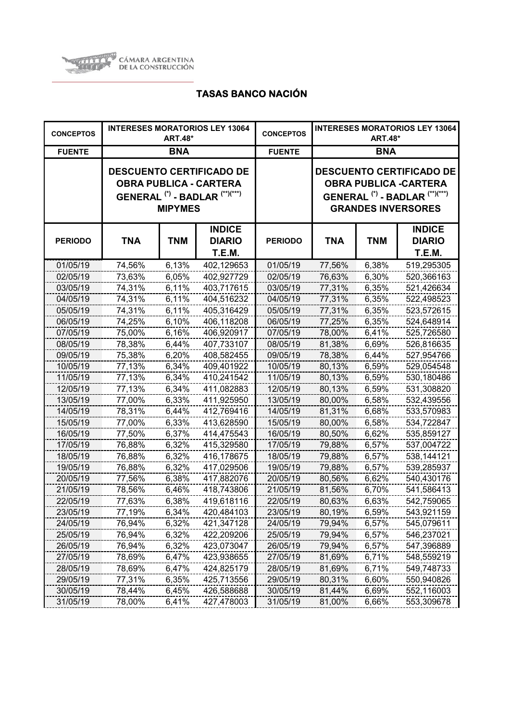

| <b>CONCEPTOS</b> |            | <b>ART.48*</b> | <b>INTERESES MORATORIOS LEY 13064</b>                                                                  | <b>CONCEPTOS</b> | <b>INTERESES MORATORIOS LEY 13064</b><br><b>ART.48*</b> |            |                                                                                                                                                      |
|------------------|------------|----------------|--------------------------------------------------------------------------------------------------------|------------------|---------------------------------------------------------|------------|------------------------------------------------------------------------------------------------------------------------------------------------------|
| <b>FUENTE</b>    |            | <b>BNA</b>     |                                                                                                        | <b>FUENTE</b>    | <b>BNA</b>                                              |            |                                                                                                                                                      |
|                  |            | <b>MIPYMES</b> | <b>DESCUENTO CERTIFICADO DE</b><br><b>OBRA PUBLICA - CARTERA</b><br>GENERAL $(*)$ - BADLAR $(**)(***)$ |                  |                                                         |            | <b>DESCUENTO CERTIFICADO DE</b><br><b>OBRA PUBLICA -CARTERA</b><br>GENERAL <sup>(*)</sup> - BADLAR <sup>(**)(***)</sup><br><b>GRANDES INVERSORES</b> |
| <b>PERIODO</b>   | <b>TNA</b> | <b>TNM</b>     | <b>INDICE</b><br><b>DIARIO</b><br><b>T.E.M.</b>                                                        | <b>PERIODO</b>   | TNA                                                     | <b>TNM</b> | <b>INDICE</b><br><b>DIARIO</b><br><b>T.E.M.</b>                                                                                                      |
| 01/05/19         | 74,56%     | 6,13%          | 402,129653                                                                                             | 01/05/19         | 77,56%                                                  | 6,38%      | 519,295305                                                                                                                                           |
| 02/05/19         | 73,63%     | 6,05%          | 402,927729                                                                                             | 02/05/19         | 76,63%                                                  | 6,30%      | 520,366163                                                                                                                                           |
| 03/05/19         | 74,31%     | 6,11%          | 403,717615                                                                                             | 03/05/19         | 77,31%                                                  | 6,35%      | 521,426634                                                                                                                                           |
| 04/05/19         | 74,31%     | 6,11%          | 404,516232                                                                                             | 04/05/19         | 77,31%                                                  | 6,35%      | 522,498523                                                                                                                                           |
| 05/05/19         | 74,31%     | $6,11\%$       | 405,316429                                                                                             | 05/05/19         | 77,31%                                                  | 6,35%      | 523,572615                                                                                                                                           |
| 06/05/19         | 74,25%     | 6,10%          | 406,118208                                                                                             | 06/05/19         | 77,25%                                                  | 6,35%      | 524,648914                                                                                                                                           |
| 07/05/19         | 75,00%     | 6,16%          | 406,920917                                                                                             | 07/05/19         | 78,00%                                                  | 6,41%      | 525,726580                                                                                                                                           |
| 08/05/19         | 78,38%     | 6,44%          | 407,733107                                                                                             | 08/05/19         | 81,38%                                                  | 6,69%      | 526,816635                                                                                                                                           |
| 09/05/19         | 75,38%     | 6,20%          | 408,582455                                                                                             | 09/05/19         | 78,38%                                                  | 6,44%      | 527,954766                                                                                                                                           |
| 10/05/19         | 77,13%     | 6,34%          | 409,401922                                                                                             | 10/05/19         | 80,13%                                                  | 6,59%      | 529,054548                                                                                                                                           |
| 11/05/19         | 77,13%     | 6,34%          | 410,241542                                                                                             | 11/05/19         | 80,13%                                                  | 6,59%      | 530,180486                                                                                                                                           |
| 12/05/19         | 77,13%     | 6,34%          | 411,082883                                                                                             | 12/05/19         | 80,13%                                                  | 6,59%      | 531,308820                                                                                                                                           |
| 13/05/19         | 77,00%     | 6,33%          | 411,925950                                                                                             | 13/05/19         | 80,00%                                                  | 6,58%      | 532,439556                                                                                                                                           |
| 14/05/19         | 78,31%     | 6,44%          | 412,769416                                                                                             | 14/05/19         | 81,31%                                                  | 6,68%      | 533,570983                                                                                                                                           |
| 15/05/19         | 77,00%     | 6,33%          | 413,628590                                                                                             | 15/05/19         | 80,00%                                                  | 6,58%      | 534,722847                                                                                                                                           |
| 16/05/19         | 77,50%     | 6,37%          | 414,475543                                                                                             | 16/05/19         | 80,50%                                                  | 6,62%      | 535,859127                                                                                                                                           |
| 17/05/19         | 76,88%     | 6,32%          | 415,329580                                                                                             | 17/05/19         | 79,88%                                                  | 6,57%      | 537,004722                                                                                                                                           |
| 18/05/19         | 76,88%     | 6,32%          | 416,178675                                                                                             | 18/05/19         | 79,88%                                                  | 6,57%      | 538,144121                                                                                                                                           |
| 19/05/19         | 76,88%     | 6,32%          | 417,029506                                                                                             | 19/05/19         | 79,88%                                                  | 6,57%      | 539,285937                                                                                                                                           |
| 20/05/19         | 77,56%     | 6,38%          | 417,882076                                                                                             | 20/05/19         | 80,56%                                                  | 6,62%      | 540,430176                                                                                                                                           |
| 21/05/19         | 78,56%     | 6,46%          | 418,743806                                                                                             | 21/05/19         | 81,56%                                                  | 6,70%      | 541,586413                                                                                                                                           |
| 22/05/19         | 77,63%     | 6,38%          | 419,618116                                                                                             | 22/05/19         | 80,63%                                                  | 6,63%      | 542,759065                                                                                                                                           |
| 23/05/19         | 77,19%     | 6,34%          | 420,484103                                                                                             | 23/05/19         | 80,19%                                                  | 6,59%      | 543,921159                                                                                                                                           |
| 24/05/19         | 76,94%     | 6,32%          | 421,347128                                                                                             | 24/05/19         | 79,94%                                                  | 6,57%      | 545,079611                                                                                                                                           |
| 25/05/19         | 76,94%     | 6,32%          | 422,209206                                                                                             | 25/05/19         | 79,94%                                                  | 6,57%      | 546,237021                                                                                                                                           |
| 26/05/19         | 76,94%     | 6,32%          | 423,073047                                                                                             | 26/05/19         | 79,94%                                                  | 6,57%      | 547,396889                                                                                                                                           |
| 27/05/19         | 78,69%     | 6,47%          | 423,938655                                                                                             | 27/05/19         | 81,69%                                                  | 6,71%      | 548,559219                                                                                                                                           |
| 28/05/19         | 78,69%     | 6,47%          | 424,825179                                                                                             | 28/05/19         | 81,69%                                                  | 6,71%      | 549,748733                                                                                                                                           |
| 29/05/19         | 77,31%     | 6,35%          | 425,713556                                                                                             | 29/05/19         | 80,31%                                                  | 6,60%      | 550,940826                                                                                                                                           |
| 30/05/19         | 78,44%     | 6,45%          | 426,588688                                                                                             | 30/05/19         | 81,44%                                                  | 6,69%      | 552,116003                                                                                                                                           |
| 31/05/19         | 78,00%     | 6,41%          | 427,478003                                                                                             | 31/05/19         | 81,00%                                                  | 6,66%      | 553,309678                                                                                                                                           |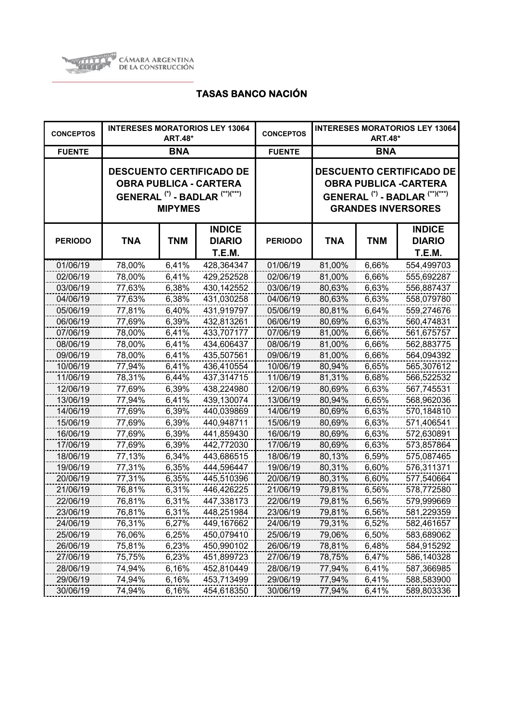

| <b>CONCEPTOS</b> |            | <b>ART.48*</b> | <b>INTERESES MORATORIOS LEY 13064</b>                                                                  | <b>CONCEPTOS</b> | <b>INTERESES MORATORIOS LEY 13064</b><br><b>ART.48*</b> |            |                                                                                                                                                      |
|------------------|------------|----------------|--------------------------------------------------------------------------------------------------------|------------------|---------------------------------------------------------|------------|------------------------------------------------------------------------------------------------------------------------------------------------------|
| <b>FUENTE</b>    |            | <b>BNA</b>     |                                                                                                        | <b>FUENTE</b>    | <b>BNA</b>                                              |            |                                                                                                                                                      |
|                  |            | <b>MIPYMES</b> | <b>DESCUENTO CERTIFICADO DE</b><br><b>OBRA PUBLICA - CARTERA</b><br>GENERAL $(*)$ - BADLAR $(**)(***)$ |                  |                                                         |            | <b>DESCUENTO CERTIFICADO DE</b><br><b>OBRA PUBLICA -CARTERA</b><br>GENERAL <sup>(*)</sup> - BADLAR <sup>(**)(***)</sup><br><b>GRANDES INVERSORES</b> |
| <b>PERIODO</b>   | <b>TNA</b> | <b>TNM</b>     | <b>INDICE</b><br><b>DIARIO</b><br><b>T.E.M.</b>                                                        | <b>PERIODO</b>   | TNA                                                     | <b>TNM</b> | <b>INDICE</b><br><b>DIARIO</b><br><b>T.E.M.</b>                                                                                                      |
| 01/06/19         | 78,00%     | 6,41%          | 428,364347                                                                                             | 01/06/19         | 81,00%                                                  | 6,66%      | 554,499703                                                                                                                                           |
| 02/06/19         | 78,00%     | 6,41%          | 429,252528                                                                                             | 02/06/19         | 81,00%                                                  | 6,66%      | 555,692287                                                                                                                                           |
| 03/06/19         | 77,63%     | 6,38%          | 430,142552                                                                                             | 03/06/19         | 80,63%                                                  | 6,63%      | 556,887437                                                                                                                                           |
| 04/06/19         | 77,63%     | 6,38%          | 431,030258                                                                                             | 04/06/19         | 80,63%                                                  | 6,63%      | 558,079780                                                                                                                                           |
| 05/06/19         | 77,81%     | 6,40%          | 431,919797                                                                                             | 05/06/19         | 80,81%                                                  | 6,64%      | 559,274676                                                                                                                                           |
| 06/06/19         | 77,69%     | 6,39%          | 432,813261                                                                                             | 06/06/19         | 80,69%                                                  | 6,63%      | 560,474831                                                                                                                                           |
| 07/06/19         | 78,00%     | 6,41%          | 433,707177                                                                                             | 07/06/19         | 81,00%                                                  | 6,66%      | 561,675757                                                                                                                                           |
| 08/06/19         | 78,00%     | 6,41%          | 434,606437                                                                                             | 08/06/19         | 81,00%                                                  | 6,66%      | 562,883775                                                                                                                                           |
| 09/06/19         | 78,00%     | 6,41%          | 435,507561                                                                                             | 09/06/19         | 81,00%                                                  | 6,66%      | 564,094392                                                                                                                                           |
| 10/06/19         | 77,94%     | 6,41%          | 436,410554                                                                                             | 10/06/19         | 80,94%                                                  | 6,65%      | 565,307612                                                                                                                                           |
| 11/06/19         | 78,31%     | 6,44%          | 437,314715                                                                                             | 11/06/19         | 81,31%                                                  | 6,68%      | 566,522532                                                                                                                                           |
| 12/06/19         | 77,69%     | 6,39%          | 438,224980                                                                                             | 12/06/19         | 80,69%                                                  | 6,63%      | 567,745531                                                                                                                                           |
| 13/06/19         | 77,94%     | 6,41%          | 439,130074                                                                                             | 13/06/19         | 80,94%                                                  | 6,65%      | 568,962036                                                                                                                                           |
| 14/06/19         | 77,69%     | 6,39%          | 440,039869                                                                                             | 14/06/19         | 80,69%                                                  | 6,63%      | 570,184810                                                                                                                                           |
| 15/06/19         | 77,69%     | 6,39%          | 440,948711                                                                                             | 15/06/19         | 80,69%                                                  | 6,63%      | 571,406541                                                                                                                                           |
| 16/06/19         | 77,69%     | 6,39%          | 441,859430                                                                                             | 16/06/19         | 80,69%                                                  | 6,63%      | 572,630891                                                                                                                                           |
| 17/06/19         | 77,69%     | 6,39%          | 442,772030                                                                                             | 17/06/19         | 80,69%                                                  | 6,63%      | 573,857864                                                                                                                                           |
| 18/06/19         | 77,13%     | 6,34%          | 443,686515                                                                                             | 18/06/19         | 80,13%                                                  | 6,59%      | 575,087465                                                                                                                                           |
| 19/06/19         | 77,31%     | 6,35%          | 444,596447                                                                                             | 19/06/19         | 80,31%                                                  | 6,60%      | 576,311371                                                                                                                                           |
| 20/06/19         | 77,31%     | 6,35%          | 445,510396                                                                                             | 20/06/19         | 80,31%                                                  | 6,60%      | 577,540664                                                                                                                                           |
| 21/06/19         | 76,81%     | 6,31%          | 446,426225                                                                                             | 21/06/19         | 79,81%                                                  | 6,56%      | 578,772580                                                                                                                                           |
| 22/06/19         | 76,81%     | 6,31%          | 447,338173                                                                                             | 22/06/19         | 79,81%                                                  | 6,56%      | 579,999669                                                                                                                                           |
| 23/06/19         | 76,81%     | 6,31%          | 448,251984                                                                                             | 23/06/19         | 79,81%                                                  | 6,56%      | 581,229359                                                                                                                                           |
| 24/06/19         | 76,31%     | 6,27%          | 449,167662                                                                                             | 24/06/19         | 79,31%                                                  | 6,52%      | 582,461657                                                                                                                                           |
| 25/06/19         | 76,06%     | 6,25%          | 450,079410                                                                                             | 25/06/19         | 79,06%                                                  | 6,50%      | 583,689062                                                                                                                                           |
| 26/06/19         | 75,81%     | 6,23%          | 450,990102                                                                                             | 26/06/19         | 78,81%                                                  | 6,48%      | 584,915292                                                                                                                                           |
| 27/06/19         | 75,75%     | 6,23%          | 451,899723                                                                                             | 27/06/19         | 78,75%                                                  | 6,47%      | 586,140328                                                                                                                                           |
| 28/06/19         | 74,94%     | 6,16%          | 452,810449                                                                                             | 28/06/19         | 77,94%                                                  | 6,41%      | 587,366985                                                                                                                                           |
| 29/06/19         | 74,94%     | 6,16%          | 453,713499                                                                                             | 29/06/19         | 77,94%                                                  | 6,41%      | 588,583900                                                                                                                                           |
| 30/06/19         | 74,94%     | 6,16%          | 454,618350                                                                                             | 30/06/19         | 77,94%                                                  | 6,41%      | 589,803336                                                                                                                                           |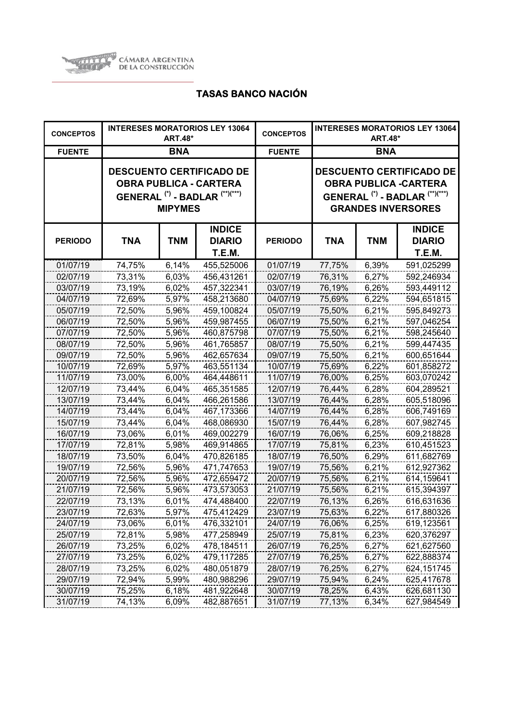

| <b>CONCEPTOS</b> |            | <b>ART.48*</b> | <b>INTERESES MORATORIOS LEY 13064</b>                                                                  | <b>CONCEPTOS</b> | <b>INTERESES MORATORIOS LEY 13064</b><br><b>ART.48*</b>                                                                                              |            |                                                 |
|------------------|------------|----------------|--------------------------------------------------------------------------------------------------------|------------------|------------------------------------------------------------------------------------------------------------------------------------------------------|------------|-------------------------------------------------|
| <b>FUENTE</b>    |            | <b>BNA</b>     |                                                                                                        | <b>FUENTE</b>    | <b>BNA</b>                                                                                                                                           |            |                                                 |
|                  |            | <b>MIPYMES</b> | <b>DESCUENTO CERTIFICADO DE</b><br><b>OBRA PUBLICA - CARTERA</b><br>GENERAL $(*)$ - BADLAR $(**)(***)$ |                  | <b>DESCUENTO CERTIFICADO DE</b><br><b>OBRA PUBLICA -CARTERA</b><br>GENERAL <sup>(*)</sup> - BADLAR <sup>(**)(***)</sup><br><b>GRANDES INVERSORES</b> |            |                                                 |
| <b>PERIODO</b>   | <b>TNA</b> | <b>TNM</b>     | <b>INDICE</b><br><b>DIARIO</b><br><b>T.E.M.</b>                                                        | <b>PERIODO</b>   | TNA                                                                                                                                                  | <b>TNM</b> | <b>INDICE</b><br><b>DIARIO</b><br><b>T.E.M.</b> |
| 01/07/19         | 74,75%     | 6,14%          | 455,525006                                                                                             | 01/07/19         | 77,75%                                                                                                                                               | 6,39%      | 591,025299                                      |
| 02/07/19         | 73,31%     | 6,03%          | 456,431261                                                                                             | 02/07/19         | 76,31%                                                                                                                                               | 6,27%      | 592,246934                                      |
| 03/07/19         | 73,19%     | 6,02%          | 457,322341                                                                                             | 03/07/19         | 76,19%                                                                                                                                               | 6,26%      | 593,449112                                      |
| 04/07/19         | 72,69%     | 5,97%          | 458,213680                                                                                             | 04/07/19         | 75,69%                                                                                                                                               | 6,22%      | 594,651815                                      |
| 05/07/19         | 72,50%     | 5,96%          | 459,100824                                                                                             | 05/07/19         | 75,50%                                                                                                                                               | 6,21%      | 595,849273                                      |
| 06/07/19         | 72,50%     | 5,96%          | 459,987455                                                                                             | 06/07/19         | 75,50%                                                                                                                                               | 6,21%      | 597,046254                                      |
| 07/07/19         | 72,50%     | 5,96%          | 460,875798                                                                                             | 07/07/19         | 75,50%                                                                                                                                               | 6,21%      | 598,245640                                      |
| 08/07/19         | 72,50%     | 5,96%          | 461,765857                                                                                             | 08/07/19         | 75,50%                                                                                                                                               | 6,21%      | 599,447435                                      |
| 09/07/19         | 72,50%     | 5,96%          | 462,657634                                                                                             | 09/07/19         | 75,50%                                                                                                                                               | 6,21%      | 600,651644                                      |
| 10/07/19         | 72,69%     | 5,97%          | 463,551134                                                                                             | 10/07/19         | 75,69%                                                                                                                                               | 6,22%      | 601,858272                                      |
| 11/07/19         | 73,00%     | 6,00%          | 464,448611                                                                                             | 11/07/19         | 76,00%                                                                                                                                               | 6,25%      | 603,070242                                      |
| 12/07/19         | 73,44%     | 6,04%          | 465,351585                                                                                             | 12/07/19         | 76,44%                                                                                                                                               | 6,28%      | 604,289521                                      |
| 13/07/19         | 73,44%     | 6,04%          | 466,261586                                                                                             | 13/07/19         | 76,44%                                                                                                                                               | 6,28%      | 605,518096                                      |
| 14/07/19         | 73,44%     | 6,04%          | 467,173366                                                                                             | 14/07/19         | 76,44%                                                                                                                                               | 6,28%      | 606,749169                                      |
| 15/07/19         | 73,44%     | 6,04%          | 468,086930                                                                                             | 15/07/19         | 76,44%                                                                                                                                               | 6,28%      | 607,982745                                      |
| 16/07/19         | 73,06%     | 6,01%          | 469,002279                                                                                             | 16/07/19         | 76,06%                                                                                                                                               | 6,25%      | 609,218828                                      |
| 17/07/19         | 72,81%     | 5,98%          | 469,914865                                                                                             | 17/07/19         | 75,81%                                                                                                                                               | 6,23%      | 610,451523                                      |
| 18/07/19         | 73,50%     | 6,04%          | 470,826185                                                                                             | 18/07/19         | 76,50%                                                                                                                                               | 6,29%      | 611,682769                                      |
| 19/07/19         | 72,56%     | 5,96%          | 471,747653                                                                                             | 19/07/19         | 75,56%                                                                                                                                               | 6,21%      | 612,927362                                      |
| 20/07/19         | 72,56%     | 5,96%          | 472,659472                                                                                             | 20/07/19         | 75,56%                                                                                                                                               | 6,21%      | 614,159641                                      |
| 21/07/19         | 72,56%     | 5,96%          | 473,573053                                                                                             | 21/07/19         | 75,56%                                                                                                                                               | 6,21%      | 615,394397                                      |
| 22/07/19         | 73,13%     | 6,01%          | 474,488400                                                                                             | 22/07/19         | 76,13%                                                                                                                                               | 6,26%      | 616,631636                                      |
| 23/07/19         | 72,63%     | 5,97%          | 475,412429                                                                                             | 23/07/19         | 75,63%                                                                                                                                               | 6,22%      | 617,880326                                      |
| 24/07/19         | 73,06%     | 6,01%          | 476,332101                                                                                             | 24/07/19         | 76,06%                                                                                                                                               | 6,25%      | 619,123561                                      |
| 25/07/19         | 72,81%     | 5,98%          | 477,258949                                                                                             | 25/07/19         | 75,81%                                                                                                                                               | 6,23%      | 620,376297                                      |
| 26/07/19         | 73,25%     | 6,02%          | 478,184511                                                                                             | 26/07/19         | 76,25%                                                                                                                                               | 6,27%      | 621,627560                                      |
| 27/07/19         | 73,25%     | 6,02%          | 479,117285                                                                                             | 27/07/19         | 76,25%                                                                                                                                               | 6,27%      | 622,888374                                      |
| 28/07/19         | 73,25%     | 6,02%          | 480,051879                                                                                             | 28/07/19         | 76,25%                                                                                                                                               | 6,27%      | 624,151745                                      |
| 29/07/19         | 72,94%     | 5,99%          | 480,988296                                                                                             | 29/07/19         | 75,94%                                                                                                                                               | 6,24%      | 625,417678                                      |
| 30/07/19         | 75,25%     | 6,18%          | 481,922648                                                                                             | 30/07/19         | 78,25%                                                                                                                                               | 6,43%      | 626,681130                                      |
| 31/07/19         | 74,13%     | 6,09%          | 482,887651                                                                                             | 31/07/19         | 77,13%                                                                                                                                               | 6,34%      | 627,984549                                      |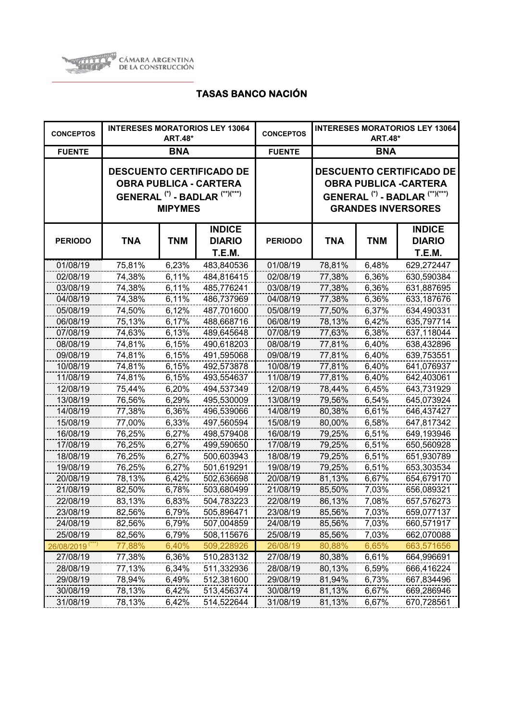

| <b>CONCEPTOS</b>            | <b>INTERESES MORATORIOS LEY 13064</b><br><b>ART.48*</b> |                |                                                                                                                          | <b>CONCEPTOS</b> | <b>INTERESES MORATORIOS LEY 13064</b><br><b>ART.48*</b>                                                                                              |            |                                                 |
|-----------------------------|---------------------------------------------------------|----------------|--------------------------------------------------------------------------------------------------------------------------|------------------|------------------------------------------------------------------------------------------------------------------------------------------------------|------------|-------------------------------------------------|
| <b>FUENTE</b>               |                                                         | <b>BNA</b>     |                                                                                                                          | <b>FUENTE</b>    | <b>BNA</b>                                                                                                                                           |            |                                                 |
|                             |                                                         | <b>MIPYMES</b> | <b>DESCUENTO CERTIFICADO DE</b><br><b>OBRA PUBLICA - CARTERA</b><br>GENERAL <sup>(*)</sup> - BADLAR <sup>(**)(***)</sup> |                  | <b>DESCUENTO CERTIFICADO DE</b><br><b>OBRA PUBLICA -CARTERA</b><br>GENERAL <sup>(*)</sup> - BADLAR <sup>(**)(***)</sup><br><b>GRANDES INVERSORES</b> |            |                                                 |
| <b>PERIODO</b>              | <b>TNA</b>                                              | <b>TNM</b>     | <b>INDICE</b><br><b>DIARIO</b><br>T.E.M.                                                                                 | <b>PERIODO</b>   | <b>TNA</b>                                                                                                                                           | <b>TNM</b> | <b>INDICE</b><br><b>DIARIO</b><br><b>T.E.M.</b> |
| 01/08/19                    | 75,81%                                                  | 6,23%          | 483,840536                                                                                                               | 01/08/19         | 78,81%                                                                                                                                               | 6,48%      | 629,272447                                      |
| 02/08/19                    | 74,38%                                                  | 6,11%          | 484,816415                                                                                                               | 02/08/19         | 77,38%                                                                                                                                               | 6,36%      | 630,590384                                      |
| 03/08/19                    | 74,38%                                                  | 6,11%          | 485,776241                                                                                                               | 03/08/19         | 77,38%                                                                                                                                               | 6,36%      | 631,887695                                      |
| 04/08/19                    | 74,38%                                                  | 6,11%          | 486,737969                                                                                                               | 04/08/19         | 77,38%                                                                                                                                               | 6,36%      | 633,187676                                      |
| 05/08/19                    | 74,50%                                                  | $6,12\%$       | 487,701600                                                                                                               | 05/08/19         | 77,50%                                                                                                                                               | 6,37%      | 634,490331                                      |
| 06/08/19                    | 75,13%                                                  | 6,17%          | 488,668716                                                                                                               | 06/08/19         | 78,13%                                                                                                                                               | 6,42%      | 635,797714                                      |
| 07/08/19                    | 74,63%                                                  | 6,13%          | 489,645648                                                                                                               | 07/08/19         | 77,63%                                                                                                                                               | 6,38%      | 637,118044                                      |
| 08/08/19                    | 74,81%                                                  | 6,15%          | 490,618203                                                                                                               | 08/08/19         | 77,81%                                                                                                                                               | 6,40%      | 638,432896                                      |
| 09/08/19                    | 74,81%                                                  | 6,15%          | 491,595068                                                                                                               | 09/08/19         | 77,81%                                                                                                                                               | 6,40%      | 639,753551                                      |
| 10/08/19                    | 74,81%                                                  | 6,15%          | 492,573878                                                                                                               | 10/08/19         | 77,81%                                                                                                                                               | 6,40%      | 641,076937                                      |
| 11/08/19                    | 74,81%                                                  | 6,15%          | 493,554637                                                                                                               | 11/08/19         | 77,81%                                                                                                                                               | 6,40%      | 642,403061                                      |
| 12/08/19                    | 75,44%                                                  | 6,20%          | 494,537349                                                                                                               | 12/08/19         | 78,44%                                                                                                                                               | 6,45%      | 643,731929                                      |
| 13/08/19                    | 76,56%                                                  | 6,29%          | 495,530009                                                                                                               | 13/08/19         | 79,56%                                                                                                                                               | 6,54%      | 645,073924                                      |
| 14/08/19                    | 77,38%                                                  | 6,36%          | 496,539066                                                                                                               | 14/08/19         | 80,38%                                                                                                                                               | 6,61%      | 646,437427                                      |
| 15/08/19                    | 77,00%                                                  | 6,33%          | 497,560594                                                                                                               | 15/08/19         | 80,00%                                                                                                                                               | 6,58%      | 647,817342                                      |
| 16/08/19                    | 76,25%                                                  | 6,27%          | 498,579408                                                                                                               | 16/08/19         | 79,25%                                                                                                                                               | 6,51%      | 649,193946                                      |
| 17/08/19                    | 76,25%                                                  | 6,27%          | 499,590650                                                                                                               | 17/08/19         | 79,25%                                                                                                                                               | 6,51%      | 650,560928                                      |
| 18/08/19                    | 76,25%                                                  | 6,27%          | 500,603943                                                                                                               | 18/08/19         | 79,25%                                                                                                                                               | 6,51%      | 651,930789                                      |
| 19/08/19                    | 76,25%                                                  | 6,27%          | 501,619291                                                                                                               | 19/08/19         | 79,25%                                                                                                                                               | 6,51%      | 653,303534                                      |
| 20/08/19                    | 78,13%                                                  | 6,42%          | 502,636698                                                                                                               | 20/08/19         | 81,13%                                                                                                                                               | 6,67%      | 654,679170                                      |
| 21/08/19                    | 82,50%                                                  | 6,78%          | 503,680499                                                                                                               | 21/08/19         | 85,50%                                                                                                                                               | 7,03%      | 656,089321                                      |
| 22/08/19                    | 83,13%                                                  | 6,83%          | 504,783223                                                                                                               | 22/08/19         | 86,13%                                                                                                                                               | 7,08%      | 657,576273                                      |
| 23/08/19                    | 82,56%                                                  | 6,79%          | 505,896471                                                                                                               | 23/08/19         | 85,56%                                                                                                                                               | 7,03%      | 659,077137                                      |
| 24/08/19                    | 82,56%                                                  | 6,79%          | 507,004859                                                                                                               | 24/08/19         | 85,56%                                                                                                                                               | 7,03%      | 660,571917                                      |
| 25/08/19                    | 82,56%                                                  | 6,79%          | 508,115676                                                                                                               | 25/08/19         | 85,56%                                                                                                                                               | 7,03%      | 662,070088                                      |
| 26/08/2019 <sup>(***)</sup> | 77,88%                                                  | 6,40%          | 509,228926                                                                                                               | 26/08/19         | 80,88%                                                                                                                                               | 6,65%      | 663,571656                                      |
| 27/08/19                    | 77,38%                                                  | 6,36%          | 510,283132                                                                                                               | 27/08/19         | 80,38%                                                                                                                                               | 6,61%      | 664,996691                                      |
| 28/08/19                    | 77,13%                                                  | 6,34%          | 511,332936                                                                                                               | 28/08/19         | 80,13%                                                                                                                                               | 6,59%      | 666,416224                                      |
| 29/08/19                    | 78,94%                                                  | 6,49%          | 512,381600                                                                                                               | 29/08/19         | 81,94%                                                                                                                                               | 6,73%      | 667,834496                                      |
| 30/08/19                    | 78,13%                                                  | 6,42%          | 513,456374                                                                                                               | 30/08/19         | 81,13%                                                                                                                                               | 6,67%      | 669,286946                                      |
| 31/08/19                    | 78,13%                                                  | 6,42%          | 514,522644                                                                                                               | 31/08/19         | 81,13%                                                                                                                                               | 6,67%      | 670,728561                                      |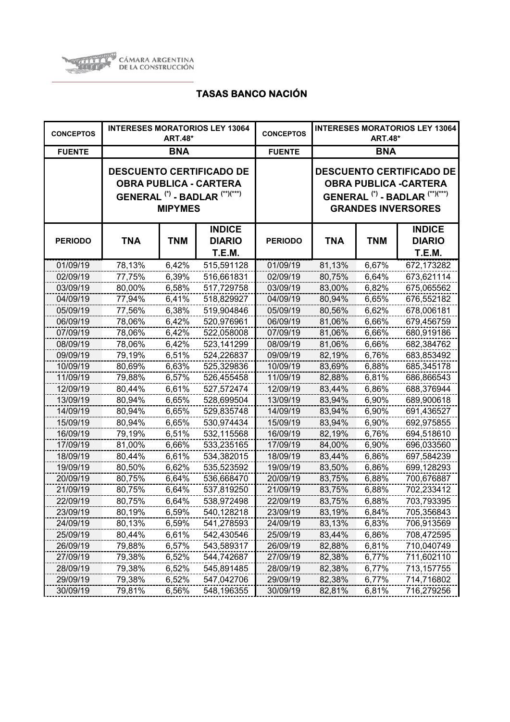

| <b>CONCEPTOS</b> |            | <b>ART.48*</b> | <b>INTERESES MORATORIOS LEY 13064</b>                                                                  | <b>CONCEPTOS</b> | <b>INTERESES MORATORIOS LEY 13064</b><br><b>ART.48*</b> |            |                                                                                                                                                      |
|------------------|------------|----------------|--------------------------------------------------------------------------------------------------------|------------------|---------------------------------------------------------|------------|------------------------------------------------------------------------------------------------------------------------------------------------------|
| <b>FUENTE</b>    |            | <b>BNA</b>     |                                                                                                        | <b>FUENTE</b>    | <b>BNA</b>                                              |            |                                                                                                                                                      |
|                  |            | <b>MIPYMES</b> | <b>DESCUENTO CERTIFICADO DE</b><br><b>OBRA PUBLICA - CARTERA</b><br>GENERAL $(*)$ - BADLAR $(**)(***)$ |                  |                                                         |            | <b>DESCUENTO CERTIFICADO DE</b><br><b>OBRA PUBLICA -CARTERA</b><br>GENERAL <sup>(*)</sup> - BADLAR <sup>(**)(***)</sup><br><b>GRANDES INVERSORES</b> |
| <b>PERIODO</b>   | <b>TNA</b> | <b>TNM</b>     | <b>INDICE</b><br><b>DIARIO</b><br>T.E.M.                                                               | <b>PERIODO</b>   | TNA                                                     | <b>TNM</b> | <b>INDICE</b><br><b>DIARIO</b><br>T.E.M.                                                                                                             |
| 01/09/19         | 78,13%     | 6,42%          | 515,591128                                                                                             | 01/09/19         | 81,13%                                                  | 6,67%      | 672,173282                                                                                                                                           |
| 02/09/19         | 77,75%     | 6,39%          | 516,661831                                                                                             | 02/09/19         | 80,75%                                                  | 6,64%      | 673,621114                                                                                                                                           |
| 03/09/19         | 80,00%     | 6,58%          | 517,729758                                                                                             | 03/09/19         | 83,00%                                                  | 6,82%      | 675,065562                                                                                                                                           |
| 04/09/19         | 77,94%     | 6,41%          | 518,829927                                                                                             | 04/09/19         | 80,94%                                                  | 6,65%      | 676,552182                                                                                                                                           |
| 05/09/19         | 77,56%     | 6,38%          | 519,904846                                                                                             | 05/09/19         | 80,56%                                                  | 6,62%      | 678,006181                                                                                                                                           |
| 06/09/19         | 78,06%     | 6,42%          | 520,976961                                                                                             | 06/09/19         | 81,06%                                                  | 6,66%      | 679,456759                                                                                                                                           |
| 07/09/19         | 78,06%     | 6,42%          | 522,058008                                                                                             | 07/09/19         | 81,06%                                                  | 6,66%      | 680,919186                                                                                                                                           |
| 08/09/19         | 78,06%     | 6,42%          | 523,141299                                                                                             | 08/09/19         | 81,06%                                                  | 6,66%      | 682,384762                                                                                                                                           |
| 09/09/19         | 79,19%     | 6,51%          | 524,226837                                                                                             | 09/09/19         | 82,19%                                                  | 6,76%      | 683,853492                                                                                                                                           |
| 10/09/19         | 80,69%     | 6,63%          | 525,329836                                                                                             | 10/09/19         | 83,69%                                                  | 6,88%      | 685,345178                                                                                                                                           |
| 11/09/19         | 79,88%     | 6,57%          | 526,455458                                                                                             | 11/09/19         | 82,88%                                                  | 6,81%      | 686,866543                                                                                                                                           |
| 12/09/19         | 80,44%     | 6,61%          | 527,572474                                                                                             | 12/09/19         | 83,44%                                                  | 6,86%      | 688,376944                                                                                                                                           |
| 13/09/19         | 80,94%     | 6,65%          | 528,699504                                                                                             | 13/09/19         | 83,94%                                                  | 6,90%      | 689,900618                                                                                                                                           |
| 14/09/19         | 80,94%     | 6,65%          | 529,835748                                                                                             | 14/09/19         | 83,94%                                                  | 6,90%      | 691,436527                                                                                                                                           |
| 15/09/19         | 80,94%     | 6,65%          | 530,974434                                                                                             | 15/09/19         | 83,94%                                                  | 6,90%      | 692,975855                                                                                                                                           |
| 16/09/19         | 79,19%     | 6,51%          | 532,115568                                                                                             | 16/09/19         | 82,19%                                                  | 6,76%      | 694,518610                                                                                                                                           |
| 17/09/19         | 81,00%     | 6,66%          | 533,235165                                                                                             | 17/09/19         | 84,00%                                                  | 6,90%      | 696,033560                                                                                                                                           |
| 18/09/19         | 80,44%     | 6,61%          | 534,382015                                                                                             | 18/09/19         | 83,44%                                                  | 6,86%      | 697,584239                                                                                                                                           |
| 19/09/19         | 80,50%     | 6,62%          | 535,523592                                                                                             | 19/09/19         | 83,50%                                                  | 6,86%      | 699,128293                                                                                                                                           |
| 20/09/19         | 80,75%     | 6,64%          | 536,668470                                                                                             | 20/09/19         | 83,75%                                                  | 6,88%      | 700,676887                                                                                                                                           |
| 21/09/19         | 80,75%     | 6,64%          | 537,819250                                                                                             | 21/09/19         | 83,75%                                                  | 6,88%      | 702,233412                                                                                                                                           |
| 22/09/19         | 80,75%     | 6,64%          | 538,972498                                                                                             | 22/09/19         | 83,75%                                                  | 6,88%      | 703,793395                                                                                                                                           |
| 23/09/19         | 80,19%     | 6,59%          | 540,128218                                                                                             | 23/09/19         | 83,19%                                                  | 6,84%      | 705,356843                                                                                                                                           |
| 24/09/19         | 80,13%     | 6,59%          | 541,278593                                                                                             | 24/09/19         | 83,13%                                                  | 6,83%      | 706,913569                                                                                                                                           |
| 25/09/19         | 80,44%     | 6,61%          | 542,430546                                                                                             | 25/09/19         | 83,44%                                                  | 6,86%      | 708,472595                                                                                                                                           |
| 26/09/19         | 79,88%     | 6,57%          | 543,589317                                                                                             | 26/09/19         | 82,88%                                                  | 6,81%      | 710,040749                                                                                                                                           |
| 27/09/19         | 79,38%     | 6,52%          | 544,742687                                                                                             | 27/09/19         | 82,38%                                                  | 6,77%      | 711,602110                                                                                                                                           |
| 28/09/19         | 79,38%     | 6,52%          | 545,891485                                                                                             | 28/09/19         | 82,38%                                                  | 6,77%      | 713,157755                                                                                                                                           |
| 29/09/19         | 79,38%     | 6,52%          | 547,042706                                                                                             | 29/09/19         | 82,38%                                                  | 6,77%      | 714,716802                                                                                                                                           |
| 30/09/19         | 79,81%     | 6,56%          | 548,196355                                                                                             | 30/09/19         | 82,81%                                                  | 6,81%      | 716,279256                                                                                                                                           |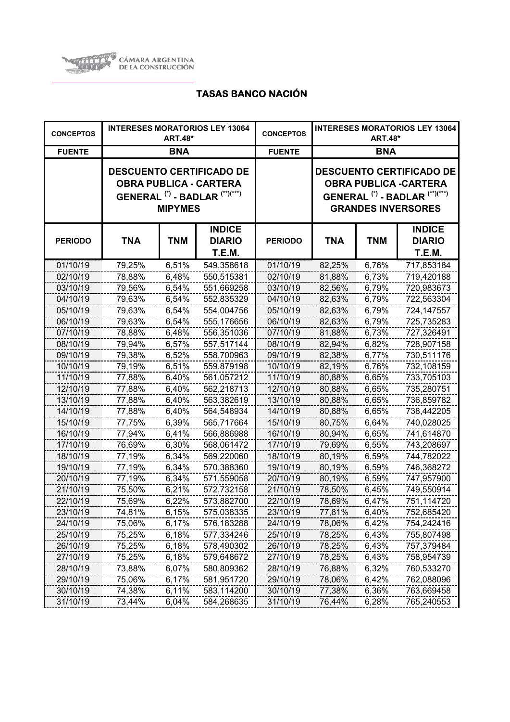

| <b>CONCEPTOS</b> |            | <b>ART.48*</b> | <b>INTERESES MORATORIOS LEY 13064</b>                                                                                    | <b>CONCEPTOS</b> | <b>INTERESES MORATORIOS LEY 13064</b><br><b>ART.48*</b>                                                                                              |            |                                          |
|------------------|------------|----------------|--------------------------------------------------------------------------------------------------------------------------|------------------|------------------------------------------------------------------------------------------------------------------------------------------------------|------------|------------------------------------------|
| <b>FUENTE</b>    |            | <b>BNA</b>     |                                                                                                                          | <b>FUENTE</b>    | <b>BNA</b>                                                                                                                                           |            |                                          |
|                  |            | <b>MIPYMES</b> | <b>DESCUENTO CERTIFICADO DE</b><br><b>OBRA PUBLICA - CARTERA</b><br>GENERAL <sup>(*)</sup> - BADLAR <sup>(**)(***)</sup> |                  | <b>DESCUENTO CERTIFICADO DE</b><br><b>OBRA PUBLICA -CARTERA</b><br>GENERAL <sup>(*)</sup> - BADLAR <sup>(**)(***)</sup><br><b>GRANDES INVERSORES</b> |            |                                          |
| <b>PERIODO</b>   | <b>TNA</b> | <b>TNM</b>     | <b>INDICE</b><br><b>DIARIO</b><br>T.E.M.                                                                                 | <b>PERIODO</b>   | <b>TNA</b>                                                                                                                                           | <b>TNM</b> | <b>INDICE</b><br><b>DIARIO</b><br>T.E.M. |
| 01/10/19         | 79,25%     | 6,51%          | 549,358618                                                                                                               | 01/10/19         | 82,25%                                                                                                                                               | 6,76%      | 717,853184                               |
| 02/10/19         | 78,88%     | 6,48%          | 550,515381                                                                                                               | 02/10/19         | 81,88%                                                                                                                                               | 6,73%      | 719,420188                               |
| 03/10/19         | 79,56%     | 6,54%          | 551,669258                                                                                                               | 03/10/19         | 82,56%                                                                                                                                               | 6,79%      | 720,983673                               |
| 04/10/19         | 79,63%     | 6,54%          | 552,835329                                                                                                               | 04/10/19         | 82,63%                                                                                                                                               | 6,79%      | 722,563304                               |
| 05/10/19         | 79,63%     | 6,54%          | 554,004756                                                                                                               | 05/10/19         | 82,63%                                                                                                                                               | 6,79%      | 724,147557                               |
| 06/10/19         | 79,63%     | 6,54%          | 555,176656                                                                                                               | 06/10/19         | 82,63%                                                                                                                                               | 6,79%      | 725,735283                               |
| 07/10/19         | 78,88%     | 6,48%          | 556,351036                                                                                                               | 07/10/19         | 81,88%                                                                                                                                               | 6,73%      | 727,326491                               |
| 08/10/19         | 79,94%     | 6,57%          | 557,517144                                                                                                               | 08/10/19         | 82,94%                                                                                                                                               | 6,82%      | 728,907158                               |
| 09/10/19         | 79,38%     | 6,52%          | 558,700963                                                                                                               | 09/10/19         | 82,38%                                                                                                                                               | 6,77%      | 730,511176                               |
| 10/10/19         | 79,19%     | 6,51%          | 559,879198                                                                                                               | 10/10/19         | 82,19%                                                                                                                                               | 6,76%      | 732,108159                               |
| 11/10/19         | 77,88%     | 6,40%          | 561,057212                                                                                                               | 11/10/19         | 80,88%                                                                                                                                               | 6,65%      | 733,705103                               |
| 12/10/19         | 77,88%     | 6,40%          | 562,218713                                                                                                               | 12/10/19         | 80,88%                                                                                                                                               | 6,65%      | 735,280751                               |
| 13/10/19         | 77,88%     | 6,40%          | 563,382619                                                                                                               | 13/10/19         | 80,88%                                                                                                                                               | 6,65%      | 736,859782                               |
| 14/10/19         | 77,88%     | 6,40%          | 564,548934                                                                                                               | 14/10/19         | 80,88%                                                                                                                                               | 6,65%      | 738,442205                               |
| 15/10/19         | 77,75%     | 6,39%          | 565,717664                                                                                                               | 15/10/19         | 80,75%                                                                                                                                               | 6,64%      | 740,028025                               |
| 16/10/19         | 77,94%     | 6,41%          | 566,886988                                                                                                               | 16/10/19         | 80,94%                                                                                                                                               | 6,65%      | 741,614870                               |
| 17/10/19         | 76,69%     | 6,30%          | 568,061472                                                                                                               | 17/10/19         | 79,69%                                                                                                                                               | 6,55%      | 743,208697                               |
| 18/10/19         | 77,19%     | 6,34%          | 569,220060                                                                                                               | 18/10/19         | 80,19%                                                                                                                                               | 6,59%      | 744,782022                               |
| 19/10/19         | 77,19%     | 6,34%          | 570,388360                                                                                                               | 19/10/19         | 80,19%                                                                                                                                               | 6,59%      | 746,368272                               |
| 20/10/19         | 77,19%     | 6,34%          | 571,559058                                                                                                               | 20/10/19         | 80,19%                                                                                                                                               | 6,59%      | 747,957900                               |
| 21/10/19         | 75,50%     | 6,21%          | 572,732158                                                                                                               | 21/10/19         | 78,50%                                                                                                                                               | 6,45%      | 749,550914                               |
| 22/10/19         | 75,69%     | 6,22%          | 573,882700                                                                                                               | 22/10/19         | 78,69%                                                                                                                                               | 6,47%      | 751,114720                               |
| 23/10/19         | 74,81%     | 6,15%          | 575,038335                                                                                                               | 23/10/19         | 77,81%                                                                                                                                               | 6,40%      | 752,685420                               |
| 24/10/19         | 75,06%     | 6,17%          | 576,183288                                                                                                               | 24/10/19         | 78,06%                                                                                                                                               | 6,42%      | 754,242416                               |
| 25/10/19         | 75,25%     | 6,18%          | 577,334246                                                                                                               | 25/10/19         | 78,25%                                                                                                                                               | 6,43%      | 755,807498                               |
| 26/10/19         | 75,25%     | 6,18%          | 578,490302                                                                                                               | 26/10/19         | 78,25%                                                                                                                                               | 6,43%      | 757,379484                               |
| 27/10/19         | 75,25%     | 6,18%          | 579,648672                                                                                                               | 27/10/19         | 78,25%                                                                                                                                               | 6,43%      | 758,954739                               |
| 28/10/19         | 73,88%     | 6,07%          | 580,809362                                                                                                               | 28/10/19         | 76,88%                                                                                                                                               | 6,32%      | 760,533270                               |
| 29/10/19         | 75,06%     | 6,17%          | 581,951720                                                                                                               | 29/10/19         | 78,06%                                                                                                                                               | 6,42%      | 762,088096                               |
| 30/10/19         | 74,38%     | 6,11%          | 583,114200                                                                                                               | 30/10/19         | 77,38%                                                                                                                                               | 6,36%      | 763,669458                               |
| 31/10/19         | 73,44%     | 6,04%          | 584,268635                                                                                                               | 31/10/19         | 76,44%                                                                                                                                               | 6,28%      | 765,240553                               |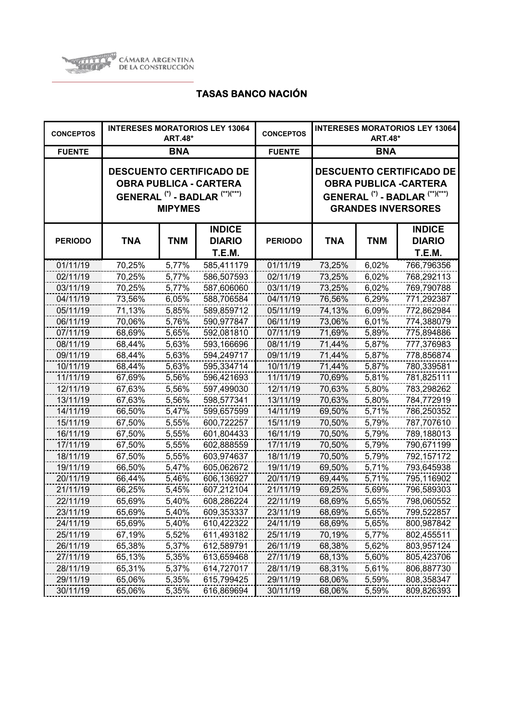

| <b>CONCEPTOS</b> |            | <b>ART.48*</b> | <b>INTERESES MORATORIOS LEY 13064</b>                                                                  | <b>CONCEPTOS</b> | <b>INTERESES MORATORIOS LEY 13064</b><br><b>ART.48*</b> |            |                                                                                                                                                      |
|------------------|------------|----------------|--------------------------------------------------------------------------------------------------------|------------------|---------------------------------------------------------|------------|------------------------------------------------------------------------------------------------------------------------------------------------------|
| <b>FUENTE</b>    |            | <b>BNA</b>     |                                                                                                        | <b>FUENTE</b>    | <b>BNA</b>                                              |            |                                                                                                                                                      |
|                  |            | <b>MIPYMES</b> | <b>DESCUENTO CERTIFICADO DE</b><br><b>OBRA PUBLICA - CARTERA</b><br>GENERAL $(*)$ - BADLAR $(**)(***)$ |                  |                                                         |            | <b>DESCUENTO CERTIFICADO DE</b><br><b>OBRA PUBLICA -CARTERA</b><br>GENERAL <sup>(*)</sup> - BADLAR <sup>(**)(***)</sup><br><b>GRANDES INVERSORES</b> |
| <b>PERIODO</b>   | <b>TNA</b> | <b>TNM</b>     | <b>INDICE</b><br><b>DIARIO</b><br>T.E.M.                                                               | <b>PERIODO</b>   | TNA                                                     | <b>TNM</b> | <b>INDICE</b><br><b>DIARIO</b><br><b>T.E.M.</b>                                                                                                      |
| 01/11/19         | 70,25%     | 5,77%          | 585,411179                                                                                             | 01/11/19         | 73,25%                                                  | 6,02%      | 766,796356                                                                                                                                           |
| 02/11/19         | 70,25%     | 5,77%          | 586,507593                                                                                             | 02/11/19         | 73,25%                                                  | 6,02%      | 768,292113                                                                                                                                           |
| 03/11/19         | 70,25%     | 5,77%          | 587,606060                                                                                             | 03/11/19         | 73,25%                                                  | 6,02%      | 769,790788                                                                                                                                           |
| 04/11/19         | 73,56%     | 6,05%          | 588,706584                                                                                             | 04/11/19         | 76,56%                                                  | 6,29%      | 771,292387                                                                                                                                           |
| 05/11/19         | 71,13%     | 5,85%          | 589,859712                                                                                             | 05/11/19         | 74,13%                                                  | 6,09%      | 772,862984                                                                                                                                           |
| 06/11/19         | 70,06%     | 5,76%          | 590,977847                                                                                             | 06/11/19         | 73,06%                                                  | 6,01%      | 774,388079                                                                                                                                           |
| 07/11/19         | 68,69%     | 5,65%          | 592,081810                                                                                             | 07/11/19         | 71,69%                                                  | 5,89%      | 775,894886                                                                                                                                           |
| 08/11/19         | 68,44%     | 5,63%          | 593,166696                                                                                             | 08/11/19         | 71,44%                                                  | 5,87%      | 777,376983                                                                                                                                           |
| 09/11/19         | 68,44%     | 5,63%          | 594,249717                                                                                             | 09/11/19         | 71,44%                                                  | 5,87%      | 778,856874                                                                                                                                           |
| 10/11/19         | 68,44%     | 5,63%          | 595,334714                                                                                             | 10/11/19         | 71,44%                                                  | 5,87%      | 780,339581                                                                                                                                           |
| 11/11/19         | 67,69%     | 5,56%          | 596,421693                                                                                             | 11/11/19         | 70,69%                                                  | 5,81%      | 781,825111                                                                                                                                           |
| 12/11/19         | 67,63%     | 5,56%          | 597,499030                                                                                             | 12/11/19         | 70,63%                                                  | 5,80%      | 783,298262                                                                                                                                           |
| 13/11/19         | 67,63%     | 5,56%          | 598,577341                                                                                             | 13/11/19         | 70,63%                                                  | 5,80%      | 784,772919                                                                                                                                           |
| 14/11/19         | 66,50%     | 5,47%          | 599,657599                                                                                             | 14/11/19         | 69,50%                                                  | 5,71%      | 786,250352                                                                                                                                           |
| 15/11/19         | 67,50%     | 5,55%          | 600,722257                                                                                             | 15/11/19         | 70,50%                                                  | 5,79%      | 787,707610                                                                                                                                           |
| 16/11/19         | 67,50%     | 5,55%          | 601,804433                                                                                             | 16/11/19         | 70,50%                                                  | 5,79%      | 789,188013                                                                                                                                           |
| 17/11/19         | 67,50%     | 5,55%          | 602,888559                                                                                             | 17/11/19         | 70,50%                                                  | 5,79%      | 790,671199                                                                                                                                           |
| 18/11/19         | 67,50%     | 5,55%          | 603,974637                                                                                             | 18/11/19         | 70,50%                                                  | 5,79%      | 792,157172                                                                                                                                           |
| 19/11/19         | 66,50%     | 5,47%          | 605,062672                                                                                             | 19/11/19         | 69,50%                                                  | 5,71%      | 793,645938                                                                                                                                           |
| 20/11/19         | 66,44%     | 5,46%          | 606,136927                                                                                             | 20/11/19         | 69,44%                                                  | 5,71%      | 795,116902                                                                                                                                           |
| 21/11/19         | 66,25%     | 5,45%          | 607,212104                                                                                             | 21/11/19         | 69,25%                                                  | 5,69%      | 796,589303                                                                                                                                           |
| 22/11/19         | 65,69%     | 5,40%          | 608,286224                                                                                             | 22/11/19         | 68,69%                                                  | 5,65%      | 798,060552                                                                                                                                           |
| 23/11/19         | 65,69%     | 5,40%          | 609,353337                                                                                             | 23/11/19         | 68,69%                                                  | 5,65%      | 799,522857                                                                                                                                           |
| 24/11/19         | 65,69%     | 5,40%          | 610,422322                                                                                             | 24/11/19         | 68,69%                                                  | 5,65%      | 800,987842                                                                                                                                           |
| 25/11/19         | 67,19%     | 5,52%          | 611,493182                                                                                             | 25/11/19         | 70,19%                                                  | 5,77%      | 802,455511                                                                                                                                           |
| 26/11/19         | 65,38%     | 5,37%          | 612,589791                                                                                             | 26/11/19         | 68,38%                                                  | 5,62%      | 803,957124                                                                                                                                           |
| 27/11/19         | 65,13%     | 5,35%          | 613,659468                                                                                             | 27/11/19         | 68,13%                                                  | 5,60%      | 805,423706                                                                                                                                           |
| 28/11/19         | 65,31%     | 5,37%          | 614,727017                                                                                             | 28/11/19         | 68,31%                                                  | 5,61%      | 806,887730                                                                                                                                           |
| 29/11/19         | 65,06%     | 5,35%          | 615,799425                                                                                             | 29/11/19         | 68,06%                                                  | 5,59%      | 808,358347                                                                                                                                           |
| 30/11/19         | 65,06%     | 5,35%          | 616,869694                                                                                             | 30/11/19         | 68,06%                                                  | 5,59%      | 809,826393                                                                                                                                           |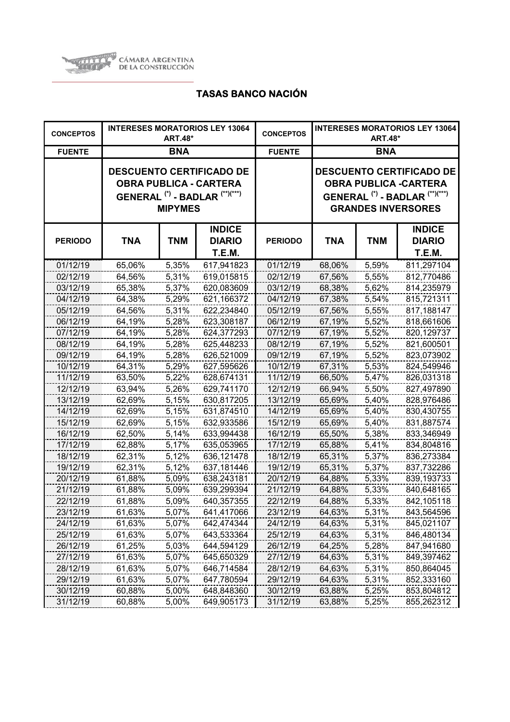

| <b>CONCEPTOS</b> |            | <b>ART.48*</b> | <b>INTERESES MORATORIOS LEY 13064</b>                                                                                    | <b>CONCEPTOS</b> | <b>INTERESES MORATORIOS LEY 13064</b><br><b>ART.48*</b> |            |                                                                                                                                                      |
|------------------|------------|----------------|--------------------------------------------------------------------------------------------------------------------------|------------------|---------------------------------------------------------|------------|------------------------------------------------------------------------------------------------------------------------------------------------------|
| <b>FUENTE</b>    |            | <b>BNA</b>     |                                                                                                                          | <b>FUENTE</b>    | <b>BNA</b>                                              |            |                                                                                                                                                      |
|                  |            | <b>MIPYMES</b> | <b>DESCUENTO CERTIFICADO DE</b><br><b>OBRA PUBLICA - CARTERA</b><br>GENERAL <sup>(*)</sup> - BADLAR <sup>(**)(***)</sup> |                  |                                                         |            | <b>DESCUENTO CERTIFICADO DE</b><br><b>OBRA PUBLICA -CARTERA</b><br>GENERAL <sup>(*)</sup> - BADLAR <sup>(**)(***)</sup><br><b>GRANDES INVERSORES</b> |
| <b>PERIODO</b>   | <b>TNA</b> | <b>TNM</b>     | <b>INDICE</b><br><b>DIARIO</b><br>T.E.M.                                                                                 | <b>PERIODO</b>   | <b>TNA</b>                                              | <b>TNM</b> | <b>INDICE</b><br><b>DIARIO</b><br>T.E.M.                                                                                                             |
| 01/12/19         | 65,06%     | 5,35%          | 617,941823                                                                                                               | 01/12/19         | 68,06%                                                  | 5,59%      | 811,297104                                                                                                                                           |
| 02/12/19         | 64,56%     | 5,31%          | 619,015815                                                                                                               | 02/12/19         | 67,56%                                                  | 5,55%      | 812,770486                                                                                                                                           |
| 03/12/19         | 65,38%     | 5,37%          | 620,083609                                                                                                               | 03/12/19         | 68,38%                                                  | 5,62%      | 814,235979                                                                                                                                           |
| 04/12/19         | 64,38%     | 5,29%          | 621,166372                                                                                                               | 04/12/19         | 67,38%                                                  | 5,54%      | 815,721311                                                                                                                                           |
| 05/12/19         | 64,56%     | 5,31%          | 622,234840                                                                                                               | 05/12/19         | 67,56%                                                  | 5,55%      | 817,188147                                                                                                                                           |
| 06/12/19         | 64,19%     | 5,28%          | 623,308187                                                                                                               | 06/12/19         | 67,19%                                                  | 5,52%      | 818,661606                                                                                                                                           |
| 07/12/19         | 64,19%     | 5,28%          | 624,377293                                                                                                               | 07/12/19         | 67,19%                                                  | 5,52%      | 820,129737                                                                                                                                           |
| 08/12/19         | 64,19%     | 5,28%          | 625,448233                                                                                                               | 08/12/19         | 67,19%                                                  | 5,52%      | 821,600501                                                                                                                                           |
| 09/12/19         | 64,19%     | 5,28%          | 626,521009                                                                                                               | 09/12/19         | 67,19%                                                  | 5,52%      | 823,073902                                                                                                                                           |
| 10/12/19         | 64,31%     | 5,29%          | 627,595626                                                                                                               | 10/12/19         | 67,31%                                                  | 5,53%      | 824,549946                                                                                                                                           |
| 11/12/19         | 63,50%     | 5,22%          | 628,674131                                                                                                               | 11/12/19         | 66,50%                                                  | 5,47%      | 826,031318                                                                                                                                           |
| 12/12/19         | 63,94%     | 5,26%          | 629,741170                                                                                                               | 12/12/19         | 66,94%                                                  | 5,50%      | 827,497890                                                                                                                                           |
| 13/12/19         | 62,69%     | 5,15%          | 630,817205                                                                                                               | 13/12/19         | 65,69%                                                  | 5,40%      | 828,976486                                                                                                                                           |
| 14/12/19         | 62,69%     | 5,15%          | 631,874510                                                                                                               | 14/12/19         | 65,69%                                                  | 5,40%      | 830,430755                                                                                                                                           |
| 15/12/19         | 62,69%     | 5,15%          | 632,933586                                                                                                               | 15/12/19         | 65,69%                                                  | 5,40%      | 831,887574                                                                                                                                           |
| 16/12/19         | 62,50%     | 5,14%          | 633,994438                                                                                                               | 16/12/19         | 65,50%                                                  | 5,38%      | 833,346949                                                                                                                                           |
| 17/12/19         | 62,88%     | 5,17%          | 635,053965                                                                                                               | 17/12/19         | 65,88%                                                  | 5,41%      | 834,804816                                                                                                                                           |
| 18/12/19         | 62,31%     | 5,12%          | 636,121478                                                                                                               | 18/12/19         | 65,31%                                                  | 5,37%      | 836,273384                                                                                                                                           |
| 19/12/19         | 62,31%     | 5,12%          | 637,181446                                                                                                               | 19/12/19         | 65,31%                                                  | 5,37%      | 837,732286                                                                                                                                           |
| 20/12/19         | 61,88%     | 5,09%          | 638,243181                                                                                                               | 20/12/19         | 64,88%                                                  | 5,33%      | 839,193733                                                                                                                                           |
| 21/12/19         | 61,88%     | 5,09%          | 639,299394                                                                                                               | 21/12/19         | 64,88%                                                  | 5,33%      | 840,648165                                                                                                                                           |
| 22/12/19         | 61,88%     | 5,09%          | 640,357355                                                                                                               | 22/12/19         | 64,88%                                                  | 5,33%      | 842,105118                                                                                                                                           |
| 23/12/19         | 61,63%     | 5,07%          | 641,417066                                                                                                               | 23/12/19         | 64,63%                                                  | 5,31%      | 843,564596                                                                                                                                           |
| 24/12/19         | 61,63%     | 5,07%          | 642,474344                                                                                                               | 24/12/19         | 64,63%                                                  | 5,31%      | 845,021107                                                                                                                                           |
| 25/12/19         | 61,63%     | 5,07%          | 643,533364                                                                                                               | 25/12/19         | 64,63%                                                  | 5,31%      | 846,480134                                                                                                                                           |
| 26/12/19         | 61,25%     | 5,03%          | 644,594129                                                                                                               | 26/12/19         | 64,25%                                                  | 5,28%      | 847,941680                                                                                                                                           |
| 27/12/19         | 61,63%     | 5,07%          | 645,650329                                                                                                               | 27/12/19         | 64,63%                                                  | 5,31%      | 849,397462                                                                                                                                           |
| 28/12/19         | 61,63%     | 5,07%          | 646,714584                                                                                                               | 28/12/19         | 64,63%                                                  | 5,31%      | 850,864045                                                                                                                                           |
| 29/12/19         | 61,63%     | 5,07%          | 647,780594                                                                                                               | 29/12/19         | 64,63%                                                  | 5,31%      | 852,333160                                                                                                                                           |
| 30/12/19         | 60,88%     | 5,00%          | 648,848360                                                                                                               | 30/12/19         | 63,88%                                                  | 5,25%      | 853,804812                                                                                                                                           |
| 31/12/19         | 60,88%     | 5,00%          | 649,905173                                                                                                               | 31/12/19         | 63,88%                                                  | 5,25%      | 855,262312                                                                                                                                           |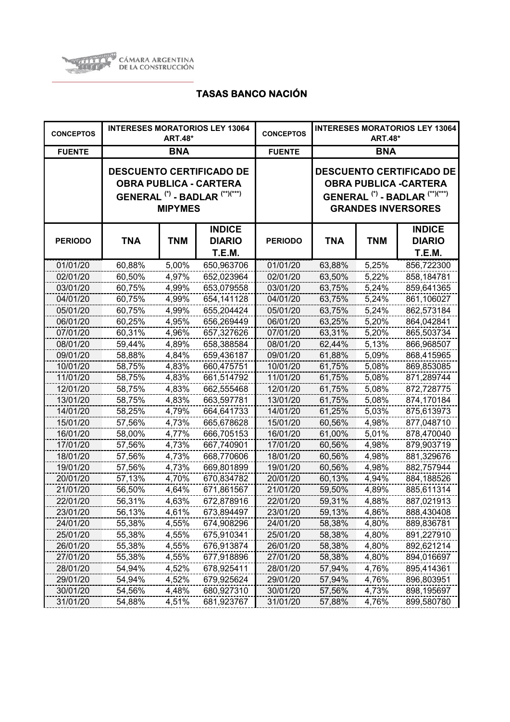

| <b>CONCEPTOS</b> |            | <b>ART.48*</b> | <b>INTERESES MORATORIOS LEY 13064</b>                                                                                    | <b>CONCEPTOS</b> | <b>INTERESES MORATORIOS LEY 13064</b><br><b>ART.48*</b> |            |                                                                                                                                                      |  |
|------------------|------------|----------------|--------------------------------------------------------------------------------------------------------------------------|------------------|---------------------------------------------------------|------------|------------------------------------------------------------------------------------------------------------------------------------------------------|--|
| <b>FUENTE</b>    |            | <b>BNA</b>     |                                                                                                                          | <b>FUENTE</b>    | <b>BNA</b>                                              |            |                                                                                                                                                      |  |
|                  |            | <b>MIPYMES</b> | <b>DESCUENTO CERTIFICADO DE</b><br><b>OBRA PUBLICA - CARTERA</b><br>GENERAL <sup>(*)</sup> - BADLAR <sup>(**)(***)</sup> |                  |                                                         |            | <b>DESCUENTO CERTIFICADO DE</b><br><b>OBRA PUBLICA -CARTERA</b><br>GENERAL <sup>(*)</sup> - BADLAR <sup>(**)(***)</sup><br><b>GRANDES INVERSORES</b> |  |
| <b>PERIODO</b>   | <b>TNA</b> | <b>TNM</b>     | <b>INDICE</b><br><b>DIARIO</b><br>T.E.M.                                                                                 | <b>PERIODO</b>   | <b>TNA</b>                                              | <b>TNM</b> | <b>INDICE</b><br><b>DIARIO</b><br>T.E.M.                                                                                                             |  |
| 01/01/20         | 60,88%     | 5,00%          | 650,963706                                                                                                               | 01/01/20         | 63,88%                                                  | 5,25%      | 856,722300                                                                                                                                           |  |
| 02/01/20         | 60,50%     | 4,97%          | 652,023964                                                                                                               | 02/01/20         | 63,50%                                                  | 5,22%      | 858,184781                                                                                                                                           |  |
| 03/01/20         | 60,75%     | 4,99%          | 653,079558                                                                                                               | 03/01/20         | 63,75%                                                  | 5,24%      | 859,641365                                                                                                                                           |  |
| 04/01/20         | 60,75%     | 4,99%          | 654,141128                                                                                                               | 04/01/20         | 63,75%                                                  | 5,24%      | 861,106027                                                                                                                                           |  |
| 05/01/20         | 60,75%     | 4,99%          | 655,204424                                                                                                               | 05/01/20         | 63,75%                                                  | 5,24%      | 862,573184                                                                                                                                           |  |
| 06/01/20         | 60,25%     | 4,95%          | 656,269449                                                                                                               | 06/01/20         | 63,25%                                                  | 5,20%      | 864,042841                                                                                                                                           |  |
| 07/01/20         | 60,31%     | 4,96%          | 657,327626                                                                                                               | 07/01/20         | 63,31%                                                  | 5,20%      | 865,503734                                                                                                                                           |  |
| 08/01/20         | 59,44%     | 4,89%          | 658,388584                                                                                                               | 08/01/20         | 62,44%                                                  | 5,13%      | 866,968507                                                                                                                                           |  |
| 09/01/20         | 58,88%     | 4,84%          | 659,436187                                                                                                               | 09/01/20         | 61,88%                                                  | 5,09%      | 868,415965                                                                                                                                           |  |
| 10/01/20         | 58,75%     | 4,83%          | 660,475751                                                                                                               | 10/01/20         | 61,75%                                                  | 5,08%      | 869,853085                                                                                                                                           |  |
| 11/01/20         | 58,75%     | 4,83%          | 661,514792                                                                                                               | 11/01/20         | 61,75%                                                  | 5,08%      | 871,289744                                                                                                                                           |  |
| 12/01/20         | 58,75%     | 4,83%          | 662,555468                                                                                                               | 12/01/20         | 61,75%                                                  | 5,08%      | 872,728775                                                                                                                                           |  |
| 13/01/20         | 58,75%     | 4,83%          | 663,597781                                                                                                               | 13/01/20         | 61,75%                                                  | 5,08%      | 874,170184                                                                                                                                           |  |
| 14/01/20         | 58,25%     | 4,79%          | 664,641733                                                                                                               | 14/01/20         | 61,25%                                                  | 5,03%      | 875,613973                                                                                                                                           |  |
| 15/01/20         | 57,56%     | 4,73%          | 665,678628                                                                                                               | 15/01/20         | 60,56%                                                  | 4,98%      | 877,048710                                                                                                                                           |  |
| 16/01/20         | 58,00%     | 4,77%          | 666,705153                                                                                                               | 16/01/20         | 61,00%                                                  | 5,01%      | 878,470040                                                                                                                                           |  |
| 17/01/20         | 57,56%     | 4,73%          | 667,740901                                                                                                               | 17/01/20         | 60,56%                                                  | 4,98%      | 879,903719                                                                                                                                           |  |
| 18/01/20         | 57,56%     | 4,73%          | 668,770606                                                                                                               | 18/01/20         | 60,56%                                                  | 4,98%      | 881,329676                                                                                                                                           |  |
| 19/01/20         | 57,56%     | 4,73%          | 669,801899                                                                                                               | 19/01/20         | 60,56%                                                  | 4,98%      | 882,757944                                                                                                                                           |  |
| 20/01/20         | 57,13%     | 4,70%          | 670,834782                                                                                                               | 20/01/20         | 60,13%                                                  | 4,94%      | 884,188526                                                                                                                                           |  |
| 21/01/20         | 56,50%     | 4,64%          | 671,861567                                                                                                               | 21/01/20         | 59,50%                                                  | 4,89%      | 885,611314                                                                                                                                           |  |
| 22/01/20         | 56,31%     | 4,63%          | 672,878916                                                                                                               | 22/01/20         | 59,31%                                                  | 4,88%      | 887,021913                                                                                                                                           |  |
| 23/01/20         | 56,13%     | 4,61%          | 673,894497                                                                                                               | 23/01/20         | 59,13%                                                  | 4,86%      | 888,430408                                                                                                                                           |  |
| 24/01/20         | 55,38%     | 4,55%          | 674,908296                                                                                                               | 24/01/20         | 58,38%                                                  | 4,80%      | 889,836781                                                                                                                                           |  |
| 25/01/20         | 55,38%     | 4,55%          | 675,910341                                                                                                               | 25/01/20         | 58,38%                                                  | 4,80%      | 891,227910                                                                                                                                           |  |
| 26/01/20         | 55,38%     | 4,55%          | 676,913874                                                                                                               | 26/01/20         | 58,38%                                                  | 4,80%      | 892,621214                                                                                                                                           |  |
| 27/01/20         | 55,38%     | 4,55%          | 677,918896                                                                                                               | 27/01/20         | 58,38%                                                  | 4,80%      | 894,016697                                                                                                                                           |  |
| 28/01/20         | 54,94%     | 4,52%          | 678,925411                                                                                                               | 28/01/20         | 57,94%                                                  | 4,76%      | 895,414361                                                                                                                                           |  |
| 29/01/20         | 54,94%     | 4,52%          | 679,925624                                                                                                               | 29/01/20         | 57,94%                                                  | 4,76%      | 896,803951                                                                                                                                           |  |
| 30/01/20         | 54,56%     | 4,48%          | 680,927310                                                                                                               | 30/01/20         | 57,56%                                                  | 4,73%      | 898,195697                                                                                                                                           |  |
| 31/01/20         | 54,88%     | 4,51%          | 681,923767                                                                                                               | 31/01/20         | 57,88%                                                  | 4,76%      | 899,580780                                                                                                                                           |  |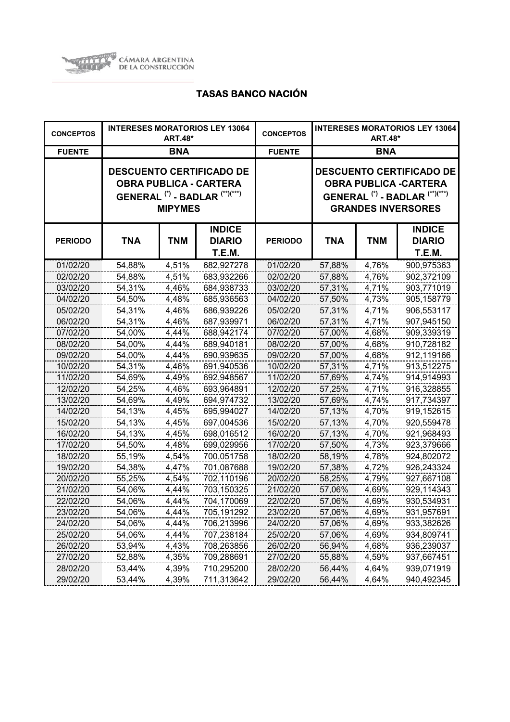

| <b>CONCEPTOS</b> |            | <b>ART.48*</b> | <b>INTERESES MORATORIOS LEY 13064</b>                                                                                    | <b>CONCEPTOS</b> | <b>INTERESES MORATORIOS LEY 13064</b><br><b>ART.48*</b> |            |                                                                                                                                                      |
|------------------|------------|----------------|--------------------------------------------------------------------------------------------------------------------------|------------------|---------------------------------------------------------|------------|------------------------------------------------------------------------------------------------------------------------------------------------------|
| <b>FUENTE</b>    |            | <b>BNA</b>     |                                                                                                                          | <b>FUENTE</b>    | <b>BNA</b>                                              |            |                                                                                                                                                      |
|                  |            | <b>MIPYMES</b> | <b>DESCUENTO CERTIFICADO DE</b><br><b>OBRA PUBLICA - CARTERA</b><br>GENERAL <sup>(*)</sup> - BADLAR <sup>(**)(***)</sup> |                  |                                                         |            | <b>DESCUENTO CERTIFICADO DE</b><br><b>OBRA PUBLICA -CARTERA</b><br>GENERAL <sup>(*)</sup> - BADLAR <sup>(**)(***)</sup><br><b>GRANDES INVERSORES</b> |
| <b>PERIODO</b>   | <b>TNA</b> | <b>TNM</b>     | <b>INDICE</b><br><b>DIARIO</b><br><b>T.E.M.</b>                                                                          | <b>PERIODO</b>   | <b>TNA</b>                                              | <b>TNM</b> | <b>INDICE</b><br><b>DIARIO</b><br>T.E.M.                                                                                                             |
| 01/02/20         | 54,88%     | 4,51%          | 682,927278                                                                                                               | 01/02/20         | 57,88%                                                  | 4,76%      | 900,975363                                                                                                                                           |
| 02/02/20         | 54,88%     | 4,51%          | 683,932266                                                                                                               | 02/02/20         | 57,88%                                                  | 4,76%      | 902,372109                                                                                                                                           |
| 03/02/20         | 54,31%     | 4,46%          | 684,938733                                                                                                               | 03/02/20         | 57,31%                                                  | 4,71%      | 903,771019                                                                                                                                           |
| 04/02/20         | 54,50%     | 4,48%          | 685,936563                                                                                                               | 04/02/20         | 57,50%                                                  | 4,73%      | 905,158779                                                                                                                                           |
| 05/02/20         | 54,31%     | 4,46%          | 686,939226                                                                                                               | 05/02/20         | 57,31%                                                  | 4,71%      | 906,553117                                                                                                                                           |
| 06/02/20         | 54,31%     | 4,46%          | 687,939971                                                                                                               | 06/02/20         | 57,31%                                                  | 4,71%      | 907,945150                                                                                                                                           |
| 07/02/20         | 54,00%     | 4,44%          | 688,942174                                                                                                               | 07/02/20         | 57,00%                                                  | 4,68%      | 909,339319                                                                                                                                           |
| 08/02/20         | 54,00%     | 4,44%          | 689,940181                                                                                                               | 08/02/20         | 57,00%                                                  | 4,68%      | 910,728182                                                                                                                                           |
| 09/02/20         | 54,00%     | 4,44%          | 690,939635                                                                                                               | 09/02/20         | 57,00%                                                  | 4,68%      | 912,119166                                                                                                                                           |
| 10/02/20         | 54,31%     | 4,46%          | 691,940536                                                                                                               | 10/02/20         | 57,31%                                                  | 4,71%      | 913,512275                                                                                                                                           |
| 11/02/20         | 54,69%     | 4,49%          | 692,948567                                                                                                               | 11/02/20         | 57,69%                                                  | 4,74%      | 914,914993                                                                                                                                           |
| 12/02/20         | 54,25%     | 4,46%          | 693,964891                                                                                                               | 12/02/20         | 57,25%                                                  | 4,71%      | 916,328855                                                                                                                                           |
| 13/02/20         | 54,69%     | 4,49%          | 694,974732                                                                                                               | 13/02/20         | 57,69%                                                  | 4,74%      | 917,734397                                                                                                                                           |
| 14/02/20         | 54,13%     | 4,45%          | 695,994027                                                                                                               | 14/02/20         | 57,13%                                                  | 4,70%      | 919,152615                                                                                                                                           |
| 15/02/20         | 54,13%     | 4,45%          | 697,004536                                                                                                               | 15/02/20         | 57,13%                                                  | 4,70%      | 920,559478                                                                                                                                           |
| 16/02/20         | 54,13%     | 4,45%          | 698,016512                                                                                                               | 16/02/20         | 57,13%                                                  | 4,70%      | 921,968493                                                                                                                                           |
| 17/02/20         | 54,50%     | 4,48%          | 699,029956                                                                                                               | 17/02/20         | 57,50%                                                  | 4,73%      | 923,379666                                                                                                                                           |
| 18/02/20         | 55,19%     | 4,54%          | 700,051758                                                                                                               | 18/02/20         | 58,19%                                                  | 4,78%      | 924,802072                                                                                                                                           |
| 19/02/20         | 54,38%     | 4,47%          | 701,087688                                                                                                               | 19/02/20         | 57,38%                                                  | 4,72%      | 926,243324                                                                                                                                           |
| 20/02/20         | 55,25%     | 4,54%          | 702,110196                                                                                                               | 20/02/20         | 58,25%                                                  | 4,79%      | 927,667108                                                                                                                                           |
| 21/02/20         | 54,06%     | 4,44%          | 703,150325                                                                                                               | 21/02/20         | 57,06%                                                  | 4,69%      | 929,114343                                                                                                                                           |
| 22/02/20         | 54,06%     | 4,44%          | 704,170069                                                                                                               | 22/02/20         | 57,06%                                                  | 4,69%      | 930,534931                                                                                                                                           |
| 23/02/20         | 54,06%     | 4,44%          | 705,191292                                                                                                               | 23/02/20         | 57,06%                                                  | 4,69%      | 931,957691                                                                                                                                           |
| 24/02/20         | 54,06%     | 4,44%          | 706,213996                                                                                                               | 24/02/20         | 57,06%                                                  | 4,69%      | 933,382626                                                                                                                                           |
| 25/02/20         | 54,06%     | 4,44%          | 707,238184                                                                                                               | 25/02/20         | 57,06%                                                  | 4,69%      | 934,809741                                                                                                                                           |
| 26/02/20         | 53,94%     | 4,43%          | 708,263856                                                                                                               | 26/02/20         | 56,94%                                                  | 4,68%      | 936,239037                                                                                                                                           |
| 27/02/20         | 52,88%     | 4,35%          | 709,288691                                                                                                               | 27/02/20         | 55,88%                                                  | 4,59%      | 937,667451                                                                                                                                           |
| 28/02/20         | 53,44%     | 4,39%          | 710,295200                                                                                                               | 28/02/20         | 56,44%                                                  | 4,64%      | 939,071919                                                                                                                                           |
| 29/02/20         | 53,44%     | 4,39%          | 711,313642                                                                                                               | 29/02/20         | 56,44%                                                  | 4,64%      | 940,492345                                                                                                                                           |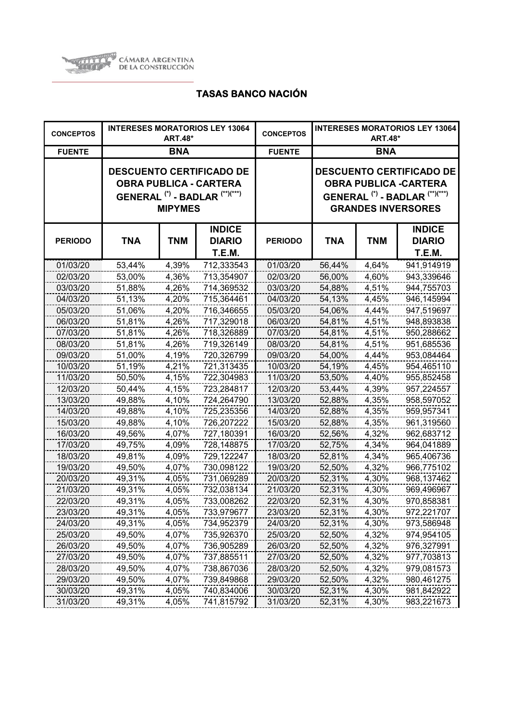

| <b>CONCEPTOS</b> |            | <b>ART.48*</b> | <b>INTERESES MORATORIOS LEY 13064</b>                                                                                    | <b>CONCEPTOS</b> | <b>INTERESES MORATORIOS LEY 13064</b><br><b>ART.48*</b> |            |                                                                                                                                                      |  |
|------------------|------------|----------------|--------------------------------------------------------------------------------------------------------------------------|------------------|---------------------------------------------------------|------------|------------------------------------------------------------------------------------------------------------------------------------------------------|--|
| <b>FUENTE</b>    |            | <b>BNA</b>     |                                                                                                                          | <b>FUENTE</b>    | <b>BNA</b>                                              |            |                                                                                                                                                      |  |
|                  |            | <b>MIPYMES</b> | <b>DESCUENTO CERTIFICADO DE</b><br><b>OBRA PUBLICA - CARTERA</b><br>GENERAL <sup>(*)</sup> - BADLAR <sup>(**)(***)</sup> |                  |                                                         |            | <b>DESCUENTO CERTIFICADO DE</b><br><b>OBRA PUBLICA -CARTERA</b><br>GENERAL <sup>(*)</sup> - BADLAR <sup>(**)(***)</sup><br><b>GRANDES INVERSORES</b> |  |
| <b>PERIODO</b>   | <b>TNA</b> | <b>TNM</b>     | <b>INDICE</b><br><b>DIARIO</b><br>T.E.M.                                                                                 | <b>PERIODO</b>   | <b>TNA</b>                                              | <b>TNM</b> | <b>INDICE</b><br><b>DIARIO</b><br>T.E.M.                                                                                                             |  |
| 01/03/20         | 53,44%     | 4,39%          | 712,333543                                                                                                               | 01/03/20         | 56,44%                                                  | 4,64%      | 941,914919                                                                                                                                           |  |
| 02/03/20         | 53,00%     | 4,36%          | 713,354907                                                                                                               | 02/03/20         | 56,00%                                                  | 4,60%      | 943,339646                                                                                                                                           |  |
| 03/03/20         | 51,88%     | 4,26%          | 714,369532                                                                                                               | 03/03/20         | 54,88%                                                  | 4,51%      | 944,755703                                                                                                                                           |  |
| 04/03/20         | 51,13%     | 4,20%          | 715,364461                                                                                                               | 04/03/20         | 54,13%                                                  | 4,45%      | 946,145994                                                                                                                                           |  |
| 05/03/20         | 51,06%     | 4,20%          | 716,346655                                                                                                               | 05/03/20         | 54,06%                                                  | 4,44%      | 947,519697                                                                                                                                           |  |
| 06/03/20         | 51,81%     | 4,26%          | 717,329018                                                                                                               | 06/03/20         | 54,81%                                                  | 4,51%      | 948,893838                                                                                                                                           |  |
| 07/03/20         | 51,81%     | 4,26%          | 718,326889                                                                                                               | 07/03/20         | 54,81%                                                  | 4,51%      | 950,288662                                                                                                                                           |  |
| 08/03/20         | 51,81%     | 4,26%          | 719,326149                                                                                                               | 08/03/20         | 54,81%                                                  | 4,51%      | 951,685536                                                                                                                                           |  |
| 09/03/20         | 51,00%     | 4,19%          | 720,326799                                                                                                               | 09/03/20         | 54,00%                                                  | 4,44%      | 953,084464                                                                                                                                           |  |
| 10/03/20         | 51,19%     | 4,21%          | 721,313435                                                                                                               | 10/03/20         | 54,19%                                                  | 4,45%      | 954,465110                                                                                                                                           |  |
| 11/03/20         | 50,50%     | 4,15%          | 722,304983                                                                                                               | 11/03/20         | 53,50%                                                  | 4,40%      | 955,852458                                                                                                                                           |  |
| 12/03/20         | 50,44%     | 4,15%          | 723,284817                                                                                                               | 12/03/20         | 53,44%                                                  | 4,39%      | 957,224557                                                                                                                                           |  |
| 13/03/20         | 49,88%     | 4,10%          | 724,264790                                                                                                               | 13/03/20         | 52,88%                                                  | 4,35%      | 958,597052                                                                                                                                           |  |
| 14/03/20         | 49,88%     | 4,10%          | 725,235356                                                                                                               | 14/03/20         | 52,88%                                                  | 4,35%      | 959,957341                                                                                                                                           |  |
| 15/03/20         | 49,88%     | 4,10%          | 726,207222                                                                                                               | 15/03/20         | 52,88%                                                  | 4,35%      | 961,319560                                                                                                                                           |  |
| 16/03/20         | 49,56%     | 4,07%          | 727,180391                                                                                                               | 16/03/20         | 52,56%                                                  | 4,32%      | 962,683712                                                                                                                                           |  |
| 17/03/20         | 49,75%     | 4,09%          | 728,148875                                                                                                               | 17/03/20         | 52,75%                                                  | 4,34%      | 964,041889                                                                                                                                           |  |
| 18/03/20         | 49,81%     | 4,09%          | 729,122247                                                                                                               | 18/03/20         | 52,81%                                                  | 4,34%      | 965,406736                                                                                                                                           |  |
| 19/03/20         | 49,50%     | 4,07%          | 730,098122                                                                                                               | 19/03/20         | 52,50%                                                  | 4,32%      | 966,775102                                                                                                                                           |  |
| 20/03/20         | 49,31%     | 4,05%          | 731,069289                                                                                                               | 20/03/20         | 52,31%                                                  | 4,30%      | 968,137462                                                                                                                                           |  |
| 21/03/20         | 49,31%     | 4,05%          | 732,038134                                                                                                               | 21/03/20         | 52,31%                                                  | 4,30%      | 969,496967                                                                                                                                           |  |
| 22/03/20         | 49,31%     | 4,05%          | 733,008262                                                                                                               | 22/03/20         | 52,31%                                                  | 4,30%      | 970,858381                                                                                                                                           |  |
| 23/03/20         | 49,31%     | 4,05%          | 733,979677                                                                                                               | 23/03/20         | 52,31%                                                  | 4,30%      | 972,221707                                                                                                                                           |  |
| 24/03/20         | 49,31%     | 4,05%          | 734,952379                                                                                                               | 24/03/20         | 52,31%                                                  | 4,30%      | 973,586948                                                                                                                                           |  |
| 25/03/20         | 49,50%     | 4,07%          | 735,926370                                                                                                               | 25/03/20         | 52,50%                                                  | 4,32%      | 974,954105                                                                                                                                           |  |
| 26/03/20         | 49,50%     | 4,07%          | 736,905289                                                                                                               | 26/03/20         | 52,50%                                                  | 4,32%      | 976,327991                                                                                                                                           |  |
| 27/03/20         | 49,50%     | 4,07%          | 737,885511                                                                                                               | 27/03/20         | 52,50%                                                  | 4,32%      | 977,703813                                                                                                                                           |  |
| 28/03/20         | 49,50%     | 4,07%          | 738,867036                                                                                                               | 28/03/20         | 52,50%                                                  | 4,32%      | 979,081573                                                                                                                                           |  |
| 29/03/20         | 49,50%     | 4,07%          | 739,849868                                                                                                               | 29/03/20         | 52,50%                                                  | 4,32%      | 980,461275                                                                                                                                           |  |
| 30/03/20         | 49,31%     | 4,05%          | 740,834006                                                                                                               | 30/03/20         | 52,31%                                                  | 4,30%      | 981,842922                                                                                                                                           |  |
| 31/03/20         | 49,31%     | 4,05%          | 741,815792                                                                                                               | 31/03/20         | 52,31%                                                  | 4,30%      | 983,221673                                                                                                                                           |  |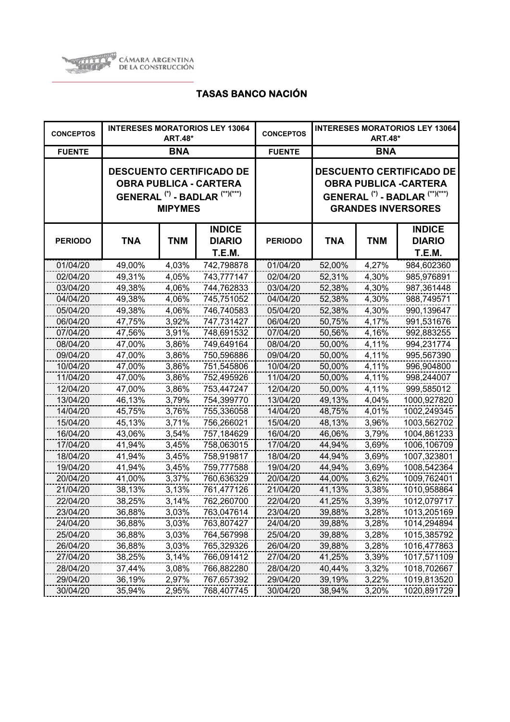

| <b>CONCEPTOS</b> | <b>INTERESES MORATORIOS LEY 13064</b><br><b>ART.48*</b> |                |                                                                                                                          | <b>CONCEPTOS</b> | <b>INTERESES MORATORIOS LEY 13064</b><br><b>ART.48*</b> |            |                                                                                                                                                      |
|------------------|---------------------------------------------------------|----------------|--------------------------------------------------------------------------------------------------------------------------|------------------|---------------------------------------------------------|------------|------------------------------------------------------------------------------------------------------------------------------------------------------|
| <b>FUENTE</b>    |                                                         | <b>BNA</b>     |                                                                                                                          | <b>FUENTE</b>    | <b>BNA</b>                                              |            |                                                                                                                                                      |
|                  |                                                         | <b>MIPYMES</b> | <b>DESCUENTO CERTIFICADO DE</b><br><b>OBRA PUBLICA - CARTERA</b><br>GENERAL <sup>(*)</sup> - BADLAR <sup>(**)(***)</sup> |                  |                                                         |            | <b>DESCUENTO CERTIFICADO DE</b><br><b>OBRA PUBLICA -CARTERA</b><br>GENERAL <sup>(*)</sup> - BADLAR <sup>(**)(***)</sup><br><b>GRANDES INVERSORES</b> |
| <b>PERIODO</b>   | <b>TNA</b>                                              | <b>TNM</b>     | <b>INDICE</b><br><b>DIARIO</b><br><b>T.E.M.</b>                                                                          | <b>PERIODO</b>   | TNA                                                     | <b>TNM</b> | <b>INDICE</b><br><b>DIARIO</b><br>T.E.M.                                                                                                             |
| 01/04/20         | 49,00%                                                  | 4,03%          | 742,798878                                                                                                               | 01/04/20         | 52,00%                                                  | 4,27%      | 984,602360                                                                                                                                           |
| 02/04/20         | 49,31%                                                  | 4,05%          | 743,777147                                                                                                               | 02/04/20         | 52,31%                                                  | 4,30%      | 985,976891                                                                                                                                           |
| 03/04/20         | 49,38%                                                  | 4,06%          | 744,762833                                                                                                               | 03/04/20         | 52,38%                                                  | 4,30%      | 987,361448                                                                                                                                           |
| 04/04/20         | 49,38%                                                  | 4,06%          | 745,751052                                                                                                               | 04/04/20         | 52,38%                                                  | 4,30%      | 988,749571                                                                                                                                           |
| 05/04/20         | 49,38%                                                  | 4,06%          | 746,740583                                                                                                               | 05/04/20         | 52,38%                                                  | 4,30%      | 990,139647                                                                                                                                           |
| 06/04/20         | 47,75%                                                  | 3,92%          | 747,731427                                                                                                               | 06/04/20         | 50,75%                                                  | 4,17%      | 991,531676                                                                                                                                           |
| 07/04/20         | 47,56%                                                  | 3,91%          | 748,691532                                                                                                               | 07/04/20         | 50,56%                                                  | 4,16%      | 992,883255                                                                                                                                           |
| 08/04/20         | 47,00%                                                  | 3,86%          | 749,649164                                                                                                               | 08/04/20         | 50,00%                                                  | 4,11%      | 994,231774                                                                                                                                           |
| 09/04/20         | 47,00%                                                  | 3,86%          | 750,596886                                                                                                               | 09/04/20         | 50,00%                                                  | 4,11%      | 995,567390                                                                                                                                           |
| 10/04/20         | 47,00%                                                  | 3,86%          | 751,545806                                                                                                               | 10/04/20         | 50,00%                                                  | 4,11%      | 996,904800                                                                                                                                           |
| 11/04/20         | 47,00%                                                  | 3,86%          | 752,495926                                                                                                               | 11/04/20         | 50,00%                                                  | 4,11%      | 998,244007                                                                                                                                           |
| 12/04/20         | 47,00%                                                  | 3,86%          | 753,447247                                                                                                               | 12/04/20         | 50,00%                                                  | 4,11%      | 999,585012                                                                                                                                           |
| 13/04/20         | 46,13%                                                  | 3,79%          | 754,399770                                                                                                               | 13/04/20         | 49,13%                                                  | 4,04%      | 1000,927820                                                                                                                                          |
| 14/04/20         | 45,75%                                                  | 3,76%          | 755,336058                                                                                                               | 14/04/20         | 48,75%                                                  | 4,01%      | 1002,249345                                                                                                                                          |
| 15/04/20         | 45,13%                                                  | 3,71%          | 756,266021                                                                                                               | 15/04/20         | 48,13%                                                  | 3,96%      | 1003,562702                                                                                                                                          |
| 16/04/20         | 43,06%                                                  | 3,54%          | 757,184629                                                                                                               | 16/04/20         | 46,06%                                                  | 3,79%      | 1004,861233                                                                                                                                          |
| 17/04/20         | 41,94%                                                  | 3,45%          | 758,063015                                                                                                               | 17/04/20         | 44,94%                                                  | 3,69%      | 1006,106709                                                                                                                                          |
| 18/04/20         | 41,94%                                                  | 3,45%          | 758,919817                                                                                                               | 18/04/20         | 44,94%                                                  | 3,69%      | 1007,323801                                                                                                                                          |
| 19/04/20         | 41,94%                                                  | 3,45%          | 759,777588                                                                                                               | 19/04/20         | 44,94%                                                  | 3,69%      | 1008,542364                                                                                                                                          |
| 20/04/20         | 41,00%                                                  | 3,37%          | 760,636329                                                                                                               | 20/04/20         | 44,00%                                                  | 3,62%      | 1009,762401                                                                                                                                          |
| 21/04/20         | 38,13%                                                  | 3,13%          | 761,477126                                                                                                               | 21/04/20         | 41,13%                                                  | 3,38%      | 1010,958864                                                                                                                                          |
| 22/04/20         | 38,25%                                                  | 3,14%          | 762,260700                                                                                                               | 22/04/20         | 41,25%                                                  | 3,39%      | 1012,079717                                                                                                                                          |
| 23/04/20         | 36,88%                                                  | 3,03%          | 763,047614                                                                                                               | 23/04/20         | 39,88%                                                  | 3,28%      | 1013,205169                                                                                                                                          |
| 24/04/20         | 36,88%                                                  | 3,03%          | 763,807427                                                                                                               | 24/04/20         | 39,88%                                                  | 3,28%      | 1014,294894                                                                                                                                          |
| 25/04/20         | 36,88%                                                  | 3,03%          | 764,567998                                                                                                               | 25/04/20         | 39,88%                                                  | 3,28%      | 1015,385792                                                                                                                                          |
| 26/04/20         | 36,88%                                                  | 3,03%          | 765,329326                                                                                                               | 26/04/20         | 39,88%                                                  | 3,28%      | 1016,477863                                                                                                                                          |
| 27/04/20         | 38,25%                                                  | 3,14%          | 766,091412                                                                                                               | 27/04/20         | 41,25%                                                  | 3,39%      | 1017,571109                                                                                                                                          |
| 28/04/20         | 37,44%                                                  | 3,08%          | 766,882280                                                                                                               | 28/04/20         | 40,44%                                                  | 3,32%      | 1018,702667                                                                                                                                          |
| 29/04/20         | 36,19%                                                  | 2,97%          | 767,657392                                                                                                               | 29/04/20         | 39,19%                                                  | 3,22%      | 1019,813520                                                                                                                                          |
| 30/04/20         | 35,94%                                                  | 2,95%          | 768,407745                                                                                                               | 30/04/20         | 38,94%                                                  | 3,20%      | 1020,891729                                                                                                                                          |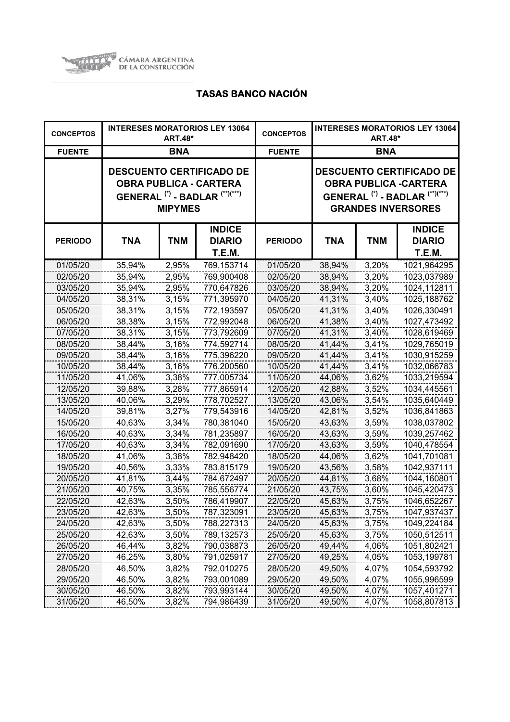

| <b>CONCEPTOS</b> | <b>INTERESES MORATORIOS LEY 13064</b><br><b>ART.48*</b> |                |                                                                                                                          | <b>CONCEPTOS</b> | <b>INTERESES MORATORIOS LEY 13064</b><br><b>ART.48*</b>                                                                                              |            |                                                 |
|------------------|---------------------------------------------------------|----------------|--------------------------------------------------------------------------------------------------------------------------|------------------|------------------------------------------------------------------------------------------------------------------------------------------------------|------------|-------------------------------------------------|
| <b>FUENTE</b>    | <b>BNA</b>                                              |                |                                                                                                                          | <b>FUENTE</b>    | <b>BNA</b>                                                                                                                                           |            |                                                 |
|                  |                                                         | <b>MIPYMES</b> | <b>DESCUENTO CERTIFICADO DE</b><br><b>OBRA PUBLICA - CARTERA</b><br>GENERAL <sup>(*)</sup> - BADLAR <sup>(**)(***)</sup> |                  | <b>DESCUENTO CERTIFICADO DE</b><br><b>OBRA PUBLICA -CARTERA</b><br>GENERAL <sup>(*)</sup> - BADLAR <sup>(**)(***)</sup><br><b>GRANDES INVERSORES</b> |            |                                                 |
| <b>PERIODO</b>   | <b>TNA</b>                                              | <b>TNM</b>     | <b>INDICE</b><br><b>DIARIO</b><br><b>T.E.M.</b>                                                                          | <b>PERIODO</b>   | <b>TNA</b>                                                                                                                                           | <b>TNM</b> | <b>INDICE</b><br><b>DIARIO</b><br><b>T.E.M.</b> |
| 01/05/20         | 35,94%                                                  | 2,95%          | 769,153714                                                                                                               | 01/05/20         | 38,94%                                                                                                                                               | 3,20%      | 1021,964295                                     |
| 02/05/20         | 35,94%                                                  | 2,95%          | 769,900408                                                                                                               | 02/05/20         | 38,94%                                                                                                                                               | 3,20%      | 1023,037989                                     |
| 03/05/20         | 35,94%                                                  | 2,95%          | 770,647826                                                                                                               | 03/05/20         | 38,94%                                                                                                                                               | 3,20%      | 1024,112811                                     |
| 04/05/20         | 38,31%                                                  | 3,15%          | 771,395970                                                                                                               | 04/05/20         | 41,31%                                                                                                                                               | 3,40%      | 1025,188762                                     |
| 05/05/20         | 38,31%                                                  | 3,15%          | 772,193597                                                                                                               | 05/05/20         | 41,31%                                                                                                                                               | 3,40%      | 1026,330491                                     |
| 06/05/20         | 38,38%                                                  | 3,15%          | 772,992048                                                                                                               | 06/05/20         | 41,38%                                                                                                                                               | 3,40%      | 1027,473492                                     |
| 07/05/20         | 38,31%                                                  | 3,15%          | 773,792609                                                                                                               | 07/05/20         | 41,31%                                                                                                                                               | 3,40%      | 1028,619469                                     |
| 08/05/20         | 38,44%                                                  | 3,16%          | 774,592714                                                                                                               | 08/05/20         | 41,44%                                                                                                                                               | 3,41%      | 1029,765019                                     |
| 09/05/20         | 38,44%                                                  | 3,16%          | 775,396220                                                                                                               | 09/05/20         | 41,44%                                                                                                                                               | 3,41%      | 1030,915259                                     |
| 10/05/20         | 38,44%                                                  | 3,16%          | 776,200560                                                                                                               | 10/05/20         | 41,44%                                                                                                                                               | 3,41%      | 1032,066783                                     |
| 11/05/20         | 41,06%                                                  | 3,38%          | 777,005734                                                                                                               | 11/05/20         | 44,06%                                                                                                                                               | 3,62%      | 1033,219594                                     |
| 12/05/20         | 39,88%                                                  | 3,28%          | 777,865914                                                                                                               | 12/05/20         | 42,88%                                                                                                                                               | 3,52%      | 1034,445561                                     |
| 13/05/20         | 40,06%                                                  | 3,29%          | 778,702527                                                                                                               | 13/05/20         | 43,06%                                                                                                                                               | 3,54%      | 1035,640449                                     |
| 14/05/20         | 39,81%                                                  | 3,27%          | 779,543916                                                                                                               | 14/05/20         | 42,81%                                                                                                                                               | 3,52%      | 1036,841863                                     |
| 15/05/20         | 40,63%                                                  | 3,34%          | 780,381040                                                                                                               | 15/05/20         | 43,63%                                                                                                                                               | 3,59%      | 1038,037802                                     |
| 16/05/20         | 40,63%                                                  | 3,34%          | 781,235897                                                                                                               | 16/05/20         | 43,63%                                                                                                                                               | 3,59%      | 1039,257462                                     |
| 17/05/20         | 40,63%                                                  | 3,34%          | 782,091690                                                                                                               | 17/05/20         | 43,63%                                                                                                                                               | 3,59%      | 1040,478554                                     |
| 18/05/20         | 41,06%                                                  | 3,38%          | 782,948420                                                                                                               | 18/05/20         | 44,06%                                                                                                                                               | 3,62%      | 1041,701081                                     |
| 19/05/20         | 40,56%                                                  | 3,33%          | 783,815179                                                                                                               | 19/05/20         | 43,56%                                                                                                                                               | 3,58%      | 1042,937111                                     |
| 20/05/20         | 41,81%                                                  | 3,44%          | 784,672497                                                                                                               | 20/05/20         | 44,81%                                                                                                                                               | 3,68%      | 1044,160801                                     |
| 21/05/20         | 40,75%                                                  | 3,35%          | 785,556774                                                                                                               | 21/05/20         | 43,75%                                                                                                                                               | 3,60%      | 1045,420473                                     |
| 22/05/20         | 42,63%                                                  | 3,50%          | 786,419907                                                                                                               | 22/05/20         | 45,63%                                                                                                                                               | 3,75%      | 1046,652267                                     |
| 23/05/20         | 42,63%                                                  | 3,50%          | 787,323091                                                                                                               | 23/05/20         | 45,63%                                                                                                                                               | 3,75%      | 1047,937437                                     |
| 24/05/20         | 42,63%                                                  | 3,50%          | 788,227313                                                                                                               | 24/05/20         | 45,63%                                                                                                                                               | 3,75%      | 1049,224184                                     |
| 25/05/20         | 42,63%                                                  | 3,50%          | 789,132573                                                                                                               | 25/05/20         | 45,63%                                                                                                                                               | 3,75%      | 1050,512511                                     |
| 26/05/20         | 46,44%                                                  | 3,82%          | 790,038873                                                                                                               | 26/05/20         | 49,44%                                                                                                                                               | 4,06%      | 1051,802421                                     |
| 27/05/20         | 46,25%                                                  | 3,80%          | 791,025917                                                                                                               | 27/05/20         | 49,25%                                                                                                                                               | 4,05%      | 1053,199781                                     |
| 28/05/20         | 46,50%                                                  | 3,82%          | 792,010275                                                                                                               | 28/05/20         | 49,50%                                                                                                                                               | 4,07%      | 1054,593792                                     |
| 29/05/20         | 46,50%                                                  | 3,82%          | 793,001089                                                                                                               | 29/05/20         | 49,50%                                                                                                                                               | 4,07%      | 1055,996599                                     |
| 30/05/20         | 46,50%                                                  | 3,82%          | 793,993144                                                                                                               | 30/05/20         | 49,50%                                                                                                                                               | 4,07%      | 1057,401271                                     |
| 31/05/20         | 46,50%                                                  | 3,82%          | 794,986439                                                                                                               | 31/05/20         | 49,50%                                                                                                                                               | 4,07%      | 1058,807813                                     |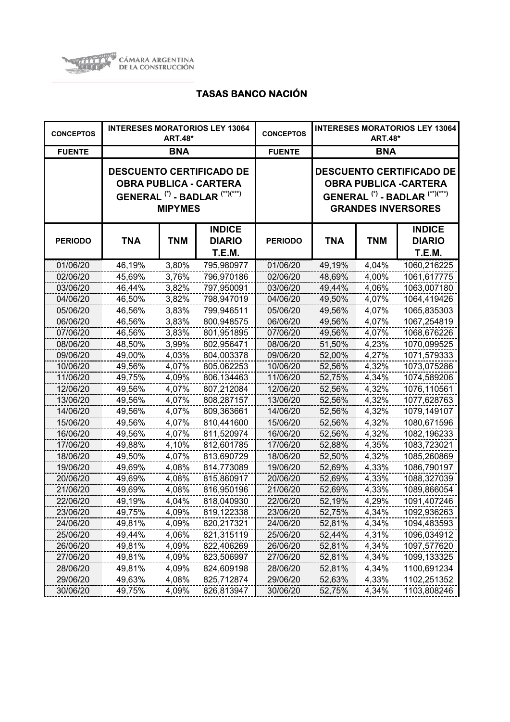

| <b>CONCEPTOS</b> |            | <b>ART.48*</b> | <b>INTERESES MORATORIOS LEY 13064</b>                                                                  | <b>CONCEPTOS</b> | <b>INTERESES MORATORIOS LEY 13064</b><br><b>ART.48*</b> |            |                                                                                                                                                       |
|------------------|------------|----------------|--------------------------------------------------------------------------------------------------------|------------------|---------------------------------------------------------|------------|-------------------------------------------------------------------------------------------------------------------------------------------------------|
| <b>FUENTE</b>    |            | <b>BNA</b>     |                                                                                                        | <b>FUENTE</b>    | <b>BNA</b>                                              |            |                                                                                                                                                       |
|                  |            | <b>MIPYMES</b> | <b>DESCUENTO CERTIFICADO DE</b><br><b>OBRA PUBLICA - CARTERA</b><br>GENERAL $(*)$ - BADLAR $(**)(***)$ |                  |                                                         |            | <b>DESCUENTO CERTIFICADO DE</b><br><b>OBRA PUBLICA - CARTERA</b><br>GENERAL <sup>(*)</sup> - BADLAR <sup>(**)(***)</sup><br><b>GRANDES INVERSORES</b> |
| <b>PERIODO</b>   | <b>TNA</b> | <b>TNM</b>     | <b>INDICE</b><br><b>DIARIO</b><br><b>T.E.M.</b>                                                        | <b>PERIODO</b>   | TNA                                                     | <b>TNM</b> | <b>INDICE</b><br><b>DIARIO</b><br>T.E.M.                                                                                                              |
| 01/06/20         | 46,19%     | 3,80%          | 795,980977                                                                                             | 01/06/20         | 49,19%                                                  | 4,04%      | 1060,216225                                                                                                                                           |
| 02/06/20         | 45,69%     | 3,76%          | 796,970186                                                                                             | 02/06/20         | 48,69%                                                  | 4,00%      | 1061,617775                                                                                                                                           |
| 03/06/20         | 46,44%     | 3,82%          | 797,950091                                                                                             | 03/06/20         | 49,44%                                                  | 4,06%      | 1063,007180                                                                                                                                           |
| 04/06/20         | 46,50%     | 3,82%          | 798,947019                                                                                             | 04/06/20         | 49,50%                                                  | 4,07%      | 1064,419426                                                                                                                                           |
| 05/06/20         | 46,56%     | 3,83%          | 799,946511                                                                                             | 05/06/20         | 49,56%                                                  | 4,07%      | 1065,835303                                                                                                                                           |
| 06/06/20         | 46,56%     | 3,83%          | 800,948575                                                                                             | 06/06/20         | 49,56%                                                  | 4,07%      | 1067,254819                                                                                                                                           |
| 07/06/20         | 46,56%     | 3,83%          | 801,951895                                                                                             | 07/06/20         | 49,56%                                                  | 4,07%      | 1068,676226                                                                                                                                           |
| 08/06/20         | 48,50%     | 3,99%          | 802,956471                                                                                             | 08/06/20         | 51,50%                                                  | 4,23%      | 1070,099525                                                                                                                                           |
| 09/06/20         | 49,00%     | 4,03%          | 804,003378                                                                                             | 09/06/20         | 52,00%                                                  | 4,27%      | 1071,579333                                                                                                                                           |
| 10/06/20         | 49,56%     | 4,07%          | 805,062253                                                                                             | 10/06/20         | 52,56%                                                  | 4,32%      | 1073,075286                                                                                                                                           |
| 11/06/20         | 49,75%     | 4,09%          | 806,134463                                                                                             | 11/06/20         | 52,75%                                                  | 4,34%      | 1074,589206                                                                                                                                           |
| 12/06/20         | 49,56%     | 4,07%          | 807,212084                                                                                             | 12/06/20         | 52,56%                                                  | 4,32%      | 1076,110561                                                                                                                                           |
| 13/06/20         | 49,56%     | 4,07%          | 808,287157                                                                                             | 13/06/20         | 52,56%                                                  | 4,32%      | 1077,628763                                                                                                                                           |
| 14/06/20         | 49,56%     | 4,07%          | 809,363661                                                                                             | 14/06/20         | 52,56%                                                  | 4,32%      | 1079,149107                                                                                                                                           |
| 15/06/20         | 49,56%     | 4,07%          | 810,441600                                                                                             | 15/06/20         | 52,56%                                                  | 4,32%      | 1080,671596                                                                                                                                           |
| 16/06/20         | 49,56%     | 4,07%          | 811,520974                                                                                             | 16/06/20         | 52,56%                                                  | 4,32%      | 1082,196233                                                                                                                                           |
| 17/06/20         | 49,88%     | 4,10%          | 812,601785                                                                                             | 17/06/20         | 52,88%                                                  | 4,35%      | 1083,723021                                                                                                                                           |
| 18/06/20         | 49,50%     | 4,07%          | 813,690729                                                                                             | 18/06/20         | 52,50%                                                  | 4,32%      | 1085,260869                                                                                                                                           |
| 19/06/20         | 49,69%     | 4,08%          | 814,773089                                                                                             | 19/06/20         | 52,69%                                                  | 4,33%      | 1086,790197                                                                                                                                           |
| 20/06/20         | 49,69%     | 4,08%          | 815,860917                                                                                             | 20/06/20         | 52,69%                                                  | 4,33%      | 1088,327039                                                                                                                                           |
| 21/06/20         | 49,69%     | 4,08%          | 816,950196                                                                                             | 21/06/20         | 52,69%                                                  | 4,33%      | 1089,866054                                                                                                                                           |
| 22/06/20         | 49,19%     | 4,04%          | 818,040930                                                                                             | 22/06/20         | 52,19%                                                  | 4,29%      | 1091,407246                                                                                                                                           |
| 23/06/20         | 49,75%     | 4,09%          | 819,122338                                                                                             | 23/06/20         | 52,75%                                                  | 4,34%      | 1092,936263                                                                                                                                           |
| 24/06/20         | 49,81%     | 4,09%          | 820,217321                                                                                             | 24/06/20         | 52,81%                                                  | 4,34%      | 1094,483593                                                                                                                                           |
| 25/06/20         | 49,44%     | 4,06%          | 821,315119                                                                                             | 25/06/20         | 52,44%                                                  | 4,31%      | 1096,034912                                                                                                                                           |
| 26/06/20         | 49,81%     | 4,09%          | 822,406269                                                                                             | 26/06/20         | 52,81%                                                  | 4,34%      | 1097,577620                                                                                                                                           |
| 27/06/20         | 49,81%     | 4,09%          | 823,506997                                                                                             | 27/06/20         | 52,81%                                                  | 4,34%      | 1099,133325                                                                                                                                           |
| 28/06/20         | 49,81%     | 4,09%          | 824,609198                                                                                             | 28/06/20         | 52,81%                                                  | 4,34%      | 1100,691234                                                                                                                                           |
| 29/06/20         | 49,63%     | 4,08%          | 825,712874                                                                                             | 29/06/20         | 52,63%                                                  | 4,33%      | 1102,251352                                                                                                                                           |
| 30/06/20         | 49,75%     | 4,09%          | 826,813947                                                                                             | 30/06/20         | 52,75%                                                  | 4,34%      | 1103,808246                                                                                                                                           |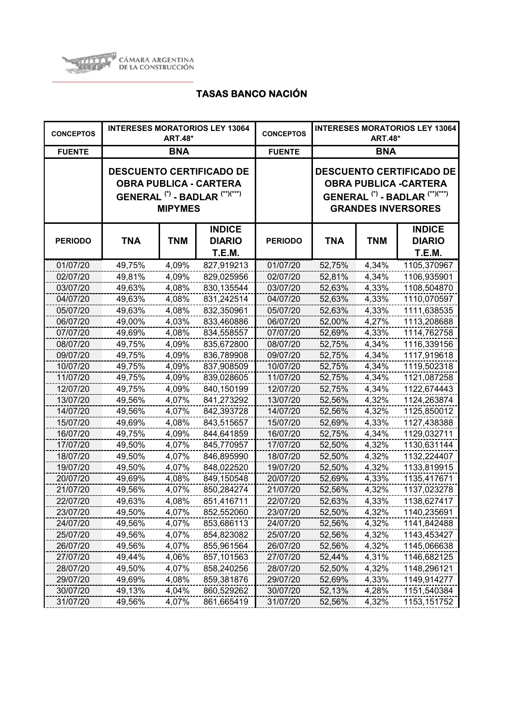

| <b>CONCEPTOS</b> |            | <b>ART.48*</b> | <b>INTERESES MORATORIOS LEY 13064</b>                                                                                    | <b>CONCEPTOS</b> | <b>INTERESES MORATORIOS LEY 13064</b><br><b>ART.48*</b> |            |                                                                                                                                                      |
|------------------|------------|----------------|--------------------------------------------------------------------------------------------------------------------------|------------------|---------------------------------------------------------|------------|------------------------------------------------------------------------------------------------------------------------------------------------------|
| <b>FUENTE</b>    |            | <b>BNA</b>     |                                                                                                                          | <b>FUENTE</b>    | <b>BNA</b>                                              |            |                                                                                                                                                      |
|                  |            | <b>MIPYMES</b> | <b>DESCUENTO CERTIFICADO DE</b><br><b>OBRA PUBLICA - CARTERA</b><br>GENERAL <sup>(*)</sup> - BADLAR <sup>(**)(***)</sup> |                  |                                                         |            | <b>DESCUENTO CERTIFICADO DE</b><br><b>OBRA PUBLICA -CARTERA</b><br>GENERAL <sup>(*)</sup> - BADLAR <sup>(**)(***)</sup><br><b>GRANDES INVERSORES</b> |
| <b>PERIODO</b>   | <b>TNA</b> | <b>TNM</b>     | <b>INDICE</b><br><b>DIARIO</b><br>T.E.M.                                                                                 | <b>PERIODO</b>   | <b>TNA</b>                                              | <b>TNM</b> | <b>INDICE</b><br><b>DIARIO</b><br>T.E.M.                                                                                                             |
| 01/07/20         | 49,75%     | 4,09%          | 827,919213                                                                                                               | 01/07/20         | 52,75%                                                  | 4,34%      | 1105,370967                                                                                                                                          |
| 02/07/20         | 49,81%     | 4,09%          | 829,025956                                                                                                               | 02/07/20         | 52,81%                                                  | 4,34%      | 1106,935901                                                                                                                                          |
| 03/07/20         | 49,63%     | 4,08%          | 830,135544                                                                                                               | 03/07/20         | 52,63%                                                  | 4,33%      | 1108,504870                                                                                                                                          |
| 04/07/20         | 49,63%     | 4,08%          | 831,242514                                                                                                               | 04/07/20         | 52,63%                                                  | 4,33%      | 1110,070597                                                                                                                                          |
| 05/07/20         | 49,63%     | 4,08%          | 832,350961                                                                                                               | 05/07/20         | 52,63%                                                  | 4,33%      | 1111,638535                                                                                                                                          |
| 06/07/20         | 49,00%     | 4,03%          | 833,460886                                                                                                               | 06/07/20         | 52,00%                                                  | 4,27%      | 1113,208688                                                                                                                                          |
| 07/07/20         | 49,69%     | 4,08%          | 834,558557                                                                                                               | 07/07/20         | 52,69%                                                  | 4,33%      | 1114,762758                                                                                                                                          |
| 08/07/20         | 49,75%     | 4,09%          | 835,672800                                                                                                               | 08/07/20         | 52,75%                                                  | 4,34%      | 1116,339156                                                                                                                                          |
| 09/07/20         | 49,75%     | 4,09%          | 836,789908                                                                                                               | 09/07/20         | 52,75%                                                  | 4,34%      | 1117,919618                                                                                                                                          |
| 10/07/20         | 49,75%     | 4,09%          | 837,908509                                                                                                               | 10/07/20         | 52,75%                                                  | 4,34%      | 1119,502318                                                                                                                                          |
| 11/07/20         | 49,75%     | 4,09%          | 839,028605                                                                                                               | 11/07/20         | 52,75%                                                  | 4,34%      | 1121,087258                                                                                                                                          |
| 12/07/20         | 49,75%     | 4,09%          | 840,150199                                                                                                               | 12/07/20         | 52,75%                                                  | 4,34%      | 1122,674443                                                                                                                                          |
| 13/07/20         | 49,56%     | 4,07%          | 841,273292                                                                                                               | 13/07/20         | 52,56%                                                  | 4,32%      | 1124,263874                                                                                                                                          |
| 14/07/20         | 49,56%     | 4,07%          | 842,393728                                                                                                               | 14/07/20         | 52,56%                                                  | 4,32%      | 1125,850012                                                                                                                                          |
| 15/07/20         | 49,69%     | 4,08%          | 843,515657                                                                                                               | 15/07/20         | 52,69%                                                  | 4,33%      | 1127,438388                                                                                                                                          |
| 16/07/20         | 49,75%     | 4,09%          | 844,641859                                                                                                               | 16/07/20         | 52,75%                                                  | 4,34%      | 1129,032711                                                                                                                                          |
| 17/07/20         | 49,50%     | 4,07%          | 845,770957                                                                                                               | 17/07/20         | 52,50%                                                  | 4,32%      | 1130,631144                                                                                                                                          |
| 18/07/20         | 49,50%     | 4,07%          | 846,895990                                                                                                               | 18/07/20         | 52,50%                                                  | 4,32%      | 1132,224407                                                                                                                                          |
| 19/07/20         | 49,50%     | 4,07%          | 848,022520                                                                                                               | 19/07/20         | 52,50%                                                  | 4,32%      | 1133,819915                                                                                                                                          |
| 20/07/20         | 49,69%     | 4,08%          | 849,150548                                                                                                               | 20/07/20         | 52,69%                                                  | 4,33%      | 1135,417671                                                                                                                                          |
| 21/07/20         | 49,56%     | 4,07%          | 850,284274                                                                                                               | 21/07/20         | 52,56%                                                  | 4,32%      | 1137,023278                                                                                                                                          |
| 22/07/20         | 49,63%     | 4,08%          | 851,416711                                                                                                               | 22/07/20         | 52,63%                                                  | 4,33%      | 1138,627417                                                                                                                                          |
| 23/07/20         | 49,50%     | 4,07%          | 852,552060                                                                                                               | 23/07/20         | 52,50%                                                  | 4,32%      | 1140,235691                                                                                                                                          |
| 24/07/20         | 49,56%     | 4,07%          | 853,686113                                                                                                               | 24/07/20         | 52,56%                                                  | 4,32%      | 1141,842488                                                                                                                                          |
| 25/07/20         | 49,56%     | 4,07%          | 854,823082                                                                                                               | 25/07/20         | 52,56%                                                  | 4,32%      | 1143,453427                                                                                                                                          |
| 26/07/20         | 49,56%     | 4,07%          | 855,961564                                                                                                               | 26/07/20         | 52,56%                                                  | 4,32%      | 1145,066638                                                                                                                                          |
| 27/07/20         | 49,44%     | 4,06%          | 857,101563                                                                                                               | 27/07/20         | 52,44%                                                  | 4,31%      | 1146,682125                                                                                                                                          |
| 28/07/20         | 49,50%     | 4,07%          | 858,240256                                                                                                               | 28/07/20         | 52,50%                                                  | 4,32%      | 1148,296121                                                                                                                                          |
| 29/07/20         | 49,69%     | 4,08%          | 859,381876                                                                                                               | 29/07/20         | 52,69%                                                  | 4,33%      | 1149,914277                                                                                                                                          |
| 30/07/20         | 49,13%     | 4,04%          | 860,529262                                                                                                               | 30/07/20         | 52,13%                                                  | 4,28%      | 1151,540384                                                                                                                                          |
| 31/07/20         | 49,56%     | 4,07%          | 861,665419                                                                                                               | 31/07/20         | 52,56%                                                  | 4,32%      | 1153, 151752                                                                                                                                         |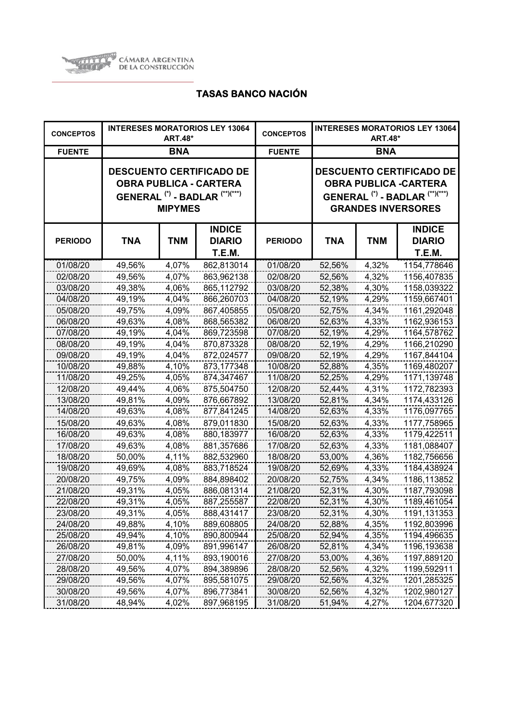

| <b>CONCEPTOS</b> |            | <b>ART.48*</b> | <b>INTERESES MORATORIOS LEY 13064</b>                                                                  | <b>CONCEPTOS</b> | <b>INTERESES MORATORIOS LEY 13064</b><br><b>ART.48*</b> |            |                                                                                                                                                      |
|------------------|------------|----------------|--------------------------------------------------------------------------------------------------------|------------------|---------------------------------------------------------|------------|------------------------------------------------------------------------------------------------------------------------------------------------------|
| <b>FUENTE</b>    |            | <b>BNA</b>     |                                                                                                        | <b>FUENTE</b>    | <b>BNA</b>                                              |            |                                                                                                                                                      |
|                  |            | <b>MIPYMES</b> | <b>DESCUENTO CERTIFICADO DE</b><br><b>OBRA PUBLICA - CARTERA</b><br>GENERAL $(*)$ - BADLAR $(**)(***)$ |                  |                                                         |            | <b>DESCUENTO CERTIFICADO DE</b><br><b>OBRA PUBLICA -CARTERA</b><br>GENERAL <sup>(*)</sup> - BADLAR <sup>(**)(***)</sup><br><b>GRANDES INVERSORES</b> |
| <b>PERIODO</b>   | <b>TNA</b> | <b>TNM</b>     | <b>INDICE</b><br><b>DIARIO</b><br><b>T.E.M.</b>                                                        | <b>PERIODO</b>   | TNA                                                     | <b>TNM</b> | <b>INDICE</b><br><b>DIARIO</b><br>T.E.M.                                                                                                             |
| 01/08/20         | 49,56%     | 4,07%          | 862,813014                                                                                             | 01/08/20         | 52,56%                                                  | 4,32%      | 1154,778646                                                                                                                                          |
| 02/08/20         | 49,56%     | 4,07%          | 863,962138                                                                                             | 02/08/20         | 52,56%                                                  | 4,32%      | 1156,407835                                                                                                                                          |
| 03/08/20         | 49,38%     | 4,06%          | 865,112792                                                                                             | 03/08/20         | 52,38%                                                  | 4,30%      | 1158,039322                                                                                                                                          |
| 04/08/20         | 49,19%     | 4,04%          | 866,260703                                                                                             | 04/08/20         | 52,19%                                                  | 4,29%      | 1159,667401                                                                                                                                          |
| 05/08/20         | 49,75%     | 4,09%          | 867,405855                                                                                             | 05/08/20         | 52,75%                                                  | 4,34%      | 1161,292048                                                                                                                                          |
| 06/08/20         | 49,63%     | 4,08%          | 868,565382                                                                                             | 06/08/20         | 52,63%                                                  | 4,33%      | 1162,936153                                                                                                                                          |
| 07/08/20         | 49,19%     | 4,04%          | 869,723598                                                                                             | 07/08/20         | 52,19%                                                  | 4,29%      | 1164,578762                                                                                                                                          |
| 08/08/20         | 49,19%     | 4,04%          | 870,873328                                                                                             | 08/08/20         | 52,19%                                                  | 4,29%      | 1166,210290                                                                                                                                          |
| 09/08/20         | 49,19%     | 4,04%          | 872,024577                                                                                             | 09/08/20         | 52,19%                                                  | 4,29%      | 1167,844104                                                                                                                                          |
| 10/08/20         | 49,88%     | 4,10%          | 873,177348                                                                                             | 10/08/20         | 52,88%                                                  | 4,35%      | 1169,480207                                                                                                                                          |
| 11/08/20         | 49,25%     | 4,05%          | 874,347467                                                                                             | 11/08/20         | 52,25%                                                  | 4,29%      | 1171,139748                                                                                                                                          |
| 12/08/20         | 49,44%     | 4,06%          | 875,504750                                                                                             | 12/08/20         | 52,44%                                                  | 4,31%      | 1172,782393                                                                                                                                          |
| 13/08/20         | 49,81%     | 4,09%          | 876,667892                                                                                             | 13/08/20         | 52,81%                                                  | 4,34%      | 1174,433126                                                                                                                                          |
| 14/08/20         | 49,63%     | 4,08%          | 877,841245                                                                                             | 14/08/20         | 52,63%                                                  | 4,33%      | 1176,097765                                                                                                                                          |
| 15/08/20         | 49,63%     | 4,08%          | 879,011830                                                                                             | 15/08/20         | 52,63%                                                  | 4,33%      | 1177,758965                                                                                                                                          |
| 16/08/20         | 49,63%     | 4,08%          | 880,183977                                                                                             | 16/08/20         | 52,63%                                                  | 4,33%      | 1179,422511                                                                                                                                          |
| 17/08/20         | 49,63%     | 4,08%          | 881,357686                                                                                             | 17/08/20         | 52,63%                                                  | 4,33%      | 1181,088407                                                                                                                                          |
| 18/08/20         | 50,00%     | 4,11%          | 882,532960                                                                                             | 18/08/20         | 53,00%                                                  | 4,36%      | 1182,756656                                                                                                                                          |
| 19/08/20         | 49,69%     | 4,08%          | 883,718524                                                                                             | 19/08/20         | 52,69%                                                  | 4,33%      | 1184,438924                                                                                                                                          |
| 20/08/20         | 49,75%     | 4,09%          | 884,898402                                                                                             | 20/08/20         | 52,75%                                                  | 4,34%      | 1186,113852                                                                                                                                          |
| 21/08/20         | 49,31%     | 4,05%          | 886,081314                                                                                             | 21/08/20         | 52,31%                                                  | 4,30%      | 1187,793098                                                                                                                                          |
| 22/08/20         | 49,31%     | 4,05%          | 887,255587                                                                                             | 22/08/20         | 52,31%                                                  | 4,30%      | 1189,461054                                                                                                                                          |
| 23/08/20         | 49,31%     | 4,05%          | 888,431417                                                                                             | 23/08/20         | 52,31%                                                  | 4,30%      | 1191,131353                                                                                                                                          |
| 24/08/20         | 49,88%     | 4,10%          | 889,608805                                                                                             | 24/08/20         | 52,88%                                                  | 4,35%      | 1192,803996                                                                                                                                          |
| 25/08/20         | 49,94%     | 4,10%          | 890,800944                                                                                             | 25/08/20         | 52,94%                                                  | 4,35%      | 1194,496635                                                                                                                                          |
| 26/08/20         | 49,81%     | 4,09%          | 891,996147                                                                                             | 26/08/20         | 52,81%                                                  | 4,34%      | 1196,193638                                                                                                                                          |
| 27/08/20         | 50,00%     | 4,11%          | 893,190016                                                                                             | 27/08/20         | 53,00%                                                  | 4,36%      | 1197,889120                                                                                                                                          |
| 28/08/20         | 49,56%     | 4,07%          | 894,389896                                                                                             | 28/08/20         | 52,56%                                                  | 4,32%      | 1199,592911                                                                                                                                          |
| 29/08/20         | 49,56%     | 4,07%          | 895,581075                                                                                             | 29/08/20         | 52,56%                                                  | 4,32%      | 1201,285325                                                                                                                                          |
| 30/08/20         | 49,56%     | 4,07%          | 896,773841                                                                                             | 30/08/20         | 52,56%                                                  | 4,32%      | 1202,980127                                                                                                                                          |
| 31/08/20         | 48,94%     | 4,02%          | 897,968195                                                                                             | 31/08/20         | 51,94%                                                  | 4,27%      | 1204,677320                                                                                                                                          |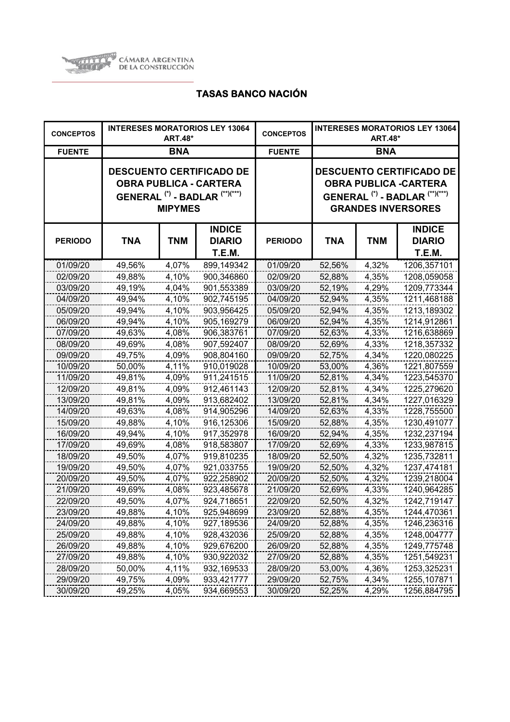

| <b>CONCEPTOS</b> |            | <b>ART.48*</b> | <b>INTERESES MORATORIOS LEY 13064</b>                                                                  | <b>CONCEPTOS</b> | <b>INTERESES MORATORIOS LEY 13064</b><br><b>ART.48*</b> |            |                                                                                                                                                      |
|------------------|------------|----------------|--------------------------------------------------------------------------------------------------------|------------------|---------------------------------------------------------|------------|------------------------------------------------------------------------------------------------------------------------------------------------------|
| <b>FUENTE</b>    |            | <b>BNA</b>     |                                                                                                        | <b>FUENTE</b>    | <b>BNA</b>                                              |            |                                                                                                                                                      |
|                  |            | <b>MIPYMES</b> | <b>DESCUENTO CERTIFICADO DE</b><br><b>OBRA PUBLICA - CARTERA</b><br>GENERAL $(*)$ - BADLAR $(**)(***)$ |                  |                                                         |            | <b>DESCUENTO CERTIFICADO DE</b><br><b>OBRA PUBLICA -CARTERA</b><br>GENERAL <sup>(*)</sup> - BADLAR <sup>(**)(***)</sup><br><b>GRANDES INVERSORES</b> |
| <b>PERIODO</b>   | <b>TNA</b> | <b>TNM</b>     | <b>INDICE</b><br><b>DIARIO</b><br>T.E.M.                                                               | <b>PERIODO</b>   | TNA                                                     | <b>TNM</b> | <b>INDICE</b><br><b>DIARIO</b><br>T.E.M.                                                                                                             |
| 01/09/20         | 49,56%     | 4,07%          | 899,149342                                                                                             | 01/09/20         | 52,56%                                                  | 4,32%      | 1206,357101                                                                                                                                          |
| 02/09/20         | 49,88%     | 4,10%          | 900,346860                                                                                             | 02/09/20         | 52,88%                                                  | 4,35%      | 1208,059058                                                                                                                                          |
| 03/09/20         | 49,19%     | 4,04%          | 901,553389                                                                                             | 03/09/20         | 52,19%                                                  | 4,29%      | 1209,773344                                                                                                                                          |
| 04/09/20         | 49,94%     | 4,10%          | 902,745195                                                                                             | 04/09/20         | 52,94%                                                  | 4,35%      | 1211,468188                                                                                                                                          |
| 05/09/20         | 49,94%     | 4,10%          | 903,956425                                                                                             | 05/09/20         | 52,94%                                                  | 4,35%      | 1213,189302                                                                                                                                          |
| 06/09/20         | 49,94%     | 4,10%          | 905,169279                                                                                             | 06/09/20         | 52,94%                                                  | 4,35%      | 1214,912861                                                                                                                                          |
| 07/09/20         | 49,63%     | 4,08%          | 906,383761                                                                                             | 07/09/20         | 52,63%                                                  | 4,33%      | 1216,638869                                                                                                                                          |
| 08/09/20         | 49,69%     | 4,08%          | 907,592407                                                                                             | 08/09/20         | 52,69%                                                  | 4,33%      | 1218,357332                                                                                                                                          |
| 09/09/20         | 49,75%     | 4,09%          | 908,804160                                                                                             | 09/09/20         | 52,75%                                                  | 4,34%      | 1220,080225                                                                                                                                          |
| 10/09/20         | 50,00%     | 4,11%          | 910,019028                                                                                             | 10/09/20         | 53,00%                                                  | 4,36%      | 1221,807559                                                                                                                                          |
| 11/09/20         | 49,81%     | 4,09%          | 911,241515                                                                                             | 11/09/20         | 52,81%                                                  | 4,34%      | 1223,545370                                                                                                                                          |
| 12/09/20         | 49,81%     | 4,09%          | 912,461143                                                                                             | 12/09/20         | 52,81%                                                  | 4,34%      | 1225,279620                                                                                                                                          |
| 13/09/20         | 49,81%     | 4,09%          | 913,682402                                                                                             | 13/09/20         | 52,81%                                                  | 4,34%      | 1227,016329                                                                                                                                          |
| 14/09/20         | 49,63%     | 4,08%          | 914,905296                                                                                             | 14/09/20         | 52,63%                                                  | 4,33%      | 1228,755500                                                                                                                                          |
| 15/09/20         | 49,88%     | 4,10%          | 916,125306                                                                                             | 15/09/20         | 52,88%                                                  | 4,35%      | 1230,491077                                                                                                                                          |
| 16/09/20         | 49,94%     | 4,10%          | 917,352978                                                                                             | 16/09/20         | 52,94%                                                  | 4,35%      | 1232,237194                                                                                                                                          |
| 17/09/20         | 49,69%     | 4,08%          | 918,583807                                                                                             | 17/09/20         | 52,69%                                                  | 4,33%      | 1233,987815                                                                                                                                          |
| 18/09/20         | 49,50%     | 4,07%          | 919,810235                                                                                             | 18/09/20         | 52,50%                                                  | 4,32%      | 1235,732811                                                                                                                                          |
| 19/09/20         | 49,50%     | 4,07%          | 921,033755                                                                                             | 19/09/20         | 52,50%                                                  | 4,32%      | 1237,474181                                                                                                                                          |
| 20/09/20         | 49,50%     | 4,07%          | 922,258902                                                                                             | 20/09/20         | 52,50%                                                  | 4,32%      | 1239,218004                                                                                                                                          |
| 21/09/20         | 49,69%     | 4,08%          | 923,485678                                                                                             | 21/09/20         | 52,69%                                                  | 4,33%      | 1240,964285                                                                                                                                          |
| 22/09/20         | 49,50%     | 4,07%          | 924,718651                                                                                             | 22/09/20         | 52,50%                                                  | 4,32%      | 1242,719147                                                                                                                                          |
| 23/09/20         | 49,88%     | 4,10%          | 925,948699                                                                                             | 23/09/20         | 52,88%                                                  | 4,35%      | 1244,470361                                                                                                                                          |
| 24/09/20         | 49,88%     | 4,10%          | 927,189536                                                                                             | 24/09/20         | 52,88%                                                  | 4,35%      | 1246,236316                                                                                                                                          |
| 25/09/20         | 49,88%     | 4,10%          | 928,432036                                                                                             | 25/09/20         | 52,88%                                                  | 4,35%      | 1248,004777                                                                                                                                          |
| 26/09/20         | 49,88%     | 4,10%          | 929,676200                                                                                             | 26/09/20         | 52,88%                                                  | 4,35%      | 1249,775748                                                                                                                                          |
| 27/09/20         | 49,88%     | 4,10%          | 930,922032                                                                                             | 27/09/20         | 52,88%                                                  | 4,35%      | 1251,549231                                                                                                                                          |
| 28/09/20         | 50,00%     | 4,11%          | 932,169533                                                                                             | 28/09/20         | 53,00%                                                  | 4,36%      | 1253,325231                                                                                                                                          |
| 29/09/20         | 49,75%     | 4,09%          | 933,421777                                                                                             | 29/09/20         | 52,75%                                                  | 4,34%      | 1255,107871                                                                                                                                          |
| 30/09/20         | 49,25%     | 4,05%          | 934,669553                                                                                             | 30/09/20         | 52,25%                                                  | 4,29%      | 1256,884795                                                                                                                                          |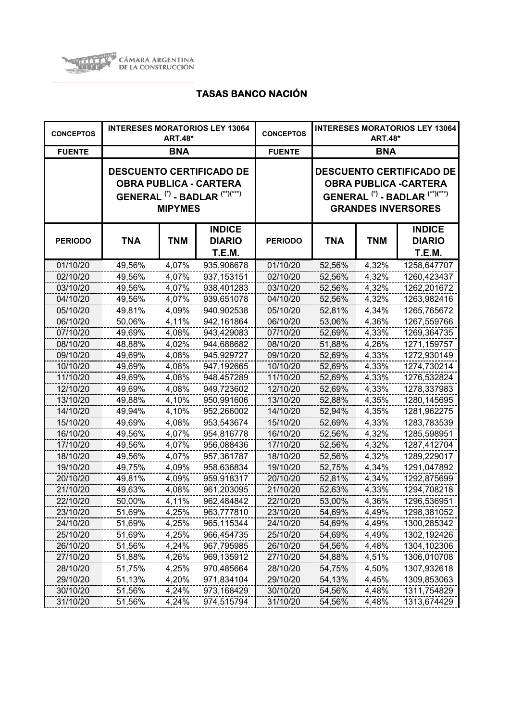

| <b>CONCEPTOS</b> | <b>INTERESES MORATORIOS LEY 13064</b><br><b>ART.48*</b>                                                                                    |            |                                                 | <b>CONCEPTOS</b> | <b>INTERESES MORATORIOS LEY 13064</b><br><b>ART.48*</b>                                                                                              |            |                                          |
|------------------|--------------------------------------------------------------------------------------------------------------------------------------------|------------|-------------------------------------------------|------------------|------------------------------------------------------------------------------------------------------------------------------------------------------|------------|------------------------------------------|
| <b>FUENTE</b>    |                                                                                                                                            | <b>BNA</b> |                                                 | <b>FUENTE</b>    | <b>BNA</b>                                                                                                                                           |            |                                          |
|                  | <b>DESCUENTO CERTIFICADO DE</b><br><b>OBRA PUBLICA - CARTERA</b><br>GENERAL <sup>(*)</sup> - BADLAR <sup>(**)(***)</sup><br><b>MIPYMES</b> |            |                                                 |                  | <b>DESCUENTO CERTIFICADO DE</b><br><b>OBRA PUBLICA -CARTERA</b><br>GENERAL <sup>(*)</sup> - BADLAR <sup>(**)(***)</sup><br><b>GRANDES INVERSORES</b> |            |                                          |
| <b>PERIODO</b>   | <b>TNA</b>                                                                                                                                 | <b>TNM</b> | <b>INDICE</b><br><b>DIARIO</b><br><b>T.E.M.</b> | <b>PERIODO</b>   | TNA                                                                                                                                                  | <b>TNM</b> | <b>INDICE</b><br><b>DIARIO</b><br>T.E.M. |
| 01/10/20         | 49,56%                                                                                                                                     | 4,07%      | 935,906678                                      | 01/10/20         | 52,56%                                                                                                                                               | 4,32%      | 1258,647707                              |
| 02/10/20         | 49,56%                                                                                                                                     | 4,07%      | 937, 153151                                     | 02/10/20         | 52,56%                                                                                                                                               | 4,32%      | 1260,423437                              |
| 03/10/20         | 49,56%                                                                                                                                     | 4,07%      | 938,401283                                      | 03/10/20         | 52,56%                                                                                                                                               | 4,32%      | 1262,201672                              |
| 04/10/20         | 49,56%                                                                                                                                     | 4,07%      | 939,651078                                      | 04/10/20         | 52,56%                                                                                                                                               | 4,32%      | 1263,982416                              |
| 05/10/20         | 49,81%                                                                                                                                     | 4,09%      | 940,902538                                      | 05/10/20         | 52,81%                                                                                                                                               | 4,34%      | 1265,765672                              |
| 06/10/20         | 50,06%                                                                                                                                     | 4,11%      | 942,161864                                      | 06/10/20         | 53,06%                                                                                                                                               | 4,36%      | 1267,559766                              |
| 07/10/20         | 49,69%                                                                                                                                     | 4,08%      | 943,429083                                      | 07/10/20         | 52,69%                                                                                                                                               | 4,33%      | 1269,364735                              |
| 08/10/20         | 48,88%                                                                                                                                     | 4,02%      | 944,688682                                      | 08/10/20         | 51,88%                                                                                                                                               | 4,26%      | 1271,159757                              |
| 09/10/20         | 49,69%                                                                                                                                     | 4,08%      | 945,929727                                      | 09/10/20         | 52,69%                                                                                                                                               | 4,33%      | 1272,930149                              |
| 10/10/20         | 49,69%                                                                                                                                     | 4,08%      | 947,192665                                      | 10/10/20         | 52,69%                                                                                                                                               | 4,33%      | 1274,730214                              |
| 11/10/20         | 49,69%                                                                                                                                     | 4,08%      | 948,457289                                      | 11/10/20         | 52,69%                                                                                                                                               | 4,33%      | 1276,532824                              |
| 12/10/20         | 49,69%                                                                                                                                     | 4,08%      | 949,723602                                      | 12/10/20         | 52,69%                                                                                                                                               | 4,33%      | 1278,337983                              |
| 13/10/20         | 49,88%                                                                                                                                     | 4,10%      | 950,991606                                      | 13/10/20         | 52,88%                                                                                                                                               | 4,35%      | 1280,145695                              |
| 14/10/20         | 49,94%                                                                                                                                     | 4,10%      | 952,266002                                      | 14/10/20         | 52,94%                                                                                                                                               | 4,35%      | 1281,962275                              |
| 15/10/20         | 49,69%                                                                                                                                     | 4,08%      | 953,543674                                      | 15/10/20         | 52,69%                                                                                                                                               | 4,33%      | 1283,783539                              |
| 16/10/20         | 49,56%                                                                                                                                     | 4,07%      | 954,816778                                      | 16/10/20         | 52,56%                                                                                                                                               | 4,32%      | 1285,598951                              |
| 17/10/20         | 49,56%                                                                                                                                     | 4,07%      | 956,088436                                      | 17/10/20         | 52,56%                                                                                                                                               | 4,32%      | 1287,412704                              |
| 18/10/20         | 49,56%                                                                                                                                     | 4,07%      | 957,361787                                      | 18/10/20         | 52,56%                                                                                                                                               | 4,32%      | 1289,229017                              |
| 19/10/20         | 49,75%                                                                                                                                     | 4,09%      | 958,636834                                      | 19/10/20         | 52,75%                                                                                                                                               | 4,34%      | 1291,047892                              |
| 20/10/20         | 49,81%                                                                                                                                     | 4,09%      | 959,918317                                      | 20/10/20         | 52,81%                                                                                                                                               | 4,34%      | 1292,875699                              |
| 21/10/20         | 49,63%                                                                                                                                     | 4,08%      | 961,203095                                      | 21/10/20         | 52,63%                                                                                                                                               | 4,33%      | 1294,708218                              |
| 22/10/20         | 50,00%                                                                                                                                     | 4,11%      | 962,484842                                      | 22/10/20         | 53,00%                                                                                                                                               | 4,36%      | 1296,536951                              |
| 23/10/20         | 51,69%                                                                                                                                     | 4,25%      | 963,777810                                      | 23/10/20         | 54,69%                                                                                                                                               | 4,49%      | 1298,381052                              |
| 24/10/20         | 51,69%                                                                                                                                     | 4,25%      | 965,115344                                      | 24/10/20         | 54,69%                                                                                                                                               | 4,49%      | 1300,285342                              |
| 25/10/20         | 51,69%                                                                                                                                     | 4,25%      | 966,454735                                      | 25/10/20         | 54,69%                                                                                                                                               | 4,49%      | 1302,192426                              |
| 26/10/20         | 51,56%                                                                                                                                     | 4,24%      | 967,795985                                      | 26/10/20         | 54,56%                                                                                                                                               | 4,48%      | 1304,102306                              |
| 27/10/20         | 51,88%                                                                                                                                     | 4,26%      | 969,135912                                      | 27/10/20         | 54,88%                                                                                                                                               | 4,51%      | 1306,010708                              |
| 28/10/20         | 51,75%                                                                                                                                     | 4,25%      | 970,485664                                      | 28/10/20         | 54,75%                                                                                                                                               | 4,50%      | 1307,932618                              |
| 29/10/20         | 51,13%                                                                                                                                     | 4,20%      | 971,834104                                      | 29/10/20         | 54,13%                                                                                                                                               | 4,45%      | 1309,853063                              |
| 30/10/20         | 51,56%                                                                                                                                     | 4,24%      | 973,168429                                      | 30/10/20         | 54,56%                                                                                                                                               | 4,48%      | 1311,754829                              |
| 31/10/20         | 51,56%                                                                                                                                     | 4,24%      | 974,515794                                      | 31/10/20         | 54,56%                                                                                                                                               | 4,48%      | 1313,674429                              |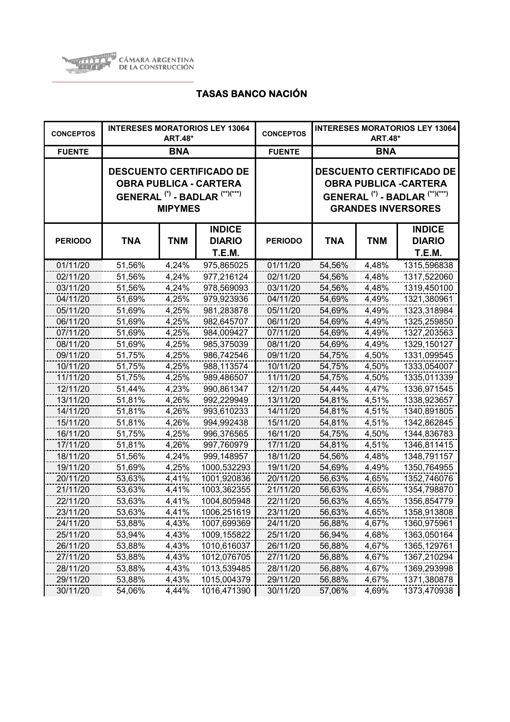

| <b>CONCEPTOS</b> |            | <b>ART.48*</b> | <b>INTERESES MORATORIOS LEY 13064</b>                                                                                    | <b>CONCEPTOS</b> | <b>INTERESES MORATORIOS LEY 13064</b><br><b>ART.48*</b>                                                                                              |            |                                                 |
|------------------|------------|----------------|--------------------------------------------------------------------------------------------------------------------------|------------------|------------------------------------------------------------------------------------------------------------------------------------------------------|------------|-------------------------------------------------|
| <b>FUENTE</b>    |            | <b>BNA</b>     |                                                                                                                          | <b>FUENTE</b>    | <b>BNA</b>                                                                                                                                           |            |                                                 |
|                  |            | <b>MIPYMES</b> | <b>DESCUENTO CERTIFICADO DE</b><br><b>OBRA PUBLICA - CARTERA</b><br>GENERAL <sup>(*)</sup> - BADLAR <sup>(**)(***)</sup> |                  | <b>DESCUENTO CERTIFICADO DE</b><br><b>OBRA PUBLICA -CARTERA</b><br>GENERAL <sup>(*)</sup> - BADLAR <sup>(**)(***)</sup><br><b>GRANDES INVERSORES</b> |            |                                                 |
| <b>PERIODO</b>   | <b>TNA</b> | <b>TNM</b>     | <b>INDICE</b><br><b>DIARIO</b><br><b>T.E.M.</b>                                                                          | <b>PERIODO</b>   | <b>TNA</b>                                                                                                                                           | <b>TNM</b> | <b>INDICE</b><br><b>DIARIO</b><br><b>T.E.M.</b> |
| 01/11/20         | 51,56%     | 4,24%          | 975,865025                                                                                                               | 01/11/20         | 54,56%                                                                                                                                               | 4,48%      | 1315,596838                                     |
| 02/11/20         | 51,56%     | 4,24%          | 977,216124                                                                                                               | 02/11/20         | 54,56%                                                                                                                                               | 4,48%      | 1317,522060                                     |
| 03/11/20         | 51,56%     | 4,24%          | 978,569093                                                                                                               | 03/11/20         | 54,56%                                                                                                                                               | 4,48%      | 1319,450100                                     |
| 04/11/20         | 51,69%     | 4,25%          | 979,923936                                                                                                               | 04/11/20         | 54,69%                                                                                                                                               | 4,49%      | 1321,380961                                     |
| 05/11/20         | 51,69%     | 4,25%          | 981,283878                                                                                                               | 05/11/20         | 54,69%                                                                                                                                               | 4,49%      | 1323,318984                                     |
| 06/11/20         | 51,69%     | 4,25%          | 982,645707                                                                                                               | 06/11/20         | 54,69%                                                                                                                                               | 4,49%      | 1325,259850                                     |
| 07/11/20         | 51,69%     | 4,25%          | 984,009427                                                                                                               | 07/11/20         | 54,69%                                                                                                                                               | 4,49%      | 1327,203563                                     |
| 08/11/20         | 51,69%     | 4,25%          | 985,375039                                                                                                               | 08/11/20         | 54,69%                                                                                                                                               | 4,49%      | 1329,150127                                     |
| 09/11/20         | 51,75%     | 4,25%          | 986,742546                                                                                                               | 09/11/20         | 54,75%                                                                                                                                               | 4,50%      | 1331,099545                                     |
| 10/11/20         | 51,75%     | 4,25%          | 988,113574                                                                                                               | 10/11/20         | 54,75%                                                                                                                                               | 4,50%      | 1333,054007                                     |
| 11/11/20         | 51,75%     | 4,25%          | 989,486507                                                                                                               | 11/11/20         | 54,75%                                                                                                                                               | 4,50%      | 1335,011339                                     |
| 12/11/20         | 51,44%     | 4,23%          | 990,861347                                                                                                               | 12/11/20         | 54,44%                                                                                                                                               | 4,47%      | 1336,971545                                     |
| 13/11/20         | 51,81%     | 4,26%          | 992,229949                                                                                                               | 13/11/20         | 54,81%                                                                                                                                               | 4,51%      | 1338,923657                                     |
| 14/11/20         | 51,81%     | 4,26%          | 993,610233                                                                                                               | 14/11/20         | 54,81%                                                                                                                                               | 4,51%      | 1340,891805                                     |
| 15/11/20         | 51,81%     | 4,26%          | 994,992438                                                                                                               | 15/11/20         | 54,81%                                                                                                                                               | 4,51%      | 1342,862845                                     |
| 16/11/20         | 51,75%     | 4,25%          | 996,376565                                                                                                               | 16/11/20         | 54,75%                                                                                                                                               | 4,50%      | 1344,836783                                     |
| 17/11/20         | 51,81%     | 4,26%          | 997,760979                                                                                                               | 17/11/20         | 54,81%                                                                                                                                               | 4,51%      | 1346,811415                                     |
| 18/11/20         | 51,56%     | 4,24%          | 999,148957                                                                                                               | 18/11/20         | 54,56%                                                                                                                                               | 4,48%      | 1348,791157                                     |
| 19/11/20         | 51,69%     | 4,25%          | 1000,532293                                                                                                              | 19/11/20         | 54,69%                                                                                                                                               | 4,49%      | 1350,764955                                     |
| 20/11/20         | 53,63%     | 4,41%          | 1001,920836                                                                                                              | 20/11/20         | 56,63%                                                                                                                                               | 4,65%      | 1352,746076                                     |
| 21/11/20         | 53,63%     | 4,41%          | 1003,362355                                                                                                              | 21/11/20         | 56,63%                                                                                                                                               | 4,65%      | 1354,798870                                     |
| 22/11/20         | 53,63%     | 4,41%          | 1004,805948                                                                                                              | 22/11/20         | 56,63%                                                                                                                                               | 4,65%      | 1356,854779                                     |
| 23/11/20         | 53,63%     | 4,41%          | 1006,251619                                                                                                              | 23/11/20         | 56,63%                                                                                                                                               | 4,65%      | 1358,913808                                     |
| 24/11/20         | 53,88%     | 4,43%          | 1007,699369                                                                                                              | 24/11/20         | 56,88%                                                                                                                                               | 4,67%      | 1360,975961                                     |
| 25/11/20         | 53,94%     | 4,43%          | 1009,155822                                                                                                              | 25/11/20         | 56,94%                                                                                                                                               | 4,68%      | 1363,050164                                     |
| 26/11/20         | 53,88%     | 4,43%          | 1010,616037                                                                                                              | 26/11/20         | 56,88%                                                                                                                                               | 4,67%      | 1365,129761                                     |
| 27/11/20         | 53,88%     | 4,43%          | 1012,076705                                                                                                              | 27/11/20         | 56,88%                                                                                                                                               | 4,67%      | 1367,210294                                     |
| 28/11/20         | 53,88%     | 4,43%          | 1013,539485                                                                                                              | 28/11/20         | 56,88%                                                                                                                                               | 4,67%      | 1369,293998                                     |
| 29/11/20         | 53,88%     | 4,43%          | 1015,004379                                                                                                              | 29/11/20         | 56,88%                                                                                                                                               | 4,67%      | 1371,380878                                     |
| 30/11/20         | 54,06%     | 4,44%          | 1016,471390                                                                                                              | 30/11/20         | 57,06%                                                                                                                                               | 4,69%      | 1373,470938                                     |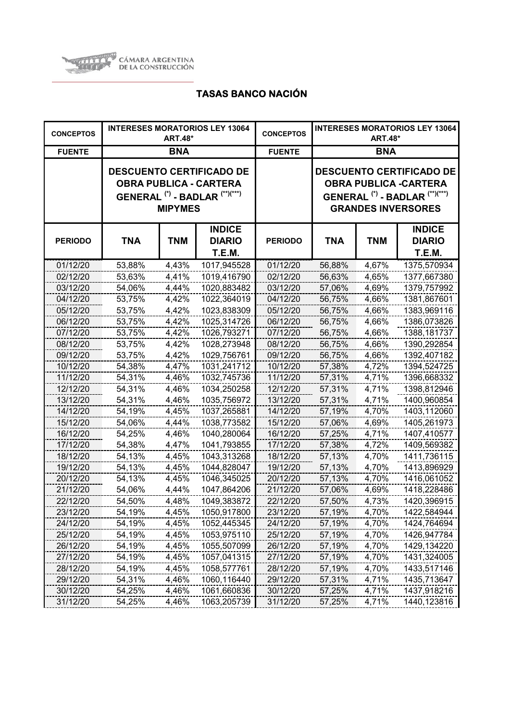

| <b>CONCEPTOS</b> |            | <b>ART.48*</b> | <b>INTERESES MORATORIOS LEY 13064</b>                                                                                    | <b>CONCEPTOS</b> | <b>INTERESES MORATORIOS LEY 13064</b><br><b>ART.48*</b>                                                                                              |            |                                          |
|------------------|------------|----------------|--------------------------------------------------------------------------------------------------------------------------|------------------|------------------------------------------------------------------------------------------------------------------------------------------------------|------------|------------------------------------------|
| <b>FUENTE</b>    |            | <b>BNA</b>     |                                                                                                                          | <b>FUENTE</b>    | <b>BNA</b>                                                                                                                                           |            |                                          |
|                  |            | <b>MIPYMES</b> | <b>DESCUENTO CERTIFICADO DE</b><br><b>OBRA PUBLICA - CARTERA</b><br>GENERAL <sup>(*)</sup> - BADLAR <sup>(**)(***)</sup> |                  | <b>DESCUENTO CERTIFICADO DE</b><br><b>OBRA PUBLICA -CARTERA</b><br>GENERAL <sup>(*)</sup> - BADLAR <sup>(**)(***)</sup><br><b>GRANDES INVERSORES</b> |            |                                          |
| <b>PERIODO</b>   | <b>TNA</b> | <b>TNM</b>     | <b>INDICE</b><br><b>DIARIO</b><br>T.E.M.                                                                                 | <b>PERIODO</b>   | <b>TNA</b>                                                                                                                                           | <b>TNM</b> | <b>INDICE</b><br><b>DIARIO</b><br>T.E.M. |
| 01/12/20         | 53,88%     | 4,43%          | 1017,945528                                                                                                              | 01/12/20         | 56,88%                                                                                                                                               | 4,67%      | 1375,570934                              |
| 02/12/20         | 53,63%     | 4,41%          | 1019,416790                                                                                                              | 02/12/20         | 56,63%                                                                                                                                               | 4,65%      | 1377,667380                              |
| 03/12/20         | 54,06%     | 4,44%          | 1020,883482                                                                                                              | 03/12/20         | 57,06%                                                                                                                                               | 4,69%      | 1379,757992                              |
| 04/12/20         | 53,75%     | 4,42%          | 1022,364019                                                                                                              | 04/12/20         | 56,75%                                                                                                                                               | 4,66%      | 1381,867601                              |
| 05/12/20         | 53,75%     | 4,42%          | 1023,838309                                                                                                              | 05/12/20         | 56,75%                                                                                                                                               | 4,66%      | 1383,969116                              |
| 06/12/20         | 53,75%     | 4,42%          | 1025,314726                                                                                                              | 06/12/20         | 56,75%                                                                                                                                               | 4,66%      | 1386,073826                              |
| 07/12/20         | 53,75%     | 4,42%          | 1026,793271                                                                                                              | 07/12/20         | 56,75%                                                                                                                                               | 4,66%      | 1388, 181737                             |
| 08/12/20         | 53,75%     | 4,42%          | 1028,273948                                                                                                              | 08/12/20         | 56,75%                                                                                                                                               | 4,66%      | 1390,292854                              |
| 09/12/20         | 53,75%     | 4,42%          | 1029,756761                                                                                                              | 09/12/20         | 56,75%                                                                                                                                               | 4,66%      | 1392,407182                              |
| 10/12/20         | 54,38%     | 4,47%          | 1031,241712                                                                                                              | 10/12/20         | 57,38%                                                                                                                                               | 4,72%      | 1394,524725                              |
| 11/12/20         | 54,31%     | 4,46%          | 1032,745736                                                                                                              | 11/12/20         | 57,31%                                                                                                                                               | 4,71%      | 1396,668332                              |
| 12/12/20         | 54,31%     | 4,46%          | 1034,250258                                                                                                              | 12/12/20         | 57,31%                                                                                                                                               | 4,71%      | 1398,812946                              |
| 13/12/20         | 54,31%     | 4,46%          | 1035,756972                                                                                                              | 13/12/20         | 57,31%                                                                                                                                               | 4,71%      | 1400,960854                              |
| 14/12/20         | 54,19%     | 4,45%          | 1037,265881                                                                                                              | 14/12/20         | 57,19%                                                                                                                                               | 4,70%      | 1403,112060                              |
| 15/12/20         | 54,06%     | 4,44%          | 1038,773582                                                                                                              | 15/12/20         | 57,06%                                                                                                                                               | 4,69%      | 1405,261973                              |
| 16/12/20         | 54,25%     | 4,46%          | 1040,280064                                                                                                              | 16/12/20         | 57,25%                                                                                                                                               | 4,71%      | 1407,410577                              |
| 17/12/20         | 54,38%     | 4,47%          | 1041,793855                                                                                                              | 17/12/20         | 57,38%                                                                                                                                               | 4,72%      | 1409,569382                              |
| 18/12/20         | 54,13%     | 4,45%          | 1043,313268                                                                                                              | 18/12/20         | 57,13%                                                                                                                                               | 4,70%      | 1411,736115                              |
| 19/12/20         | 54,13%     | 4,45%          | 1044,828047                                                                                                              | 19/12/20         | 57,13%                                                                                                                                               | 4,70%      | 1413,896929                              |
| 20/12/20         | 54,13%     | 4,45%          | 1046,345025                                                                                                              | 20/12/20         | 57,13%                                                                                                                                               | 4,70%      | 1416,061052                              |
| 21/12/20         | 54,06%     | 4,44%          | 1047,864206                                                                                                              | 21/12/20         | 57,06%                                                                                                                                               | 4,69%      | 1418,228486                              |
| 22/12/20         | 54,50%     | 4,48%          | 1049,383872                                                                                                              | 22/12/20         | 57,50%                                                                                                                                               | 4,73%      | 1420,396915                              |
| 23/12/20         | 54,19%     | 4,45%          | 1050,917800                                                                                                              | 23/12/20         | 57,19%                                                                                                                                               | 4,70%      | 1422,584944                              |
| 24/12/20         | 54,19%     | 4,45%          | 1052,445345                                                                                                              | 24/12/20         | 57,19%                                                                                                                                               | 4,70%      | 1424,764694                              |
| 25/12/20         | 54,19%     | 4,45%          | 1053,975110                                                                                                              | 25/12/20         | 57,19%                                                                                                                                               | 4,70%      | 1426,947784                              |
| 26/12/20         | 54,19%     | 4,45%          | 1055,507099                                                                                                              | 26/12/20         | 57,19%                                                                                                                                               | 4,70%      | 1429,134220                              |
| 27/12/20         | 54,19%     | 4,45%          | 1057,041315                                                                                                              | 27/12/20         | 57,19%                                                                                                                                               | 4,70%      | 1431,324005                              |
| 28/12/20         | 54,19%     | 4,45%          | 1058,577761                                                                                                              | 28/12/20         | 57,19%                                                                                                                                               | 4,70%      | 1433,517146                              |
| 29/12/20         | 54,31%     | 4,46%          | 1060,116440                                                                                                              | 29/12/20         | 57,31%                                                                                                                                               | 4,71%      | 1435,713647                              |
| 30/12/20         | 54,25%     | 4,46%          | 1061,660836                                                                                                              | 30/12/20         | 57,25%                                                                                                                                               | 4,71%      | 1437,918216                              |
| 31/12/20         | 54,25%     | 4,46%          | 1063,205739                                                                                                              | 31/12/20         | 57,25%                                                                                                                                               | 4,71%      | 1440,123816                              |